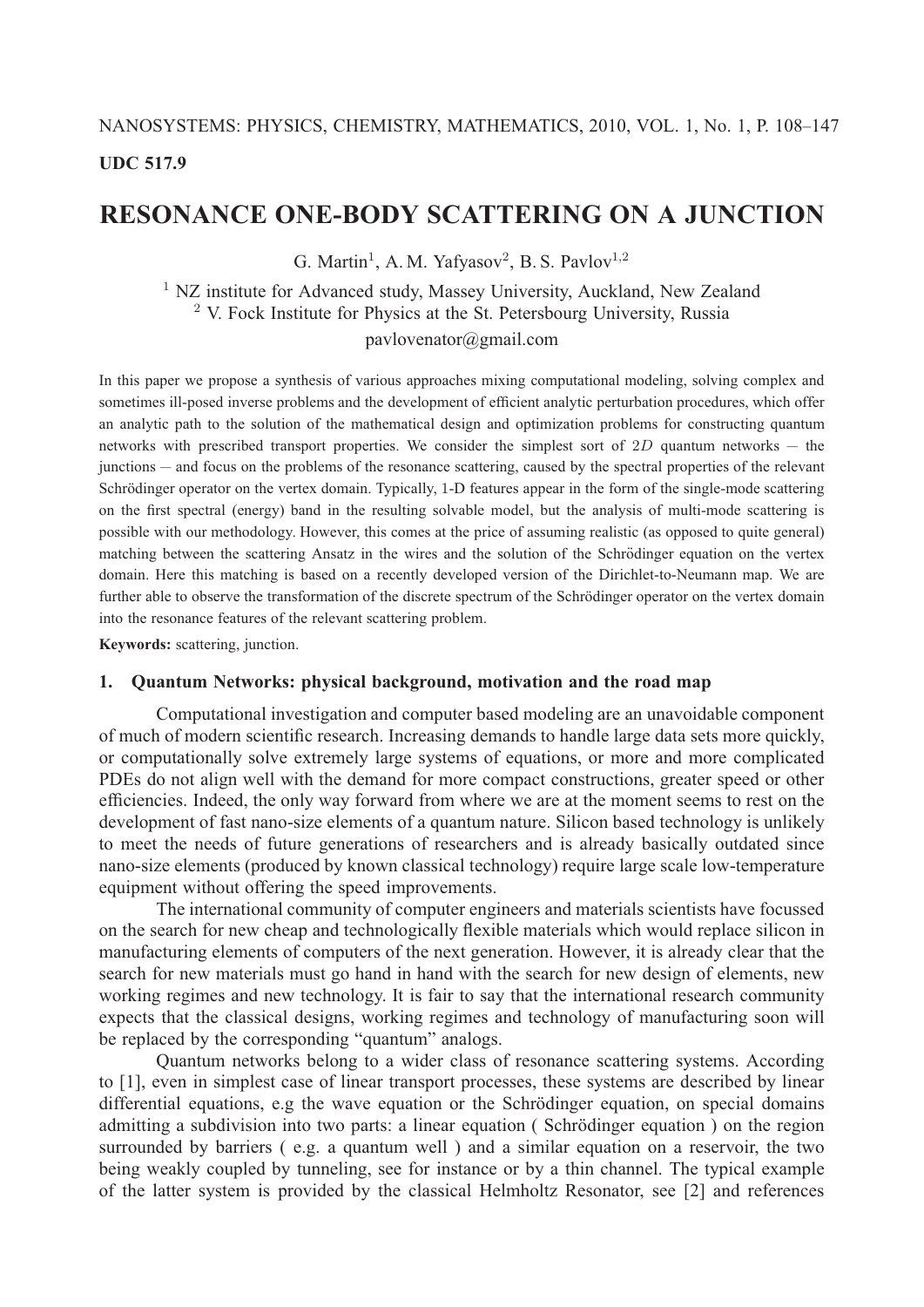# NANOSYSTEMS: PHYSICS, CHEMISTRY, MATHEMATICS, 2010, VOL. 1, No. 1, P. 108–147 **UDC 517.9**

# **RESONANCE ONE-BODY SCATTERING ON A JUNCTION**

G. Martin<sup>1</sup>, A. M. Yafyasov<sup>2</sup>, B. S. Pavlov<sup>1,2</sup>

<sup>1</sup> NZ institute for Advanced study, Massey University, Auckland, New Zealand  $2$  V. Fock Institute for Physics at the St. Petersbourg University, Russia pavlovenator@gmail.com

In this paper we propose a synthesis of various approaches mixing computational modeling, solving complex and sometimes ill-posed inverse problems and the development of efficient analytic perturbation procedures, which offer an analytic path to the solution of the mathematical design and optimization problems for constructing quantum networks with prescribed transport properties. We consider the simplest sort of  $2D$  quantum networks  $-$  the junctions — and focus on the problems of the resonance scattering, caused by the spectral properties of the relevant Schrödinger operator on the vertex domain. Typically, 1-D features appear in the form of the single-mode scattering on the first spectral (energy) band in the resulting solvable model, but the analysis of multi-mode scattering is possible with our methodology. However, this comes at the price of assuming realistic (as opposed to quite general) matching between the scattering Ansatz in the wires and the solution of the Schrödinger equation on the vertex domain. Here this matching is based on a recently developed version of the Dirichlet-to-Neumann map. We are further able to observe the transformation of the discrete spectrum of the Schrödinger operator on the vertex domain into the resonance features of the relevant scattering problem.

**Keywords:** scattering, junction.

# **1. Quantum Networks: physical background, motivation and the road map**

Computational investigation and computer based modeling are an unavoidable component of much of modern scientific research. Increasing demands to handle large data sets more quickly, or computationally solve extremely large systems of equations, or more and more complicated PDEs do not align well with the demand for more compact constructions, greater speed or other efficiencies. Indeed, the only way forward from where we are at the moment seems to rest on the development of fast nano-size elements of a quantum nature. Silicon based technology is unlikely to meet the needs of future generations of researchers and is already basically outdated since nano-size elements (produced by known classical technology) require large scale low-temperature equipment without offering the speed improvements.

The international community of computer engineers and materials scientists have focussed on the search for new cheap and technologically flexible materials which would replace silicon in manufacturing elements of computers of the next generation. However, it is already clear that the search for new materials must go hand in hand with the search for new design of elements, new working regimes and new technology. It is fair to say that the international research community expects that the classical designs, working regimes and technology of manufacturing soon will be replaced by the corresponding "quantum" analogs.

Quantum networks belong to a wider class of resonance scattering systems. According to [1], even in simplest case of linear transport processes, these systems are described by linear differential equations, e.g the wave equation or the Schrödinger equation, on special domains admitting a subdivision into two parts: a linear equation (Schrödinger equation) on the region surrounded by barriers ( e.g. a quantum well ) and a similar equation on a reservoir, the two being weakly coupled by tunneling, see for instance or by a thin channel. The typical example of the latter system is provided by the classical Helmholtz Resonator, see [2] and references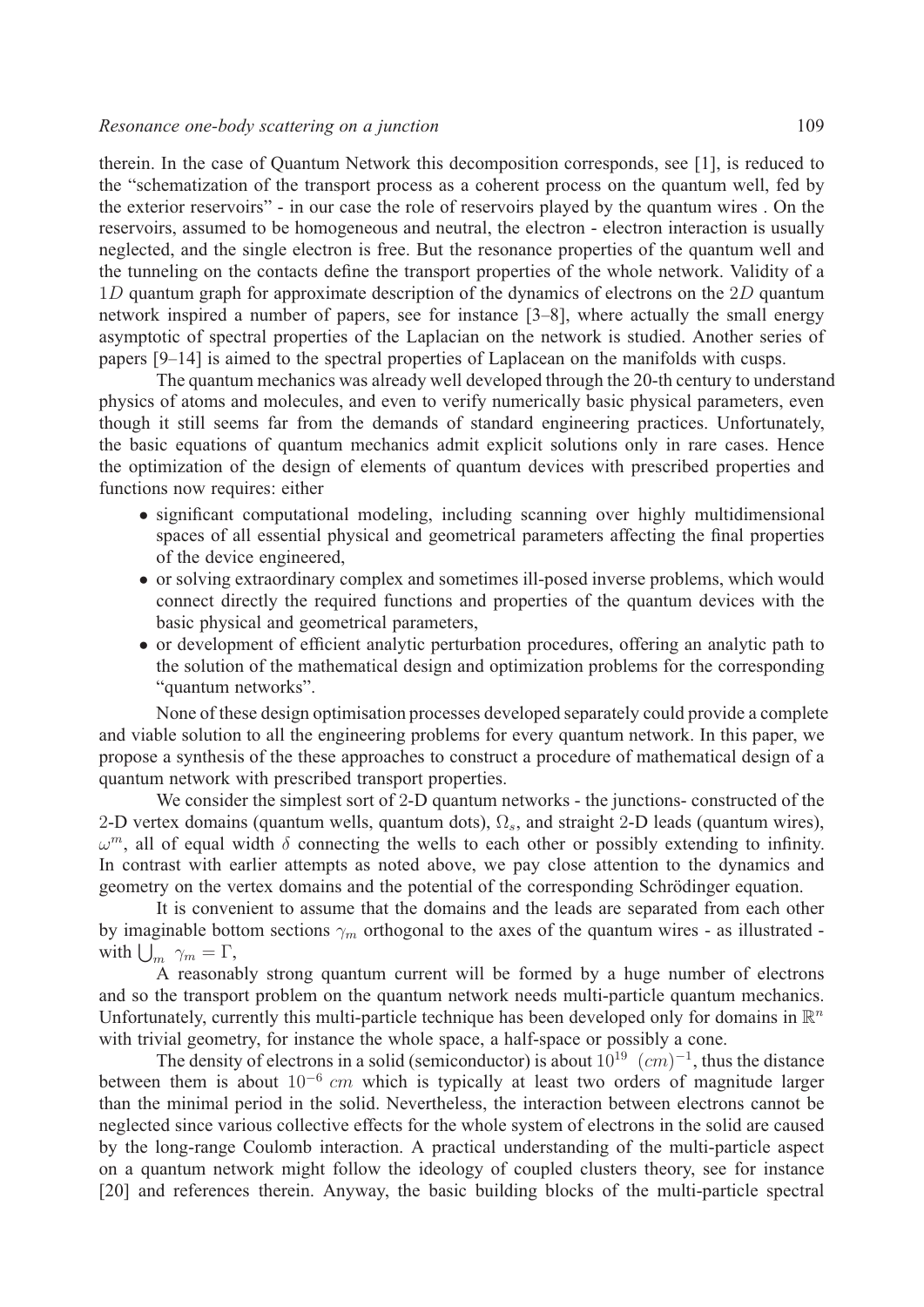therein. In the case of Quantum Network this decomposition corresponds, see [1], is reduced to the "schematization of the transport process as a coherent process on the quantum well, fed by the exterior reservoirs" - in our case the role of reservoirs played by the quantum wires . On the reservoirs, assumed to be homogeneous and neutral, the electron - electron interaction is usually neglected, and the single electron is free. But the resonance properties of the quantum well and the tunneling on the contacts define the transport properties of the whole network. Validity of a  $1D$  quantum graph for approximate description of the dynamics of electrons on the  $2D$  quantum network inspired a number of papers, see for instance [3–8], where actually the small energy asymptotic of spectral properties of the Laplacian on the network is studied. Another series of papers [9–14] is aimed to the spectral properties of Laplacean on the manifolds with cusps.

The quantum mechanics was already well developed through the 20-th century to understand physics of atoms and molecules, and even to verify numerically basic physical parameters, even though it still seems far from the demands of standard engineering practices. Unfortunately, the basic equations of quantum mechanics admit explicit solutions only in rare cases. Hence the optimization of the design of elements of quantum devices with prescribed properties and functions now requires: either

- ∙ significant computational modeling, including scanning over highly multidimensional spaces of all essential physical and geometrical parameters affecting the final properties of the device engineered,
- ∙ or solving extraordinary complex and sometimes ill-posed inverse problems, which would connect directly the required functions and properties of the quantum devices with the basic physical and geometrical parameters,
- ∙ or development of efficient analytic perturbation procedures, offering an analytic path to the solution of the mathematical design and optimization problems for the corresponding "quantum networks".

None of these design optimisation processes developed separately could provide a complete and viable solution to all the engineering problems for every quantum network. In this paper, we propose a synthesis of the these approaches to construct a procedure of mathematical design of a quantum network with prescribed transport properties.

We consider the simplest sort of 2-D quantum networks - the junctions- constructed of the 2-D vertex domains (quantum wells, quantum dots),  $\Omega_s$ , and straight 2-D leads (quantum wires),  $\omega^m$ , all of equal width  $\delta$  connecting the wells to each other or possibly extending to infinity. In contrast with earlier attempts as noted above, we pay close attention to the dynamics and geometry on the vertex domains and the potential of the corresponding Schrödinger equation.

It is convenient to assume that the domains and the leads are separated from each other by imaginable bottom sections  $\gamma_m$  orthogonal to the axes of the quantum wires - as illustrated with  $\bigcup_m \gamma_m = \Gamma$ ,

A reasonably strong quantum current will be formed by a huge number of electrons and so the transport problem on the quantum network needs multi-particle quantum mechanics. Unfortunately, currently this multi-particle technique has been developed only for domains in  $\mathbb{R}^n$ with trivial geometry, for instance the whole space, a half-space or possibly a cone.

The density of electrons in a solid (semiconductor) is about  $10^{19}$   $(cm)^{-1}$ , thus the distance between them is about  $10^{-6}$  cm which is typically at least two orders of magnitude larger than the minimal period in the solid. Nevertheless, the interaction between electrons cannot be neglected since various collective effects for the whole system of electrons in the solid are caused by the long-range Coulomb interaction. A practical understanding of the multi-particle aspect on a quantum network might follow the ideology of coupled clusters theory, see for instance [20] and references therein. Anyway, the basic building blocks of the multi-particle spectral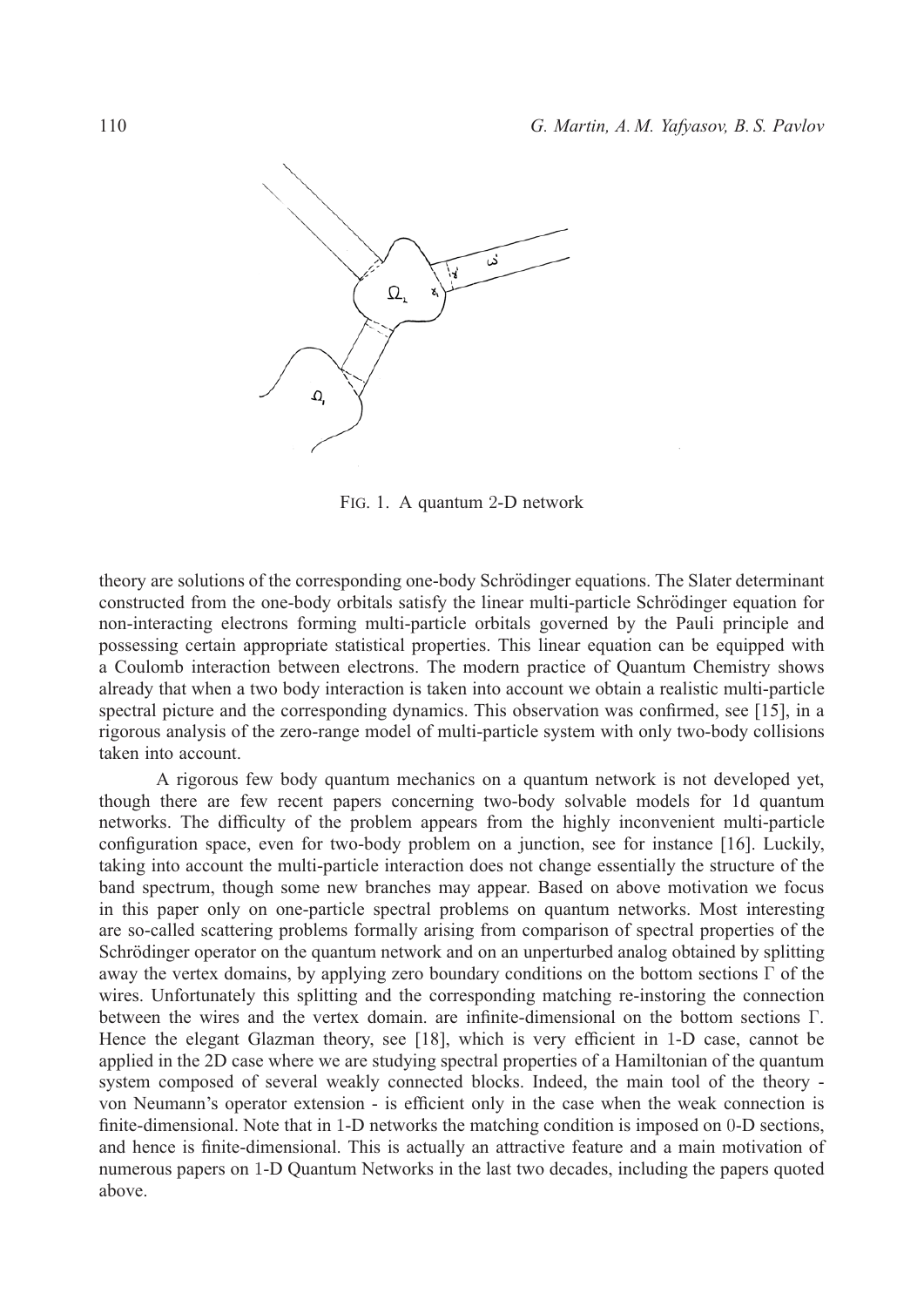

FIG. 1. A quantum 2-D network

theory are solutions of the corresponding one-body Schrödinger equations. The Slater determinant constructed from the one-body orbitals satisfy the linear multi-particle Schrödinger equation for non-interacting electrons forming multi-particle orbitals governed by the Pauli principle and possessing certain appropriate statistical properties. This linear equation can be equipped with a Coulomb interaction between electrons. The modern practice of Quantum Chemistry shows already that when a two body interaction is taken into account we obtain a realistic multi-particle spectral picture and the corresponding dynamics. This observation was confirmed, see [15], in a rigorous analysis of the zero-range model of multi-particle system with only two-body collisions taken into account.

A rigorous few body quantum mechanics on a quantum network is not developed yet, though there are few recent papers concerning two-body solvable models for 1d quantum networks. The difficulty of the problem appears from the highly inconvenient multi-particle configuration space, even for two-body problem on a junction, see for instance [16]. Luckily, taking into account the multi-particle interaction does not change essentially the structure of the band spectrum, though some new branches may appear. Based on above motivation we focus in this paper only on one-particle spectral problems on quantum networks. Most interesting are so-called scattering problems formally arising from comparison of spectral properties of the Schrödinger operator on the quantum network and on an unperturbed analog obtained by splitting away the vertex domains, by applying zero boundary conditions on the bottom sections Γ of the wires. Unfortunately this splitting and the corresponding matching re-instoring the connection between the wires and the vertex domain. are infinite-dimensional on the bottom sections Γ. Hence the elegant Glazman theory, see [18], which is very efficient in 1-D case, cannot be applied in the 2D case where we are studying spectral properties of a Hamiltonian of the quantum system composed of several weakly connected blocks. Indeed, the main tool of the theory von Neumann's operator extension - is efficient only in the case when the weak connection is finite-dimensional. Note that in 1-D networks the matching condition is imposed on 0-D sections, and hence is finite-dimensional. This is actually an attractive feature and a main motivation of numerous papers on 1-D Quantum Networks in the last two decades, including the papers quoted above.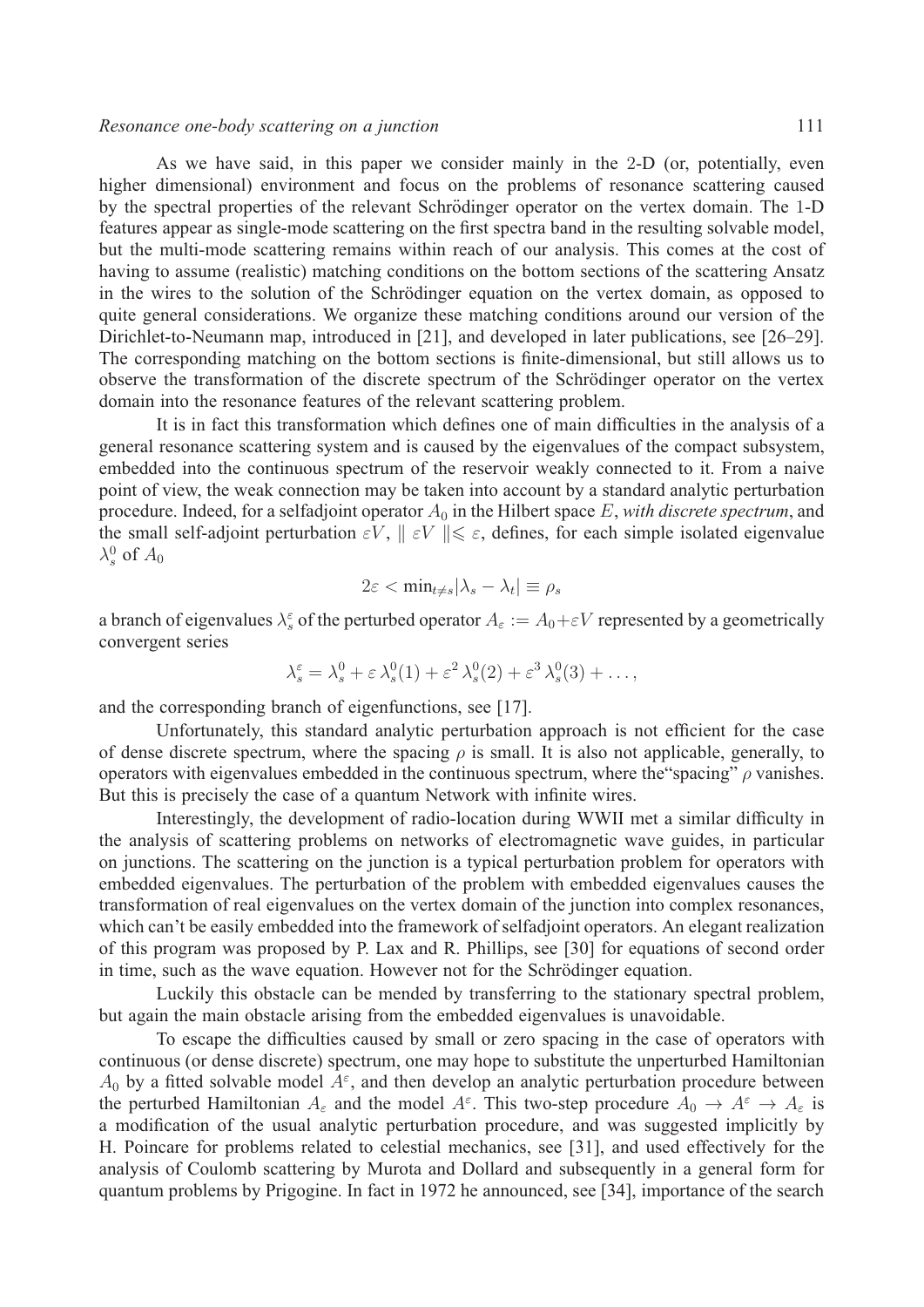## *Resonance one-body scattering on a junction* 111

As we have said, in this paper we consider mainly in the 2-D (or, potentially, even higher dimensional) environment and focus on the problems of resonance scattering caused by the spectral properties of the relevant Schrödinger operator on the vertex domain. The 1-D features appear as single-mode scattering on the first spectra band in the resulting solvable model, but the multi-mode scattering remains within reach of our analysis. This comes at the cost of having to assume (realistic) matching conditions on the bottom sections of the scattering Ansatz in the wires to the solution of the Schrödinger equation on the vertex domain, as opposed to quite general considerations. We organize these matching conditions around our version of the Dirichlet-to-Neumann map, introduced in [21], and developed in later publications, see [26–29]. The corresponding matching on the bottom sections is finite-dimensional, but still allows us to observe the transformation of the discrete spectrum of the Schrödinger operator on the vertex domain into the resonance features of the relevant scattering problem.

It is in fact this transformation which defines one of main difficulties in the analysis of a general resonance scattering system and is caused by the eigenvalues of the compact subsystem, embedded into the continuous spectrum of the reservoir weakly connected to it. From a naive point of view, the weak connection may be taken into account by a standard analytic perturbation procedure. Indeed, for a selfadjoint operator  $A_0$  in the Hilbert space  $E$ , *with discrete spectrum*, and the small self-adjoint perturbation  $\varepsilon V$ ,  $|| \varepsilon V || \leq \varepsilon$ , defines, for each simple isolated eigenvalue  $\lambda_s^0$  of  $A_0$ 

$$
2\varepsilon < \min_{t \neq s} |\lambda_s - \lambda_t| \equiv \rho_s
$$

a branch of eigenvalues  $\lambda_s^{\varepsilon}$  of the perturbed operator  $A_{\varepsilon} := A_0 + \varepsilon V$  represented by a geometrically convergent series

$$
\lambda_s^{\varepsilon} = \lambda_s^0 + \varepsilon \lambda_s^0(1) + \varepsilon^2 \lambda_s^0(2) + \varepsilon^3 \lambda_s^0(3) + \dots,
$$

and the corresponding branch of eigenfunctions, see [17].

Unfortunately, this standard analytic perturbation approach is not efficient for the case of dense discrete spectrum, where the spacing  $\rho$  is small. It is also not applicable, generally, to operators with eigenvalues embedded in the continuous spectrum, where the "spacing"  $\rho$  vanishes. But this is precisely the case of a quantum Network with infinite wires.

Interestingly, the development of radio-location during WWII met a similar difficulty in the analysis of scattering problems on networks of electromagnetic wave guides, in particular on junctions. The scattering on the junction is a typical perturbation problem for operators with embedded eigenvalues. The perturbation of the problem with embedded eigenvalues causes the transformation of real eigenvalues on the vertex domain of the junction into complex resonances, which can't be easily embedded into the framework of selfadjoint operators. An elegant realization of this program was proposed by P. Lax and R. Phillips, see [30] for equations of second order in time, such as the wave equation. However not for the Schrödinger equation.

Luckily this obstacle can be mended by transferring to the stationary spectral problem, but again the main obstacle arising from the embedded eigenvalues is unavoidable.

To escape the difficulties caused by small or zero spacing in the case of operators with continuous (or dense discrete) spectrum, one may hope to substitute the unperturbed Hamiltonian  $A_0$  by a fitted solvable model  $A^\varepsilon$ , and then develop an analytic perturbation procedure between the perturbed Hamiltonian  $A_\varepsilon$  and the model  $A^\varepsilon$ . This two-step procedure  $A_0 \to A^\varepsilon \to A_\varepsilon$  is a modification of the usual analytic perturbation procedure, and was suggested implicitly by H. Poincare for problems related to celestial mechanics, see [31], and used effectively for the analysis of Coulomb scattering by Murota and Dollard and subsequently in a general form for quantum problems by Prigogine. In fact in 1972 he announced, see [34], importance of the search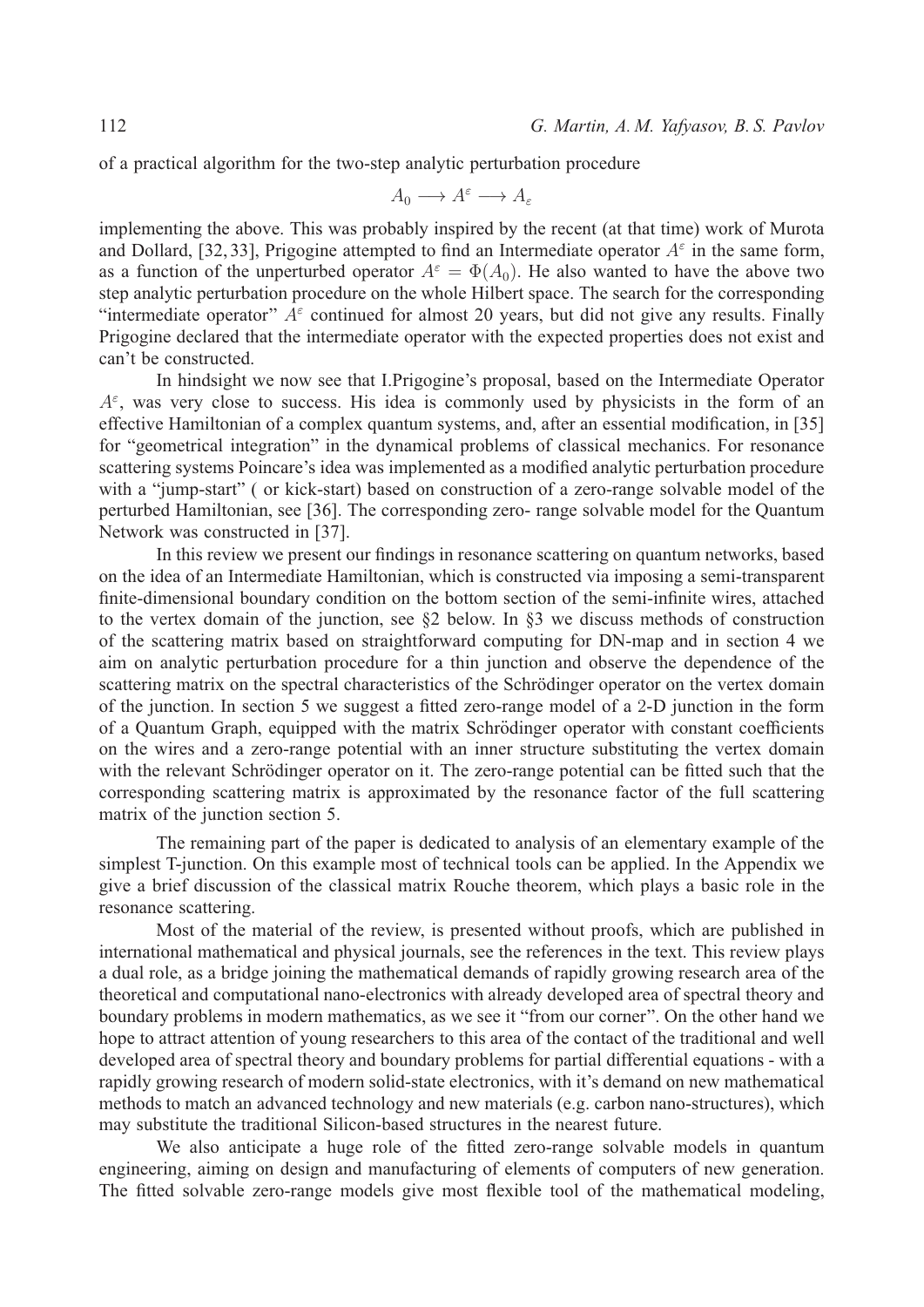of a practical algorithm for the two-step analytic perturbation procedure

$$
A_0 \longrightarrow A^{\varepsilon} \longrightarrow A_{\varepsilon}
$$

implementing the above. This was probably inspired by the recent (at that time) work of Murota and Dollard, [32, 33], Prigogine attempted to find an Intermediate operator  $A^{\epsilon}$  in the same form, as a function of the unperturbed operator  $A^{\varepsilon} = \Phi(A_0)$ . He also wanted to have the above two step analytic perturbation procedure on the whole Hilbert space. The search for the corresponding "intermediate operator"  $A^{\epsilon}$  continued for almost 20 years, but did not give any results. Finally Prigogine declared that the intermediate operator with the expected properties does not exist and can't be constructed.

In hindsight we now see that I.Prigogine's proposal, based on the Intermediate Operator  $A^{\varepsilon}$ , was very close to success. His idea is commonly used by physicists in the form of an effective Hamiltonian of a complex quantum systems, and, after an essential modification, in [35] for "geometrical integration" in the dynamical problems of classical mechanics. For resonance scattering systems Poincare's idea was implemented as a modified analytic perturbation procedure with a "jump-start" (or kick-start) based on construction of a zero-range solvable model of the perturbed Hamiltonian, see [36]. The corresponding zero- range solvable model for the Quantum Network was constructed in [37].

In this review we present our findings in resonance scattering on quantum networks, based on the idea of an Intermediate Hamiltonian, which is constructed via imposing a semi-transparent finite-dimensional boundary condition on the bottom section of the semi-infinite wires, attached to the vertex domain of the junction, see §2 below. In §3 we discuss methods of construction of the scattering matrix based on straightforward computing for DN-map and in section 4 we aim on analytic perturbation procedure for a thin junction and observe the dependence of the scattering matrix on the spectral characteristics of the Schrödinger operator on the vertex domain of the junction. In section 5 we suggest a fitted zero-range model of a 2-D junction in the form of a Quantum Graph, equipped with the matrix Schrödinger operator with constant coefficients on the wires and a zero-range potential with an inner structure substituting the vertex domain with the relevant Schrödinger operator on it. The zero-range potential can be fitted such that the corresponding scattering matrix is approximated by the resonance factor of the full scattering matrix of the junction section 5.

The remaining part of the paper is dedicated to analysis of an elementary example of the simplest T-junction. On this example most of technical tools can be applied. In the Appendix we give a brief discussion of the classical matrix Rouche theorem, which plays a basic role in the resonance scattering.

Most of the material of the review, is presented without proofs, which are published in international mathematical and physical journals, see the references in the text. This review plays a dual role, as a bridge joining the mathematical demands of rapidly growing research area of the theoretical and computational nano-electronics with already developed area of spectral theory and boundary problems in modern mathematics, as we see it "from our corner". On the other hand we hope to attract attention of young researchers to this area of the contact of the traditional and well developed area of spectral theory and boundary problems for partial differential equations - with a rapidly growing research of modern solid-state electronics, with it's demand on new mathematical methods to match an advanced technology and new materials (e.g. carbon nano-structures), which may substitute the traditional Silicon-based structures in the nearest future.

We also anticipate a huge role of the fitted zero-range solvable models in quantum engineering, aiming on design and manufacturing of elements of computers of new generation. The fitted solvable zero-range models give most flexible tool of the mathematical modeling,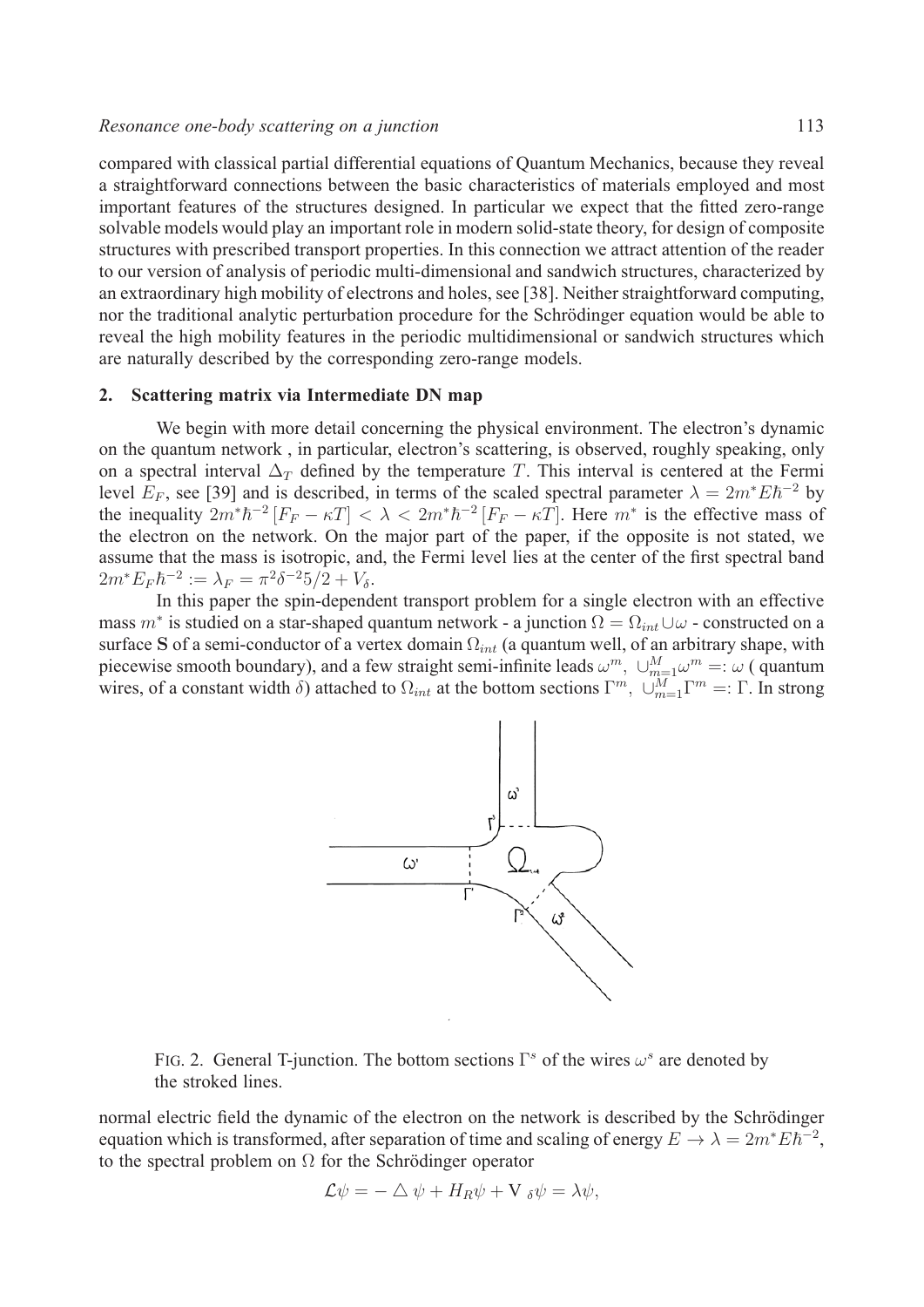### *Resonance one-body scattering on a junction* 113

compared with classical partial differential equations of Quantum Mechanics, because they reveal a straightforward connections between the basic characteristics of materials employed and most important features of the structures designed. In particular we expect that the fitted zero-range solvable models would play an important role in modern solid-state theory, for design of composite structures with prescribed transport properties. In this connection we attract attention of the reader to our version of analysis of periodic multi-dimensional and sandwich structures, characterized by an extraordinary high mobility of electrons and holes, see [38]. Neither straightforward computing, nor the traditional analytic perturbation procedure for the Schrödinger equation would be able to reveal the high mobility features in the periodic multidimensional or sandwich structures which are naturally described by the corresponding zero-range models.

#### **2. Scattering matrix via Intermediate DN map**

We begin with more detail concerning the physical environment. The electron's dynamic on the quantum network , in particular, electron's scattering, is observed, roughly speaking, only on a spectral interval  $\Delta_T$  defined by the temperature T. This interval is centered at the Fermi level  $E_F$ , see [39] and is described, in terms of the scaled spectral parameter  $\lambda = 2m^*E\hbar^{-2}$  by the inequality  $2m^*\hbar^{-2}[F_F - \kappa T] < \lambda < 2m^*\hbar^{-2}[F_F - \kappa T]$ . Here  $m^*$  is the effective mass of the electron on the network. On the major part of the paper, if the opposite is not stated, we assume that the mass is isotropic, and, the Fermi level lies at the center of the first spectral band  $2m^* E_F \hbar^{-2} := \lambda_F = \pi^2 \delta^{-2} 5/2 + V_{\delta}.$ 

In this paper the spin-dependent transport problem for a single electron with an effective mass  $m^*$  is studied on a star-shaped quantum network - a junction  $\Omega = \Omega_{int} \cup \omega$  - constructed on a surface **S** of a semi-conductor of a vertex domain  $\Omega_{int}$  (a quantum well, of an arbitrary shape, with piecewise smooth boundary), and a few straight semi-infinite leads  $\omega^m$ ,  $\cup_{m=1}^M \omega^m =: \omega$  (quantum wires, of a constant width  $\delta$ ) attached to  $\Omega_{int}$  at the bottom sections  $\Gamma^m$ ,  $\cup_{m=1}^M \Gamma^m =: \Gamma$ . In strong



FIG. 2. General T-junction. The bottom sections  $\Gamma^s$  of the wires  $\omega^s$  are denoted by the stroked lines.

normal electric field the dynamic of the electron on the network is described by the Schrödinger equation which is transformed, after separation of time and scaling of energy  $E \to \lambda = 2m^* E \hbar^{-2}$ , to the spectral problem on  $\Omega$  for the Schrödinger operator

$$
\mathcal{L}\psi = -\triangle \psi + H_R \psi + V_{\delta}\psi = \lambda \psi,
$$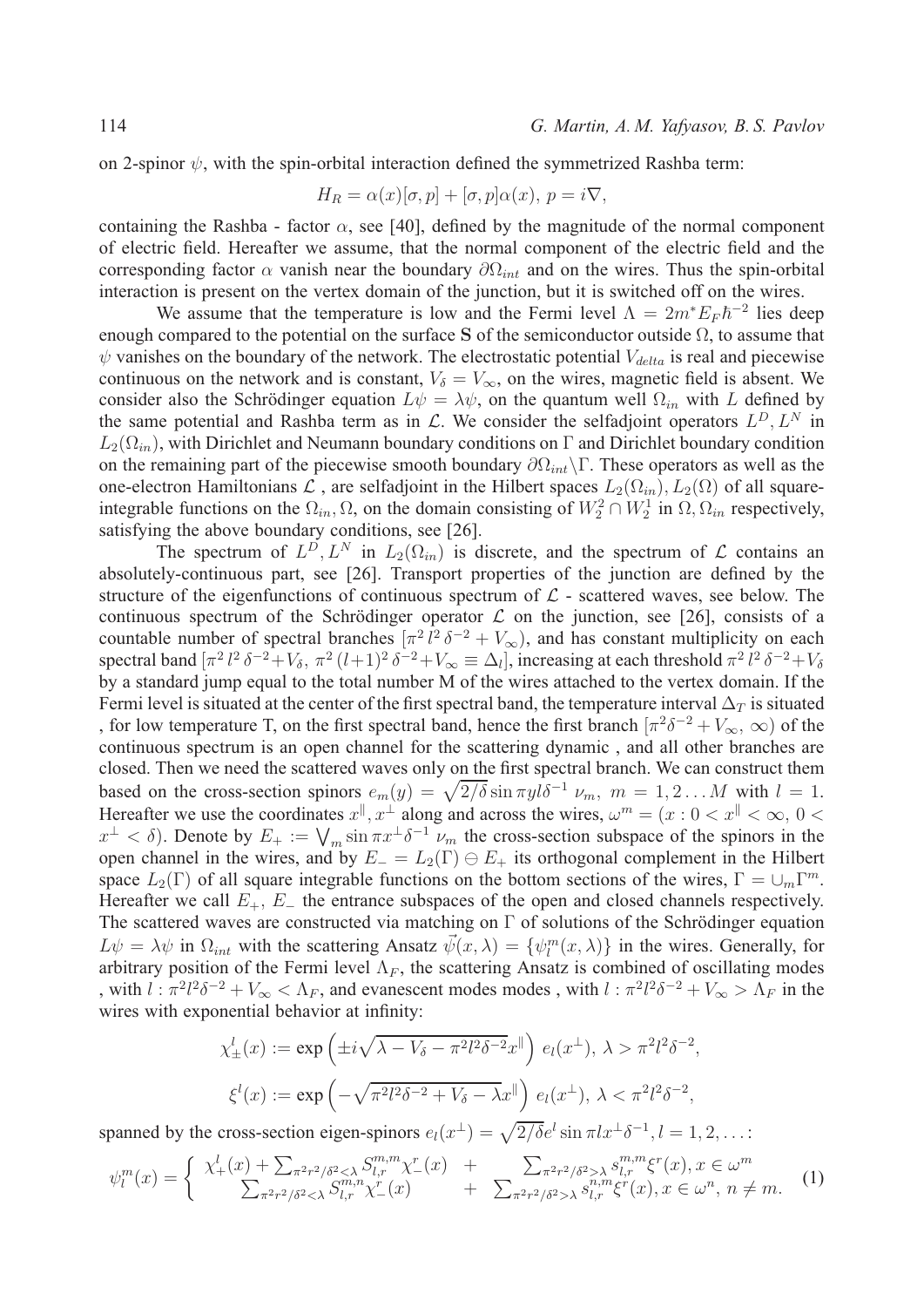on 2-spinor  $\psi$ , with the spin-orbital interaction defined the symmetrized Rashba term:

$$
H_R = \alpha(x)[\sigma, p] + [\sigma, p]\alpha(x), \ p = i\nabla,
$$

containing the Rashba - factor  $\alpha$ , see [40], defined by the magnitude of the normal component of electric field. Hereafter we assume, that the normal component of the electric field and the corresponding factor  $\alpha$  vanish near the boundary  $\partial\Omega_{int}$  and on the wires. Thus the spin-orbital interaction is present on the vertex domain of the junction, but it is switched off on the wires.

We assume that the temperature is low and the Fermi level  $\Lambda=2m^* E_F \hbar^{-2}$  lies deep enough compared to the potential on the surface **S** of the semiconductor outside Ω, to assume that  $\psi$  vanishes on the boundary of the network. The electrostatic potential  $V_{delta}$  is real and piecewise continuous on the network and is constant,  $V_{\delta} = V_{\infty}$ , on the wires, magnetic field is absent. We consider also the Schrödinger equation  $L\psi = \lambda \psi$ , on the quantum well  $\Omega_{in}$  with L defined by the same potential and Rashba term as in  $\mathcal{L}$ . We consider the selfadjoint operators  $L^D, L^N$  in  $L_2(\Omega_{in})$ , with Dirichlet and Neumann boundary conditions on Γ and Dirichlet boundary condition on the remaining part of the piecewise smooth boundary  $\partial\Omega_{int}\rangle\Gamma$ . These operators as well as the one-electron Hamiltonians  $\mathcal L$ , are selfadjoint in the Hilbert spaces  $L_2(\Omega_{in})$ ,  $L_2(\Omega)$  of all squareintegrable functions on the  $\Omega_{in}$ ,  $\Omega$ , on the domain consisting of  $W_2^2 \cap W_2^1$  in  $\Omega$ ,  $\Omega_{in}$  respectively, satisfying the above boundary conditions, see [26].

The spectrum of  $L^D, L^N$  in  $L_2(\Omega_{in})$  is discrete, and the spectrum of  $\mathcal L$  contains an absolutely-continuous part, see [26]. Transport properties of the junction are defined by the structure of the eigenfunctions of continuous spectrum of  $\mathcal{L}$  - scattered waves, see below. The continuous spectrum of the Schrödinger operator  $\mathcal L$  on the junction, see [26], consists of a countable number of spectral branches  $[\pi^2 l^2 \delta^{-2} + V_{\infty})$ , and has constant multiplicity on each spectral band  $[\pi^2 l^2 \delta^{-2} + V_\delta, \pi^2 (l+1)^2 \delta^{-2} + V_\infty \equiv \Delta_l]$ , increasing at each threshold  $\pi^2 l^2 \delta^{-2} + V_\delta$ by a standard jump equal to the total number M of the wires attached to the vertex domain. If the Fermi level is situated at the center of the first spectral band, the temperature interval  $\Delta_T$  is situated , for low temperature T, on the first spectral band, hence the first branch  $\pi^2 \delta^{-2} + V_{\infty}$ ,  $\infty$ ) of the continuous spectrum is an open channel for the scattering dynamic , and all other branches are closed. Then we need the scattered waves only on the first spectral branch. We can construct them based on the cross-section spinors  $e_m(y) = \sqrt{\frac{2}{\delta}} \sin \pi y l \delta^{-1} \nu_m$ ,  $m = 1, 2...M$  with  $l = 1$ . Hereafter we use the coordinates  $x^{\parallel}, x^{\perp}$  along and across the wires,  $\omega^{m} = (x : 0 < x^{\parallel} < \infty, 0 < x^{\parallel}$  $x^{\perp} < \delta$ ). Denote by  $E_+ := \bigvee_m \sin \pi x^{\perp} \delta^{-1} \nu_m$  the cross-section subspace of the spinors in the open channel in the wires, and by  $E_$  =  $L_2(\Gamma) \oplus E_+$  its orthogonal complement in the Hilbert space  $L_2(\Gamma)$  of all square integrable functions on the bottom sections of the wires,  $\Gamma = \bigcup_m \Gamma^m$ . Hereafter we call  $E_+$ ,  $E_-$  the entrance subspaces of the open and closed channels respectively. The scattered waves are constructed via matching on  $\Gamma$  of solutions of the Schrödinger equation  $L\psi = \lambda \psi$  in  $\Omega_{int}$  with the scattering Ansatz  $\vec{\psi}(x, \lambda) = {\psi_{l}^{m}(x, \lambda)}$  in the wires. Generally, for arbitrary position of the Fermi level  $\Lambda_F$ , the scattering Ansatz is combined of oscillating modes , with  $l: \pi^2 l^2 \delta^{-2} + V_\infty < \Lambda_F$ , and evanescent modes modes, with  $l: \pi^2 l^2 \delta^{-2} + V_\infty > \Lambda_F$  in the wires with exponential behavior at infinity:

$$
\chi_{\pm}^{l}(x) := \exp\left(\pm i\sqrt{\lambda - V_{\delta} - \pi^{2}l^{2}\delta^{-2}}x^{\parallel}\right) e_{l}(x^{\perp}), \ \lambda > \pi^{2}l^{2}\delta^{-2},
$$

$$
\xi^{l}(x) := \exp\left(-\sqrt{\pi^{2}l^{2}\delta^{-2} + V_{\delta} - \lambda}x^{\parallel}\right) e_{l}(x^{\perp}), \ \lambda < \pi^{2}l^{2}\delta^{-2},
$$

spanned by the cross-section eigen-spinors  $e_l(x^{\perp}) = \sqrt{2/\delta}e^l \sin \pi l x^{\perp} \delta^{-1}$ ,  $l = 1, 2, \ldots$ :

$$
\psi_l^m(x) = \begin{cases} \chi_+^l(x) + \sum_{\pi^2 r^2/\delta^2 < \lambda \\ \sum_{\pi^2 r^2/\delta^2 < \lambda \end{cases} \begin{cases} S_{l,r}^{m,m} \chi_-^r(x) & + \\ \sum_{\pi^2 r^2/\delta^2 < \lambda \end{cases} \begin{cases} \sum_{\pi^2 r^2/\delta^2 > \lambda \\ \lambda_{l,r}^{m,m} \xi_l^r(x), x \in \omega^m, n \neq m. \end{cases} \end{cases} \tag{1}
$$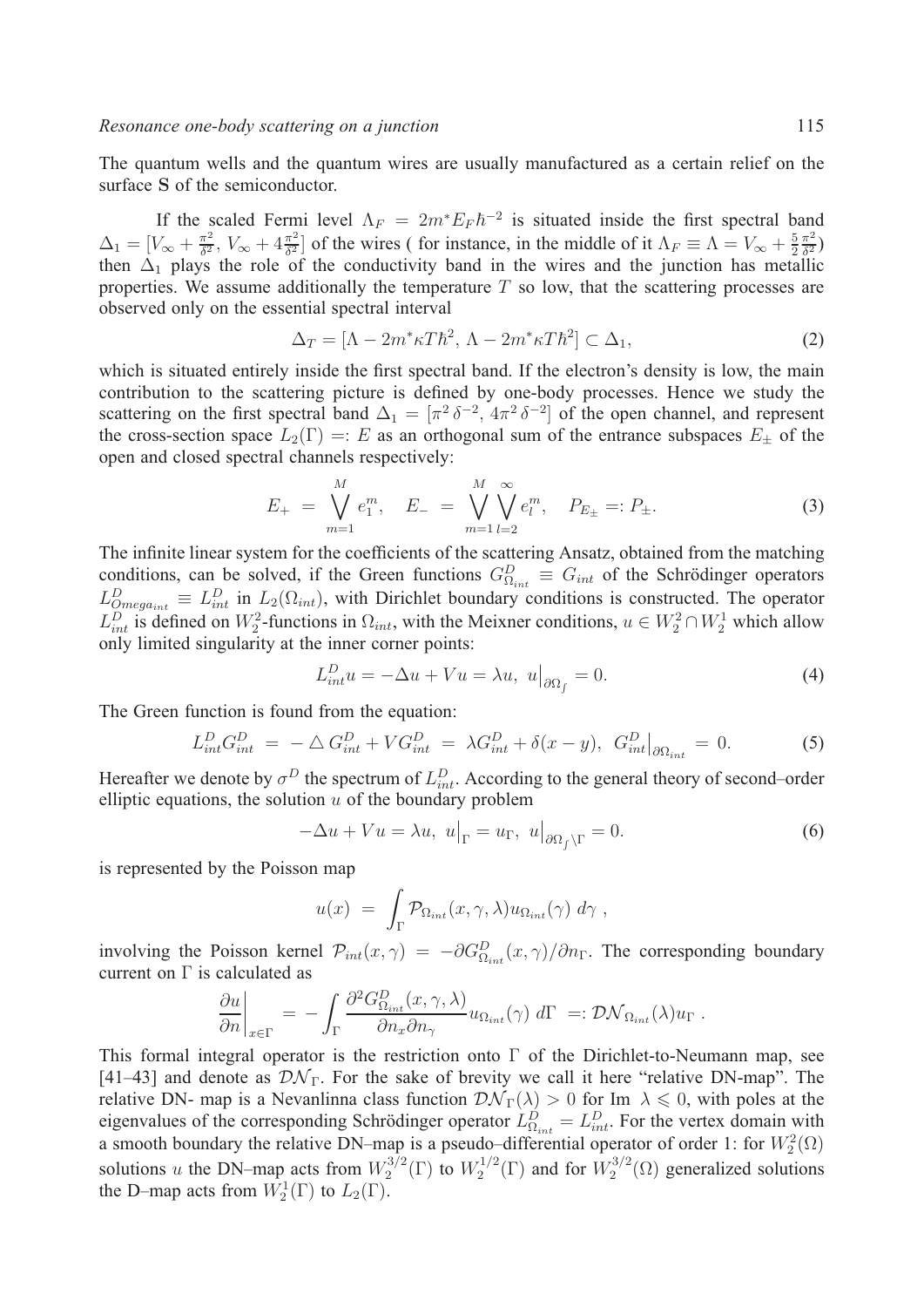The quantum wells and the quantum wires are usually manufactured as a certain relief on the surface **S** of the semiconductor.

If the scaled Fermi level  $\Lambda_F = 2m^* E_F \hbar^{-2}$  is situated inside the first spectral band  $\Delta_1 = [V_{\infty} + \frac{\pi^2}{\delta^2}, V_{\infty} + 4\frac{\pi^2}{\delta^2}]$  of the wires (for instance, in the middle of it  $\Lambda_F \equiv \Lambda = V_{\infty} + \frac{5\pi}{2}$  $\frac{\pi^2}{\delta^2}$ then  $\Delta_1$  plays the role of the conductivity band in the wires and the junction has metallic properties. We assume additionally the temperature  $T$  so low, that the scattering processes are observed only on the essential spectral interval

$$
\Delta_T = [\Lambda - 2m^* \kappa T \hbar^2, \Lambda - 2m^* \kappa T \hbar^2] \subset \Delta_1,\tag{2}
$$

which is situated entirely inside the first spectral band. If the electron's density is low, the main contribution to the scattering picture is defined by one-body processes. Hence we study the scattering on the first spectral band  $\Delta_1 = [\pi^2 \delta^{-2}, 4\pi^2 \delta^{-2}]$  of the open channel, and represent the cross-section space  $L_2(\Gamma) =: E$  as an orthogonal sum of the entrance subspaces  $E_+$  of the open and closed spectral channels respectively:

$$
E_{+} = \bigvee_{m=1}^{M} e_{1}^{m}, \quad E_{-} = \bigvee_{m=1}^{M} \bigvee_{l=2}^{\infty} e_{l}^{m}, \quad P_{E_{\pm}} =: P_{\pm}.
$$
 (3)

The infinite linear system for the coefficients of the scattering Ansatz, obtained from the matching conditions, can be solved, if the Green functions  $G_{\Omega_{int}}^D \equiv G_{int}$  of the Schrödinger operators  $L_{Omega_{int}}^D \equiv L_{int}^D$  in  $L_2(\Omega_{int})$ , with Dirichlet boundary conditions is constructed. The operator  $L_{int}^D$  is defined on  $W_2^2$ -functions in  $\Omega_{int}$ , with the Meixner conditions,  $u \in W_2^2 \cap W_2^1$  which allow only limited singularity at the inner corner points:

$$
L_{int}^{D} u = -\Delta u + Vu = \lambda u, \ u\big|_{\partial \Omega_f} = 0. \tag{4}
$$

The Green function is found from the equation:

$$
L_{int}^{D} G_{int}^{D} = -\Delta G_{int}^{D} + V G_{int}^{D} = \lambda G_{int}^{D} + \delta(x - y), \ G_{int}^{D} \Big|_{\partial \Omega_{int}} = 0.
$$
 (5)

Hereafter we denote by  $\sigma^D$  the spectrum of  $L_{int}^D$ . According to the general theory of second–order elliptic equations, the solution  $u$  of the boundary problem

$$
-\Delta u + Vu = \lambda u, \ u\big|_{\Gamma} = u_{\Gamma}, \ u\big|_{\partial \Omega_f \backslash \Gamma} = 0. \tag{6}
$$

is represented by the Poisson map

$$
u(x) = \int_{\Gamma} \mathcal{P}_{\Omega_{int}}(x,\gamma,\lambda) u_{\Omega_{int}}(\gamma) d\gamma,
$$

involving the Poisson kernel  $\mathcal{P}_{int}(x, \gamma) = -\partial G_{\Omega_{int}}^D(x, \gamma)/\partial n_\Gamma$ . The corresponding boundary current on  $\Gamma$  is calculated as

$$
\left. \frac{\partial u}{\partial n} \right|_{x \in \Gamma} = - \int_{\Gamma} \frac{\partial^2 G_{\Omega_{int}}^D(x, \gamma, \lambda)}{\partial n_x \partial n_\gamma} u_{\Omega_{int}}(\gamma) d\Gamma =: \mathcal{D} \mathcal{N}_{\Omega_{int}}(\lambda) u_{\Gamma}.
$$

This formal integral operator is the restriction onto  $\Gamma$  of the Dirichlet-to-Neumann map, see [41–43] and denote as  $\mathcal{D}\mathcal{N}_{\Gamma}$ . For the sake of brevity we call it here "relative DN-map". The relative DN- map is a Nevanlinna class function  $\mathcal{D}\mathcal{N}_{\Gamma}(\lambda) > 0$  for Im  $\lambda \leq 0$ , with poles at the eigenvalues of the corresponding Schrödinger operator  $L_{\Omega_{int}}^D = L_{int}^D$ . For the vertex domain with a smooth boundary the relative DN–map is a pseudo–differential operator of order 1: for  $W_2^2(\Omega)$ solutions u the DN–map acts from  $W_2^{3/2}(\Gamma)$  to  $W_2^{1/2}(\Gamma)$  and for  $W_2^{3/2}(\Omega)$  generalized solutions the D–map acts from  $W_2^1(\Gamma)$  to  $L_2(\Gamma)$ .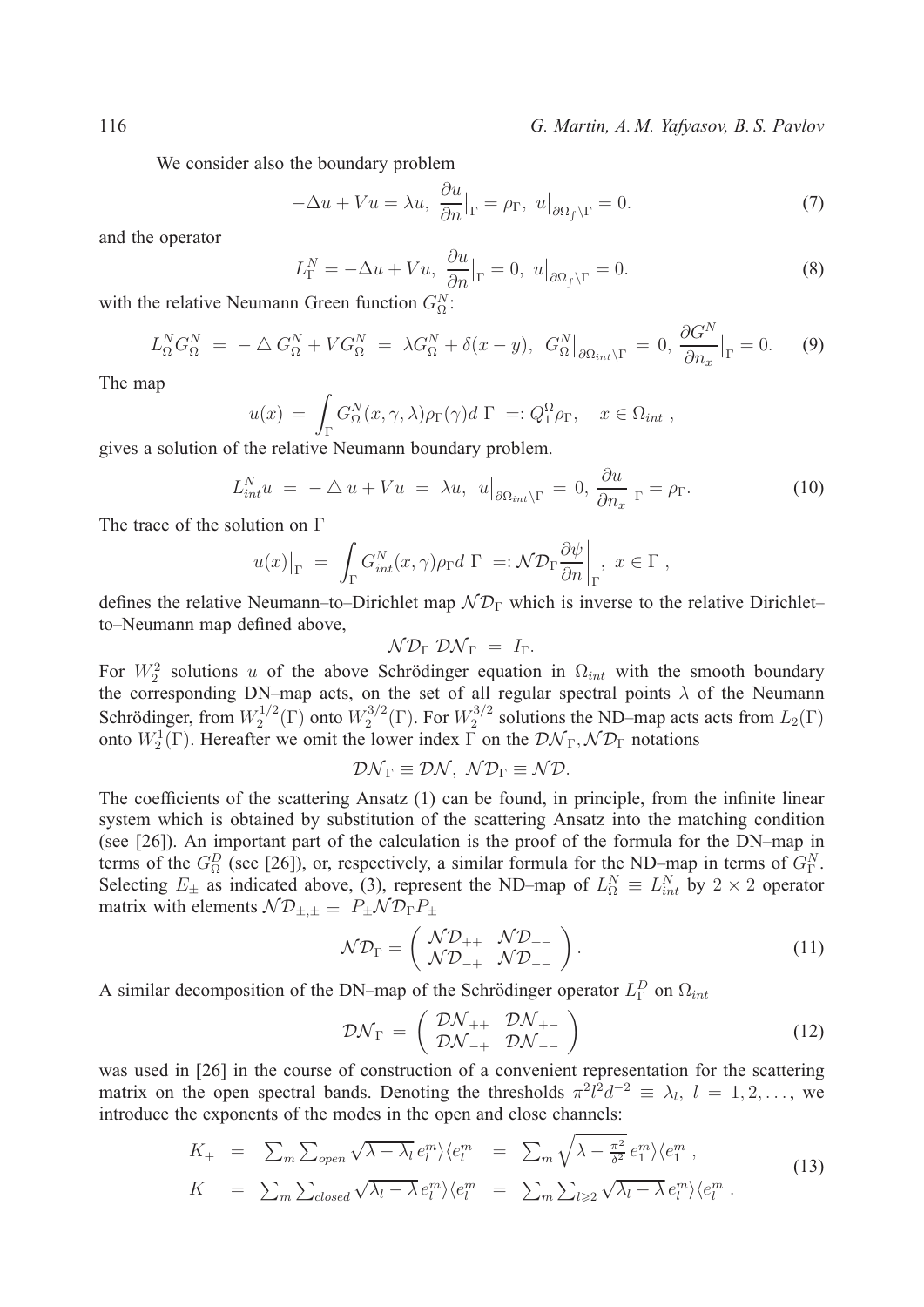116 *G. Martin, A. M. Yafyasov, B. S. Pavlov*

We consider also the boundary problem

$$
-\Delta u + Vu = \lambda u, \frac{\partial u}{\partial n}|_{\Gamma} = \rho_{\Gamma}, \ u|_{\partial \Omega_f \backslash \Gamma} = 0. \tag{7}
$$

and the operator

$$
L_{\Gamma}^{N} = -\Delta u + Vu, \frac{\partial u}{\partial n}|_{\Gamma} = 0, \ u|_{\partial \Omega_{f} \backslash \Gamma} = 0.
$$
 (8)

with the relative Neumann Green function  $G_{\Omega}^{N}$ :

$$
L_{\Omega}^N G_{\Omega}^N = -\Delta G_{\Omega}^N + V G_{\Omega}^N = \lambda G_{\Omega}^N + \delta(x - y), \ G_{\Omega}^N|_{\partial \Omega_{int} \backslash \Gamma} = 0, \ \frac{\partial G^N}{\partial n_x}|_{\Gamma} = 0. \tag{9}
$$

The map

$$
u(x) = \int_{\Gamma} G_{\Omega}^{N}(x, \gamma, \lambda) \rho_{\Gamma}(\gamma) d\Gamma =: Q_{1}^{\Omega} \rho_{\Gamma}, \quad x \in \Omega_{int},
$$

gives a solution of the relative Neumann boundary problem.

$$
L_{int}^{N} u = -\Delta u + Vu = \lambda u, \ u\big|_{\partial\Omega_{int}\backslash\Gamma} = 0, \frac{\partial u}{\partial n_x}\big|_{\Gamma} = \rho_{\Gamma}.
$$
 (10)

The trace of the solution on Γ

$$
u(x)|_{\Gamma} = \int_{\Gamma} G_{int}^{N}(x,\gamma)\rho_{\Gamma} d\Gamma =: \mathcal{N}\mathcal{D}_{\Gamma}\frac{\partial\psi}{\partial n}\bigg|_{\Gamma}, \ x \in \Gamma,
$$

defines the relative Neumann–to–Dirichlet map  $ND_{\Gamma}$  which is inverse to the relative Dirichlet– to–Neumann map defined above,

$$
\mathcal{N}\mathcal{D}_{\Gamma} \mathcal{D}\mathcal{N}_{\Gamma} = I_{\Gamma}.
$$

For  $W_2^2$  solutions u of the above Schrödinger equation in  $\Omega_{int}$  with the smooth boundary the corresponding DN–map acts, on the set of all regular spectral points  $\lambda$  of the Neumann Schrödinger, from  $W_2^{1/2}(\Gamma)$  onto  $W_2^{3/2}(\Gamma)$ . For  $W_2^{3/2}$  solutions the ND-map acts acts from  $L_2(\Gamma)$ onto  $W_2^1(\Gamma)$ . Hereafter we omit the lower index  $\Gamma$  on the  $\mathcal{D}\mathcal{N}_{\Gamma}, \mathcal{N}\mathcal{D}_{\Gamma}$  notations

$$
D\mathcal{N}_{\Gamma} \equiv \mathcal{D}\mathcal{N}, \ \mathcal{N}\mathcal{D}_{\Gamma} \equiv \mathcal{N}\mathcal{D}.
$$

The coefficients of the scattering Ansatz (1) can be found, in principle, from the infinite linear system which is obtained by substitution of the scattering Ansatz into the matching condition (see [26]). An important part of the calculation is the proof of the formula for the DN–map in terms of the  $G_{\Omega}^{D}$  (see [26]), or, respectively, a similar formula for the ND–map in terms of  $G_{\Gamma}^{N}$ . Selecting  $E_{\pm}$  as indicated above, (3), represent the ND–map of  $L_{\Omega}^{N} \equiv L_{int}^{N}$  by  $2 \times 2$  operator matrix with elements  $N \mathcal{D}_{\pm,\pm} \equiv P_{\pm} \mathcal{N} \mathcal{D}_{\Gamma} P_{\pm}$ 

$$
\mathcal{N}\mathcal{D}_{\Gamma} = \begin{pmatrix} \mathcal{N}\mathcal{D}_{++} & \mathcal{N}\mathcal{D}_{+-} \\ \mathcal{N}\mathcal{D}_{-+} & \mathcal{N}\mathcal{D}_{--} \end{pmatrix} . \tag{11}
$$

A similar decomposition of the DN–map of the Schrödinger operator  $L_{\Gamma}^{D}$  on  $\Omega_{int}$ 

$$
\mathcal{D}\mathcal{N}_{\Gamma} = \left(\begin{array}{cc} \mathcal{D}\mathcal{N}_{++} & \mathcal{D}\mathcal{N}_{+-} \\ \mathcal{D}\mathcal{N}_{-+} & \mathcal{D}\mathcal{N}_{--} \end{array}\right) \tag{12}
$$

was used in [26] in the course of construction of a convenient representation for the scattering matrix on the open spectral bands. Denoting the thresholds  $\pi^2 l^2 d^{-2} \equiv \lambda_l, l = 1, 2, \dots$ , we introduce the exponents of the modes in the open and close channels:

$$
K_{+} = \sum_{m} \sum_{open} \sqrt{\lambda - \lambda_{l}} e_{l}^{m} \langle e_{l}^{m} = \sum_{m} \sqrt{\lambda - \frac{\pi^{2}}{\delta^{2}}} e_{1}^{m} \rangle \langle e_{1}^{m},
$$
  
\n
$$
K_{-} = \sum_{m} \sum_{closed} \sqrt{\lambda_{l} - \lambda} e_{l}^{m} \rangle \langle e_{l}^{m} = \sum_{m} \sum_{l \geq 2} \sqrt{\lambda_{l} - \lambda} e_{l}^{m} \rangle \langle e_{l}^{m}.
$$
\n(13)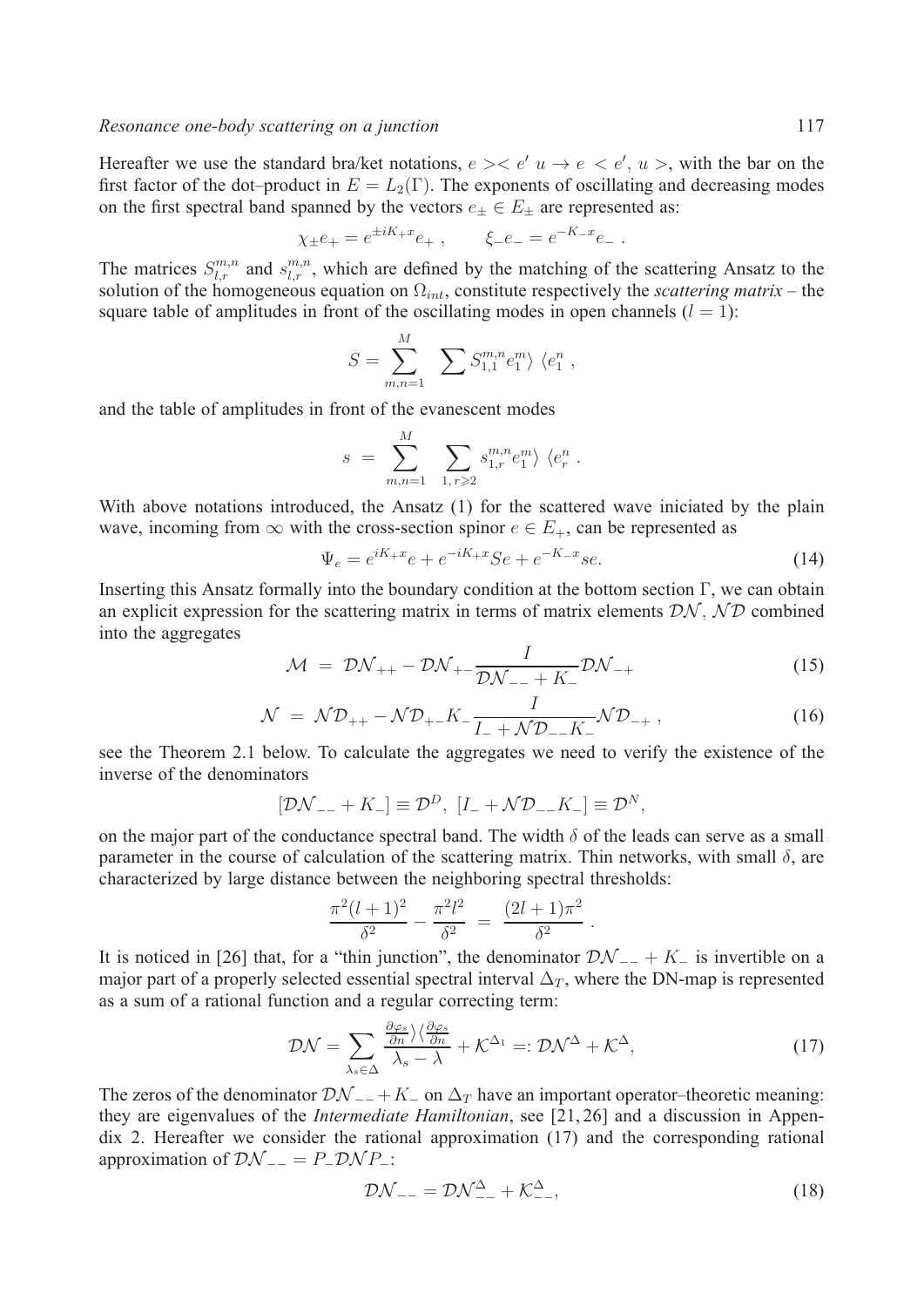Hereafter we use the standard bra/ket notations,  $e \searrow e'$   $u \rightarrow e \le e'$ ,  $u >$ , with the bar on the first factor of the dot–product in  $E = L_2(\Gamma)$ . The exponents of oscillating and decreasing modes on the first spectral band spanned by the vectors  $e_{\pm} \in E_{\pm}$  are represented as:

$$
\chi_{\pm} e_+ = e^{\pm i K_+ x} e_+ \ , \qquad \xi_- e_- = e^{-K_- x} e_- \ .
$$

The matrices  $S_{l,r}^{m,n}$  and  $s_{l,r}^{m,n}$ , which are defined by the matching of the scattering Ansatz to the solution of the homogeneous equation on  $\Omega_{int}$ , constitute respectively the *scattering matrix* – the square table of amplitudes in front of the oscillating modes in open channels  $(l = 1)$ :

$$
S = \sum_{m,n=1}^{M} \sum S_{1,1}^{m,n} e_1^m \rangle \langle e_1^n ,
$$

and the table of amplitudes in front of the evanescent modes

$$
s = \sum_{m,n=1}^{M} \sum_{1, r \geq 2} s^{m,n}_{1,r} e_1^m \rangle \langle e_r^n .
$$

With above notations introduced, the Ansatz (1) for the scattered wave iniciated by the plain wave, incoming from  $\infty$  with the cross-section spinor  $e \in E_+$ , can be represented as

$$
\Psi_e = e^{iK_+x}e + e^{-iK_+x}Se + e^{-K_-x}se.
$$
\n(14)

Inserting this Ansatz formally into the boundary condition at the bottom section Γ, we can obtain an explicit expression for the scattering matrix in terms of matrix elements  $\mathcal{D}\mathcal{N}, \mathcal{N}\mathcal{D}$  combined into the aggregates

$$
\mathcal{M} = \mathcal{D}\mathcal{N}_{++} - \mathcal{D}\mathcal{N}_{+-} \frac{I}{\mathcal{D}\mathcal{N}_{--} + K_{-}} \mathcal{D}\mathcal{N}_{-+}
$$
(15)

$$
\mathcal{N} = \mathcal{N}\mathcal{D}_{++} - \mathcal{N}\mathcal{D}_{+-}K_{-}\frac{I}{I_{-} + \mathcal{N}\mathcal{D}_{--}K_{-}}\mathcal{N}\mathcal{D}_{-+} ,\qquad (16)
$$

see the Theorem 2.1 below. To calculate the aggregates we need to verify the existence of the inverse of the denominators

$$
[\mathcal{D}\mathcal{N}_{--} + K_{-}] \equiv \mathcal{D}^{D}, [I_{-} + \mathcal{N}\mathcal{D}_{--} K_{-}] \equiv \mathcal{D}^{N},
$$

on the major part of the conductance spectral band. The width  $\delta$  of the leads can serve as a small parameter in the course of calculation of the scattering matrix. Thin networks, with small  $\delta$ , are characterized by large distance between the neighboring spectral thresholds:

$$
\frac{\pi^2(l+1)^2}{\delta^2} - \frac{\pi^2 l^2}{\delta^2} = \frac{(2l+1)\pi^2}{\delta^2}.
$$

It is noticed in [26] that, for a "thin junction", the denominator  $\mathcal{D}\mathcal{N}_{-+} + K_{-}$  is invertible on a major part of a properly selected essential spectral interval  $\Delta_T$ , where the DN-map is represented as a sum of a rational function and a regular correcting term:

$$
\mathcal{D}\mathcal{N} = \sum_{\lambda_s \in \Delta} \frac{\frac{\partial \varphi_s}{\partial n} \rangle \langle \frac{\partial \varphi_s}{\partial n}}{\lambda_s - \lambda} + \mathcal{K}^{\Delta_1} =: \mathcal{D}\mathcal{N}^{\Delta} + \mathcal{K}^{\Delta},\tag{17}
$$

The zeros of the denominator  $\mathcal{D}\mathcal{N}_{-+} + K_{-}$  on  $\Delta_T$  have an important operator–theoretic meaning: they are eigenvalues of the *Intermediate Hamiltonian*, see [21, 26] and a discussion in Appendix 2. Hereafter we consider the rational approximation (17) and the corresponding rational approximation of  $\mathcal{D}\mathcal{N}_{--} = P_- \mathcal{D}\mathcal{N} P_-\colon$ 

$$
\mathcal{D}\mathcal{N}_{--} = \mathcal{D}\mathcal{N}_{--}^{\Delta} + \mathcal{K}_{--}^{\Delta},\tag{18}
$$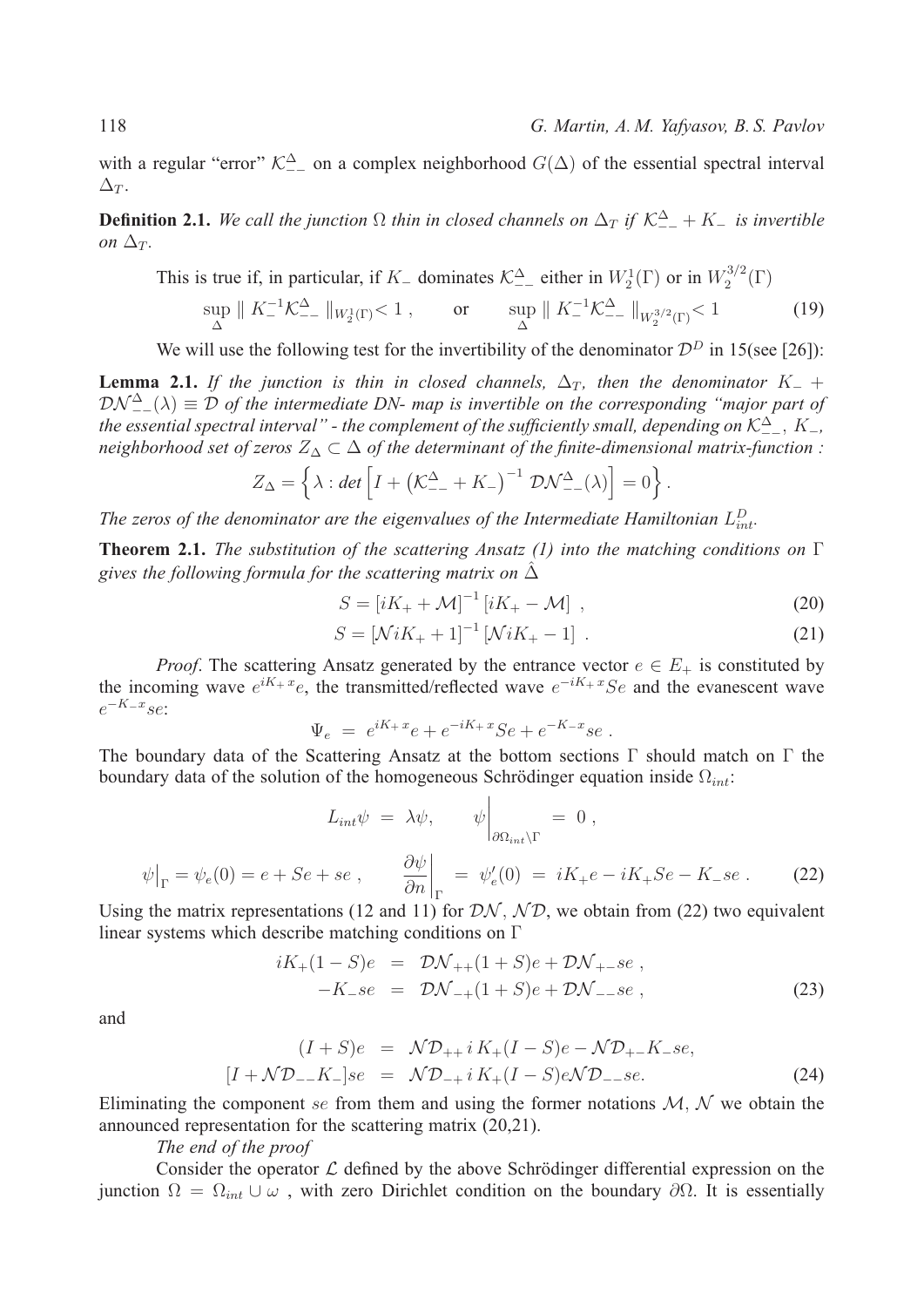with a regular "error"  $\mathcal{K}_{--}^{\Delta}$  on a complex neighborhood  $G(\Delta)$  of the essential spectral interval  $\Delta_T$ .

**Definition 2.1.** We call the junction  $\Omega$  thin in closed channels on  $\Delta_T$  if  $\mathcal{K}_{--}^{\Delta} + K_-$  is invertible *on*  $\Delta_T$ .

This is true if, in particular, if  $K_-\$  dominates  $\mathcal{K}_{--}^{\Delta}$  either in  $W_2^1(\Gamma)$  or in  $W_2^{3/2}(\Gamma)$ 

$$
\sup_{\Delta} \| K_-^{-1} \mathcal{K}_{--}^{\Delta} \|_{W_2^1(\Gamma)} < 1 \,, \qquad \text{or} \qquad \sup_{\Delta} \| K_-^{-1} \mathcal{K}_{--}^{\Delta} \|_{W_2^{3/2}(\Gamma)} < 1 \tag{19}
$$

We will use the following test for the invertibility of the denominator  $\mathcal{D}^D$  in 15(see [26]):

**Lemma 2.1.** *If the junction is thin in closed channels,*  $\Delta_T$ *, then the denominator*  $K_-$  +  $\mathcal{D} \mathcal{N}_{--}^{\Delta}(\lambda) \equiv \mathcal{D}$  of the intermediate DN- map is invertible on the corresponding "major part of *the essential spectral interval" - the complement of the sufficiently small, depending on*  $K^{\Delta}_{--}$ ,  $K_{-}$ , *neighborhood set of zeros*  $Z_{\Delta} \subset \Delta$  *of the determinant of the finite-dimensional matrix-function :* 

$$
Z_{\Delta} = \left\{ \lambda : \det \left[ I + \left( \mathcal{K}^{\Delta}_{--} + K_{-} \right)^{-1} \mathcal{D} \mathcal{N}^{\Delta}_{--}(\lambda) \right] = 0 \right\}.
$$

The zeros of the denominator are the eigenvalues of the Intermediate Hamiltonian  $L_{int}^D$ .

**Theorem 2.1.** *The substitution of the scattering Ansatz (1) into the matching conditions on* Γ gives the following formula for the scattering matrix on  $\Delta$ 

$$
S = [iK_{+} + \mathcal{M}]^{-1} [iK_{+} - \mathcal{M}], \qquad (20)
$$

$$
S = \left[ \mathcal{N}iK_{+} + 1 \right]^{-1} \left[ \mathcal{N}iK_{+} - 1 \right] . \tag{21}
$$

*Proof.* The scattering Ansatz generated by the entrance vector  $e \in E_+$  is constituted by the incoming wave  $e^{iK_+ x}e$ , the transmitted/reflected wave  $e^{-iK_+ x}Se$  and the evanescent wave  $e^{-K-x}$ se

$$
\Psi_e = e^{iK_+ x}e + e^{-iK_+ x}Se + e^{-K_- x}se.
$$

The boundary data of the Scattering Ansatz at the bottom sections  $\Gamma$  should match on  $\Gamma$  the boundary data of the solution of the homogeneous Schrödinger equation inside  $\Omega_{int}$ .

$$
L_{int}\psi = \lambda\psi, \qquad \psi\Big|_{\partial\Omega_{int}\backslash\Gamma} = 0,
$$
  

$$
\psi\Big|_{\Gamma} = \psi_e(0) = e + Se + se, \qquad \frac{\partial\psi}{\partial n}\Big|_{\Gamma} = \psi'_e(0) = iK_+e - iK_+Se - K_-se.
$$
 (22)

Using the matrix representations (12 and 11) for  $\mathcal{D}\mathcal{N}, \mathcal{N}\mathcal{D}$ , we obtain from (22) two equivalent linear systems which describe matching conditions on Γ

$$
iK_{+}(1-S)e = \mathcal{D}\mathcal{N}_{++}(1+S)e + \mathcal{D}\mathcal{N}_{+-}se,
$$
  
-K<sub>-</sub>se =  $\mathcal{D}\mathcal{N}_{-+}(1+S)e + \mathcal{D}\mathcal{N}_{--}se$ , (23)

and

$$
(I + S)e = \mathcal{N}\mathcal{D}_{++} i K_+(I - S)e - \mathcal{N}\mathcal{D}_{+-} K_- se,
$$
  

$$
[I + \mathcal{N}\mathcal{D}_{--} K_-] se = \mathcal{N}\mathcal{D}_{-+} i K_+(I - S)e \mathcal{N}\mathcal{D}_{--} se.
$$
 (24)

Eliminating the component se from them and using the former notations  $M, N$  we obtain the announced representation for the scattering matrix (20,21).

*The end of the proof*

Consider the operator  $\mathcal L$  defined by the above Schrödinger differential expression on the junction  $\Omega = \Omega_{int} \cup \omega$ , with zero Dirichlet condition on the boundary  $\partial \Omega$ . It is essentially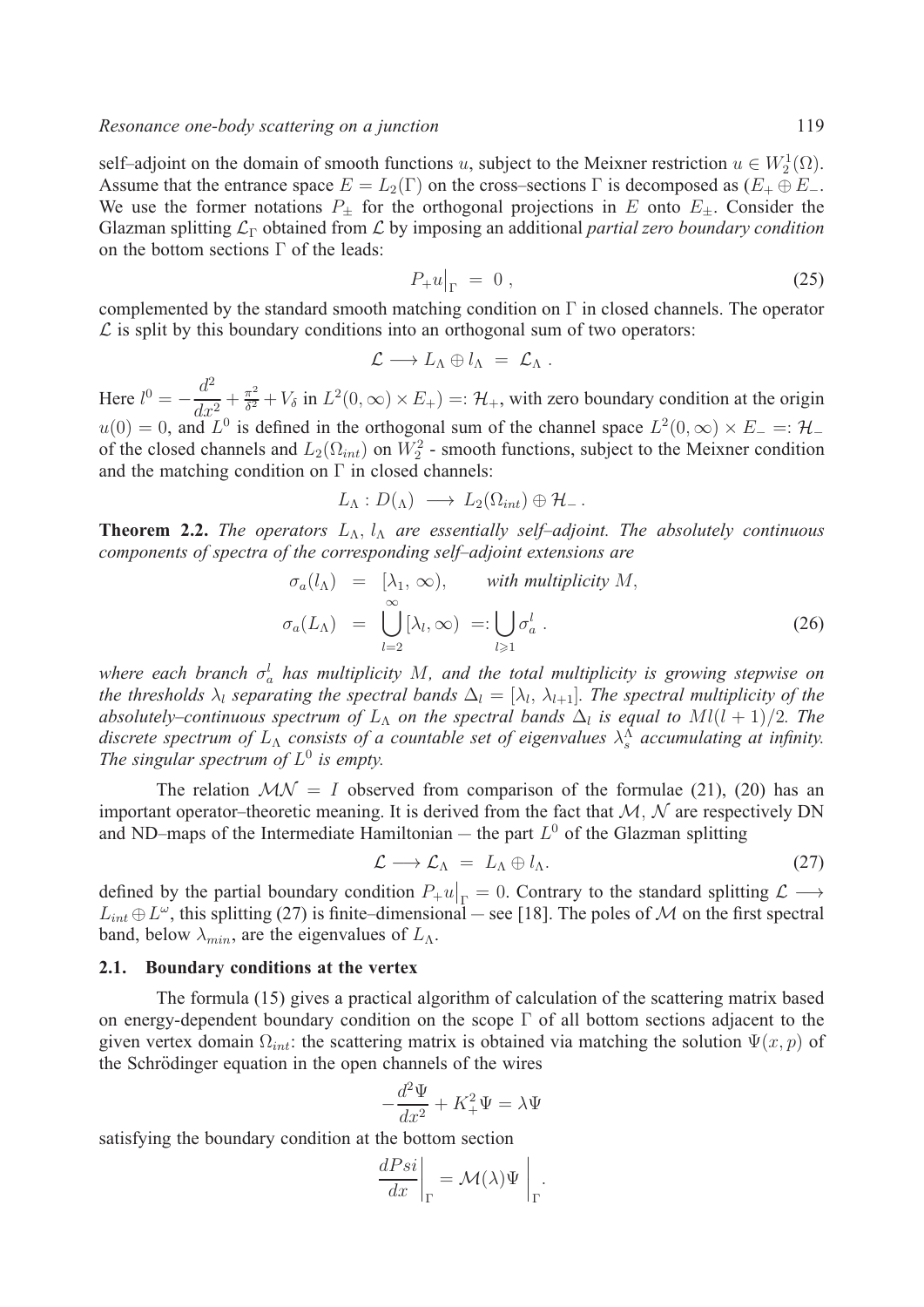self–adjoint on the domain of smooth functions u, subject to the Meixner restriction  $u \in W_2^1(\Omega)$ . Assume that the entrance space  $E = L_2(\Gamma)$  on the cross–sections  $\Gamma$  is decomposed as  $(E_+ \oplus E_-$ . We use the former notations  $P_{\pm}$  for the orthogonal projections in E onto  $E_{\pm}$ . Consider the Glazman splitting ℒ<sup>Γ</sup> obtained from ℒ by imposing an additional *partial zero boundary condition* on the bottom sections Γ of the leads:

$$
P_{+}u|_{\Gamma} = 0, \qquad (25)
$$

complemented by the standard smooth matching condition on Γ in closed channels. The operator  $\mathcal L$  is split by this boundary conditions into an orthogonal sum of two operators:

$$
\mathcal{L}\longrightarrow L_{\Lambda}\oplus l_{\Lambda} = \mathcal{L}_{\Lambda} .
$$

Here  $l^0 = -\frac{d^2}{dx^2} + \frac{\pi^2}{\delta^2} + V_\delta$  in  $L^2(0, \infty) \times E_+) =: \mathcal{H}_+$ , with zero boundary condition at the origin  $u(0) = 0$ , and  $L^0$  is defined in the orthogonal sum of the channel space  $L^2(0, \infty) \times E^- =: \mathcal{H}^$ of the closed channels and  $L_2(\Omega_{int})$  on  $W_2^2$  - smooth functions, subject to the Meixner condition and the matching condition on  $\Gamma$  in closed channels:

$$
L_{\Lambda}: D({_{\Lambda}}) \longrightarrow L_2(\Omega_{int}) \oplus \mathcal{H}_-.
$$

**Theorem 2.2.** *The operators*  $L_{\Lambda}$ ,  $l_{\Lambda}$  *are essentially self-adjoint. The absolutely continuous components of spectra of the corresponding self–adjoint extensions are*

$$
\sigma_a(l_\Lambda) = [\lambda_1, \infty), \quad \text{with multiplicity } M,
$$
  

$$
\sigma_a(L_\Lambda) = \bigcup_{l=2}^\infty [\lambda_l, \infty) =: \bigcup_{l \geq 1} \sigma_a^l.
$$
 (26)

where each branch  $\sigma_a^l$  has multiplicity  $M$ , and the total multiplicity is growing stepwise on *the thresholds*  $\lambda_l$  *separating the spectral bands*  $\Delta_l = [\lambda_l, \lambda_{l+1}]$ *. The spectral multiplicity of the absolutely–continuous spectrum of*  $L_A$  *on the spectral bands*  $\Delta_l$  *is equal to*  $Ml(l + 1)/2$ *. The* discrete spectrum of  $L_{\Lambda}$  consists of a countable set of eigenvalues  $\lambda_s^{\Lambda}$  accumulating at infinity. *The singular spectrum of*  $L^0$  *is empty.* 

The relation  $MN = I$  observed from comparison of the formulae (21), (20) has an important operator–theoretic meaning. It is derived from the fact that  $M, N$  are respectively DN and ND–maps of the Intermediate Hamiltonian – the part  $L^0$  of the Glazman splitting

$$
\mathcal{L} \longrightarrow \mathcal{L}_{\Lambda} = L_{\Lambda} \oplus l_{\Lambda}.
$$
 (27)

defined by the partial boundary condition  $P_+u|_{\Gamma} = 0$ . Contrary to the standard splitting  $\mathcal{L} \longrightarrow$  $L_{int} \oplus L^{\omega}$ , this splitting (27) is finite–dimensional — see [18]. The poles of M on the first spectral band, below  $\lambda_{min}$ , are the eigenvalues of  $L_{\Lambda}$ .

### **2.1. Boundary conditions at the vertex**

The formula (15) gives a practical algorithm of calculation of the scattering matrix based on energy-dependent boundary condition on the scope Γ of all bottom sections adjacent to the given vertex domain  $\Omega_{int}$ : the scattering matrix is obtained via matching the solution  $\Psi(x, p)$  of the Schrödinger equation in the open channels of the wires

$$
-\frac{d^2\Psi}{dx^2} + K_+^2 \Psi = \lambda \Psi
$$

satisfying the boundary condition at the bottom section

$$
\left. \frac{dPsi}{dx} \right|_{\Gamma} = \mathcal{M}(\lambda) \Psi \Big|_{\Gamma}.
$$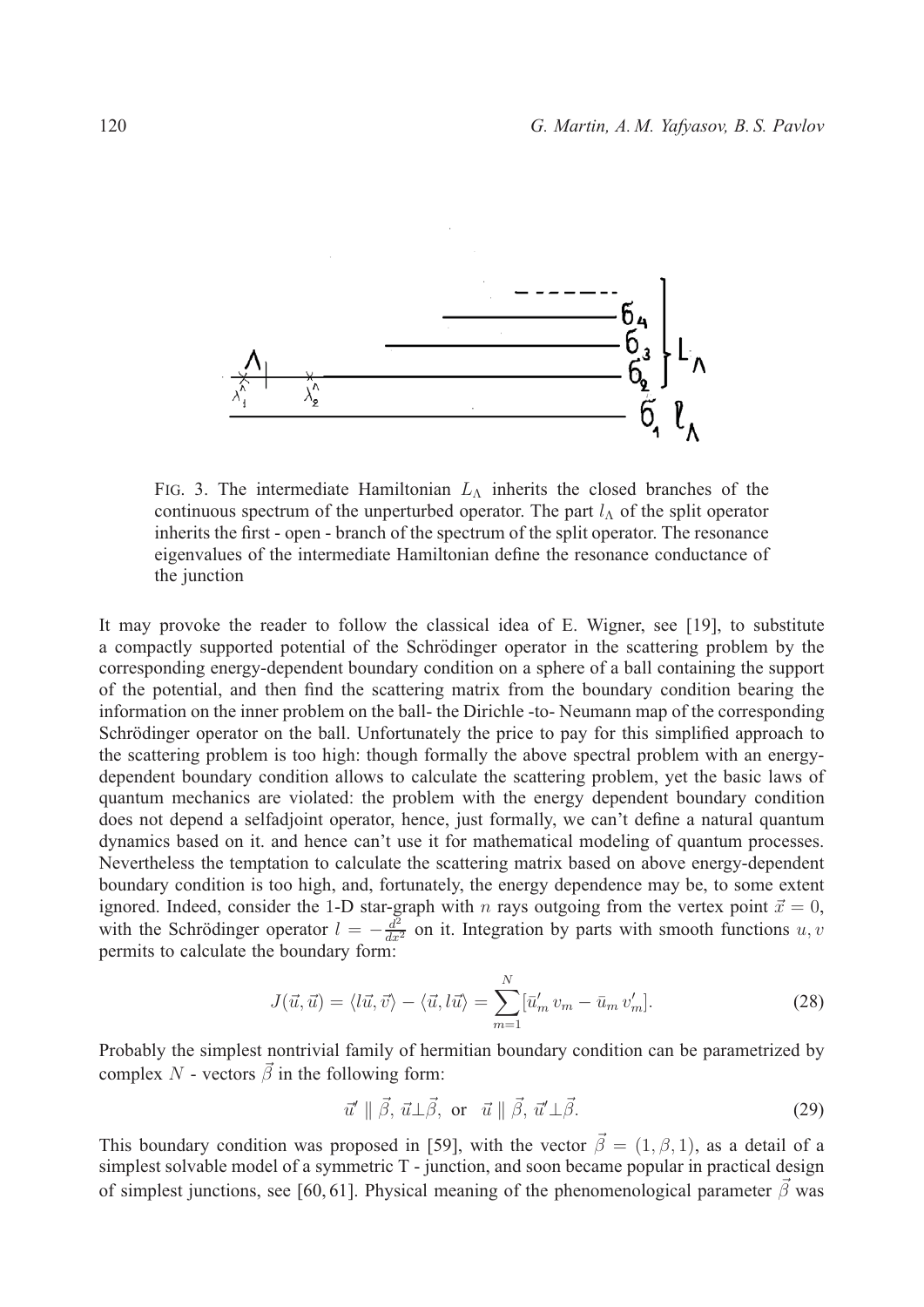

FIG. 3. The intermediate Hamiltonian  $L_{\Lambda}$  inherits the closed branches of the continuous spectrum of the unperturbed operator. The part  $l_A$  of the split operator inherits the first - open - branch of the spectrum of the split operator. The resonance eigenvalues of the intermediate Hamiltonian define the resonance conductance of the junction

It may provoke the reader to follow the classical idea of E. Wigner, see [19], to substitute a compactly supported potential of the Schrödinger operator in the scattering problem by the corresponding energy-dependent boundary condition on a sphere of a ball containing the support of the potential, and then find the scattering matrix from the boundary condition bearing the information on the inner problem on the ball- the Dirichle -to- Neumann map of the corresponding Schrödinger operator on the ball. Unfortunately the price to pay for this simplified approach to the scattering problem is too high: though formally the above spectral problem with an energydependent boundary condition allows to calculate the scattering problem, yet the basic laws of quantum mechanics are violated: the problem with the energy dependent boundary condition does not depend a selfadjoint operator, hence, just formally, we can't define a natural quantum dynamics based on it. and hence can't use it for mathematical modeling of quantum processes. Nevertheless the temptation to calculate the scattering matrix based on above energy-dependent boundary condition is too high, and, fortunately, the energy dependence may be, to some extent ignored. Indeed, consider the 1-D star-graph with *n* rays outgoing from the vertex point  $\vec{x} = 0$ , with the Schrödinger operator  $l = -\frac{d^2}{dx^2}$  on it. Integration by parts with smooth functions u, v permits to calculate the boundary form:

$$
J(\vec{u}, \vec{u}) = \langle l\vec{u}, \vec{v} \rangle - \langle \vec{u}, l\vec{u} \rangle = \sum_{m=1}^{N} [\vec{u}'_m v_m - \vec{u}_m v'_m].
$$
 (28)

Probably the simplest nontrivial family of hermitian boundary condition can be parametrized by complex N - vectors  $\vec{\beta}$  in the following form:

$$
\vec{u}' \parallel \vec{\beta}, \vec{u} \perp \vec{\beta}, \text{ or } \vec{u} \parallel \vec{\beta}, \vec{u}' \perp \vec{\beta}. \tag{29}
$$

This boundary condition was proposed in [59], with the vector  $\vec{\beta} = (1, \beta, 1)$ , as a detail of a simplest solvable model of a symmetric T - junction, and soon became popular in practical design of simplest junctions, see [60, 61]. Physical meaning of the phenomenological parameter  $\vec{\beta}$  was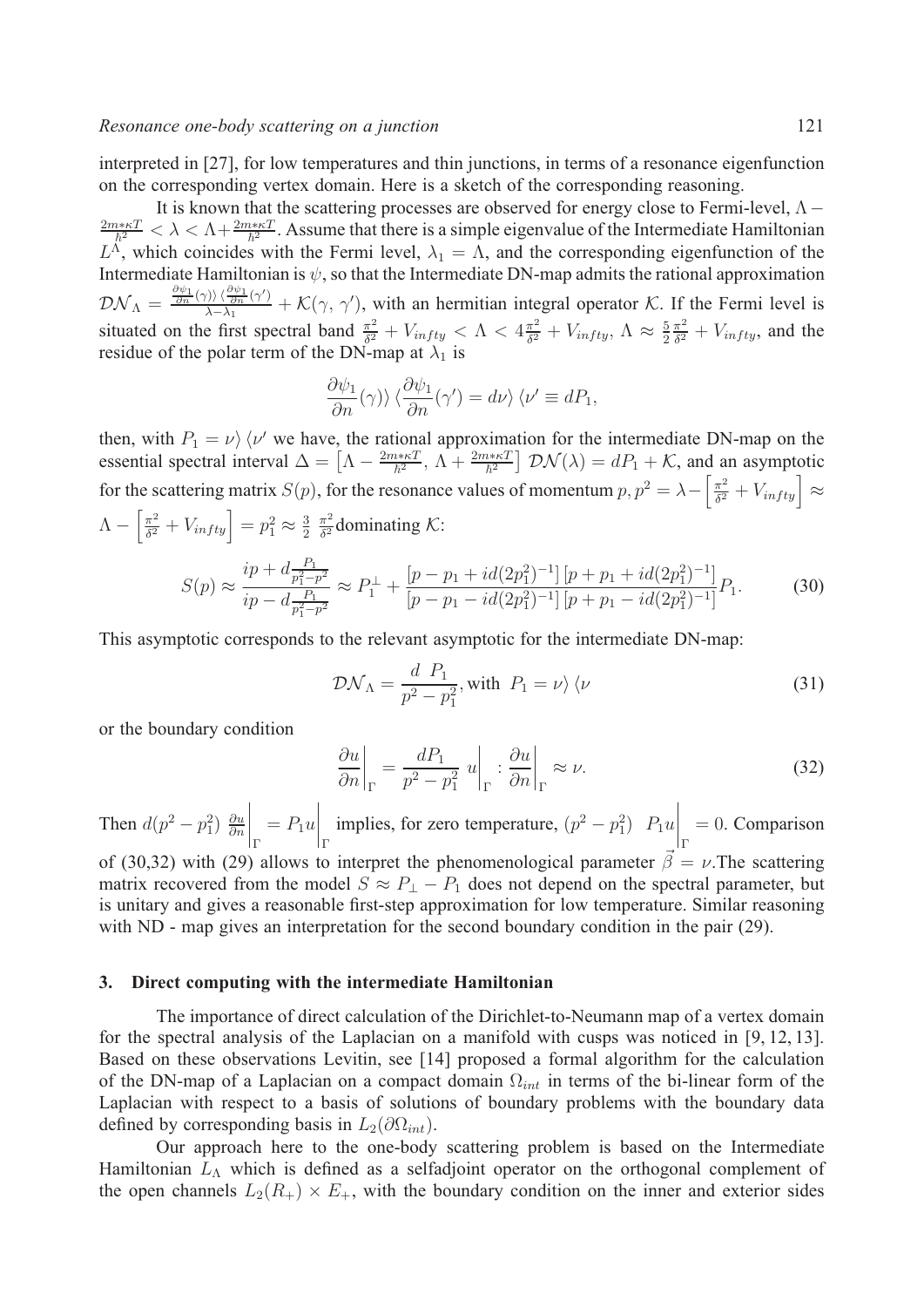interpreted in [27], for low temperatures and thin junctions, in terms of a resonance eigenfunction on the corresponding vertex domain. Here is a sketch of the corresponding reasoning.

It is known that the scattering processes are observed for energy close to Fermi-level,  $\Lambda$  –  $\frac{2m*\kappa T}{\hbar^2}<\lambda<\Lambda+\frac{2m*\kappa T}{\hbar^2}$ . Assume that there is a simple eigenvalue of the Intermediate Hamiltonian  $L^{\Lambda}$ , which coincides with the Fermi level,  $\lambda_1 = \Lambda$ , and the corresponding eigenfunction of the Intermediate Hamiltonian is  $\psi$ , so that the Intermediate DN-map admits the rational approximation  $\mathcal{DN}_\Lambda = \frac{\frac{\partial \psi_1}{\partial n}(\gamma) \frac{\partial \psi_1}{\partial n}(\gamma')}{\lambda - \lambda_1} + \mathcal{K}(\gamma, \gamma'),$  with an hermitian integral operator  $\mathcal{K}$ . If the Fermi level is situated on the first spectral band  $\frac{\pi^2}{\delta^2} + V_{infty} < \Lambda < 4\frac{\pi^2}{\delta^2} + V_{infty}$ ,  $\Lambda \approx \frac{5}{2}$  $\frac{\pi^2}{\delta^2} + V_{infty}$ , and the residue of the polar term of the DN-map at  $\lambda_1$  is

$$
\frac{\partial \psi_1}{\partial n}(\gamma) \rangle \langle \frac{\partial \psi_1}{\partial n}(\gamma') = d\nu \rangle \langle \nu' \equiv dP_1,
$$

then, with  $P_1 = \nu \rangle \langle \nu'$  we have, the rational approximation for the intermediate DN-map on the essential spectral interval  $\Delta = \left[\Lambda - \frac{2m*\kappa T}{\hbar^2}, \Lambda + \frac{2m*\kappa T}{\hbar^2}\right] \mathcal{D}\mathcal{N}(\lambda) = dP_1 + \mathcal{K}$ , and an asymptotic for the scattering matrix  $S(p)$ , for the resonance values of momentum  $p, p^2 = \lambda - \left[\frac{\pi^2}{\delta^2} + V_{infty}\right] \approx$  $\Lambda - \left[\frac{\pi^2}{\delta^2} + V_{infty}\right] = p_1^2 \approx \frac{3}{2}$  $rac{\pi^2}{\delta^2}$ dominating K:

$$
S(p) \approx \frac{ip + d\frac{P_1}{p_1^2 - p^2}}{ip - d\frac{P_1}{p_1^2 - p^2}} \approx P_1^{\perp} + \frac{[p - p_1 + id(2p_1^2)^{-1}][p + p_1 + id(2p_1^2)^{-1}]}{[p - p_1 - id(2p_1^2)^{-1}][p + p_1 - id(2p_1^2)^{-1}]} P_1.
$$
 (30)

This asymptotic corresponds to the relevant asymptotic for the intermediate DN-map:

$$
\mathcal{D}\mathcal{N}_{\Lambda} = \frac{d}{p^2 - p_1^2}, \text{with } P_1 = \nu \rangle \langle \nu \tag{31}
$$

or the boundary condition

$$
\left. \frac{\partial u}{\partial n} \right|_{\Gamma} = \frac{dP_1}{p^2 - p_1^2} u \bigg|_{\Gamma} : \frac{\partial u}{\partial n} \bigg|_{\Gamma} \approx \nu. \tag{32}
$$

Then  $d(p^2 - p_1^2) \frac{\partial u}{\partial n}$  $\Big|$ Γ  $= P_1 u$  $\Big|_{\Gamma}$ implies, for zero temperature,  $(p^2 - p_1^2)$   $P_1u$  $\Big|_{\Gamma}$  $= 0$ . Comparison of (30,32) with (29) allows to interpret the phenomenological parameter  $\vec{\beta} = \nu$ . The scattering matrix recovered from the model  $S \approx P_{\perp} - P_1$  does not depend on the spectral parameter, but is unitary and gives a reasonable first-step approximation for low temperature. Similar reasoning with ND - map gives an interpretation for the second boundary condition in the pair (29).

#### **3. Direct computing with the intermediate Hamiltonian**

The importance of direct calculation of the Dirichlet-to-Neumann map of a vertex domain for the spectral analysis of the Laplacian on a manifold with cusps was noticed in [9, 12, 13]. Based on these observations Levitin, see [14] proposed a formal algorithm for the calculation of the DN-map of a Laplacian on a compact domain  $\Omega_{int}$  in terms of the bi-linear form of the Laplacian with respect to a basis of solutions of boundary problems with the boundary data defined by corresponding basis in  $L_2(\partial\Omega_{int})$ .

Our approach here to the one-body scattering problem is based on the Intermediate Hamiltonian  $L<sub>A</sub>$  which is defined as a selfadjoint operator on the orthogonal complement of the open channels  $L_2(R_+) \times E_+$ , with the boundary condition on the inner and exterior sides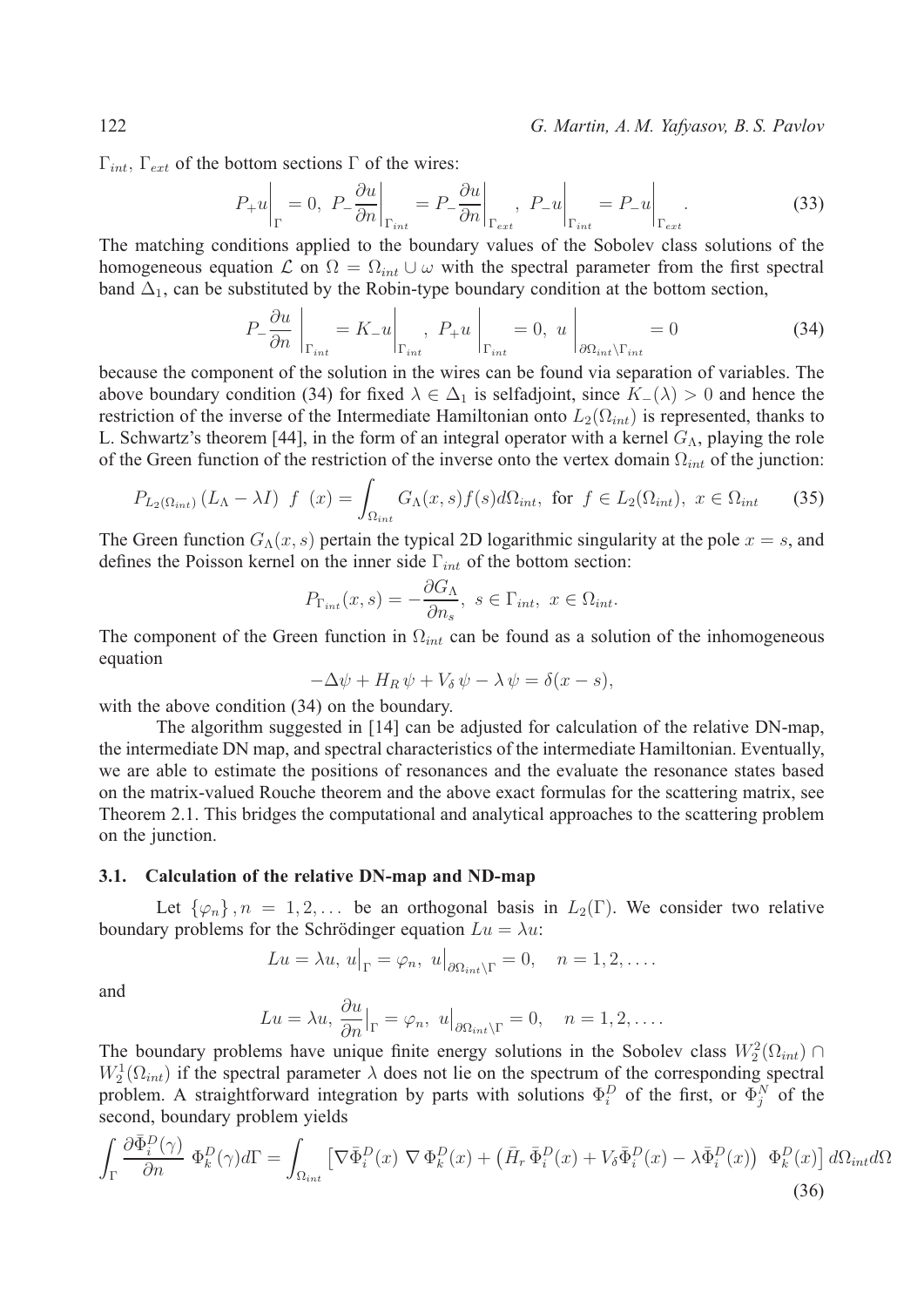122 *G. Martin, A. M. Yafyasov, B. S. Pavlov*

 $\Gamma_{int}$ ,  $\Gamma_{ext}$  of the bottom sections  $\Gamma$  of the wires:

$$
P_{+}u\Big|_{\Gamma} = 0, \ P_{-}\frac{\partial u}{\partial n}\Big|_{\Gamma_{int}} = P_{-}\frac{\partial u}{\partial n}\Big|_{\Gamma_{ext}}, \ P_{-}u\Big|_{\Gamma_{int}} = P_{-}u\Big|_{\Gamma_{ext}}.\tag{33}
$$

The matching conditions applied to the boundary values of the Sobolev class solutions of the homogeneous equation  $\mathcal L$  on  $\Omega = \Omega_{int} \cup \omega$  with the spectral parameter from the first spectral band  $\Delta_1$ , can be substituted by the Robin-type boundary condition at the bottom section,

$$
P_{-} \frac{\partial u}{\partial n} \bigg|_{\Gamma_{int}} = K_{-} u \bigg|_{\Gamma_{int}}, \ P_{+} u \bigg|_{\Gamma_{int}} = 0, \ u \bigg|_{\partial \Omega_{int} \setminus \Gamma_{int}} = 0 \tag{34}
$$

because the component of the solution in the wires can be found via separation of variables. The above boundary condition (34) for fixed  $\lambda \in \Delta_1$  is selfadjoint, since  $K(\lambda) > 0$  and hence the restriction of the inverse of the Intermediate Hamiltonian onto  $L_2(\Omega_{int})$  is represented, thanks to L. Schwartz's theorem [44], in the form of an integral operator with a kernel  $G_{\Lambda}$ , playing the role of the Green function of the restriction of the inverse onto the vertex domain  $\Omega_{int}$  of the junction:

$$
P_{L_2(\Omega_{int})}(L_\Lambda - \lambda I) f(x) = \int_{\Omega_{int}} G_\Lambda(x, s) f(s) d\Omega_{int}, \text{ for } f \in L_2(\Omega_{int}), x \in \Omega_{int} \quad (35)
$$

The Green function  $G_{\Lambda}(x, s)$  pertain the typical 2D logarithmic singularity at the pole  $x = s$ , and defines the Poisson kernel on the inner side  $\Gamma_{int}$  of the bottom section:

$$
P_{\Gamma_{int}}(x,s) = -\frac{\partial G_{\Lambda}}{\partial n_s}, \ s \in \Gamma_{int}, \ x \in \Omega_{int}.
$$

The component of the Green function in  $\Omega_{int}$  can be found as a solution of the inhomogeneous equation

$$
-\Delta \psi + H_R \psi + V_\delta \psi - \lambda \psi = \delta(x - s),
$$

with the above condition  $(34)$  on the boundary.

The algorithm suggested in [14] can be adjusted for calculation of the relative DN-map, the intermediate DN map, and spectral characteristics of the intermediate Hamiltonian. Eventually, we are able to estimate the positions of resonances and the evaluate the resonance states based on the matrix-valued Rouche theorem and the above exact formulas for the scattering matrix, see Theorem 2.1. This bridges the computational and analytical approaches to the scattering problem on the junction.

## **3.1. Calculation of the relative DN-map and ND-map**

Let  $\{\varphi_n\}$ ,  $n = 1, 2, \ldots$  be an orthogonal basis in  $L_2(\Gamma)$ . We consider two relative boundary problems for the Schrödinger equation  $Lu = \lambda u$ :

$$
Lu = \lambda u, \, u\big|_{\Gamma} = \varphi_n, \, u\big|_{\partial \Omega_{int} \setminus \Gamma} = 0, \quad n = 1, 2, \dots.
$$

and

$$
Lu = \lambda u, \frac{\partial u}{\partial n}\big|_{\Gamma} = \varphi_n, \ u\big|_{\partial \Omega_{int} \setminus \Gamma} = 0, \quad n = 1, 2, \dots.
$$

The boundary problems have unique finite energy solutions in the Sobolev class  $W_2^2(\Omega_{int})$  $W_2^1(\Omega_{int})$  if the spectral parameter  $\lambda$  does not lie on the spectrum of the corresponding spectral problem. A straightforward integration by parts with solutions  $\Phi_i^D$  of the first, or  $\Phi_j^N$  of the second, boundary problem yields

$$
\int_{\Gamma} \frac{\partial \bar{\Phi}_i^D(\gamma)}{\partial n} \, \Phi_k^D(\gamma) d\Gamma = \int_{\Omega_{int}} \left[ \nabla \bar{\Phi}_i^D(x) \, \nabla \Phi_k^D(x) + \left( \bar{H}_r \, \bar{\Phi}_i^D(x) + V_\delta \bar{\Phi}_i^D(x) - \lambda \bar{\Phi}_i^D(x) \right) \, \Phi_k^D(x) \right] d\Omega_{int} d\Omega
$$
\n(36)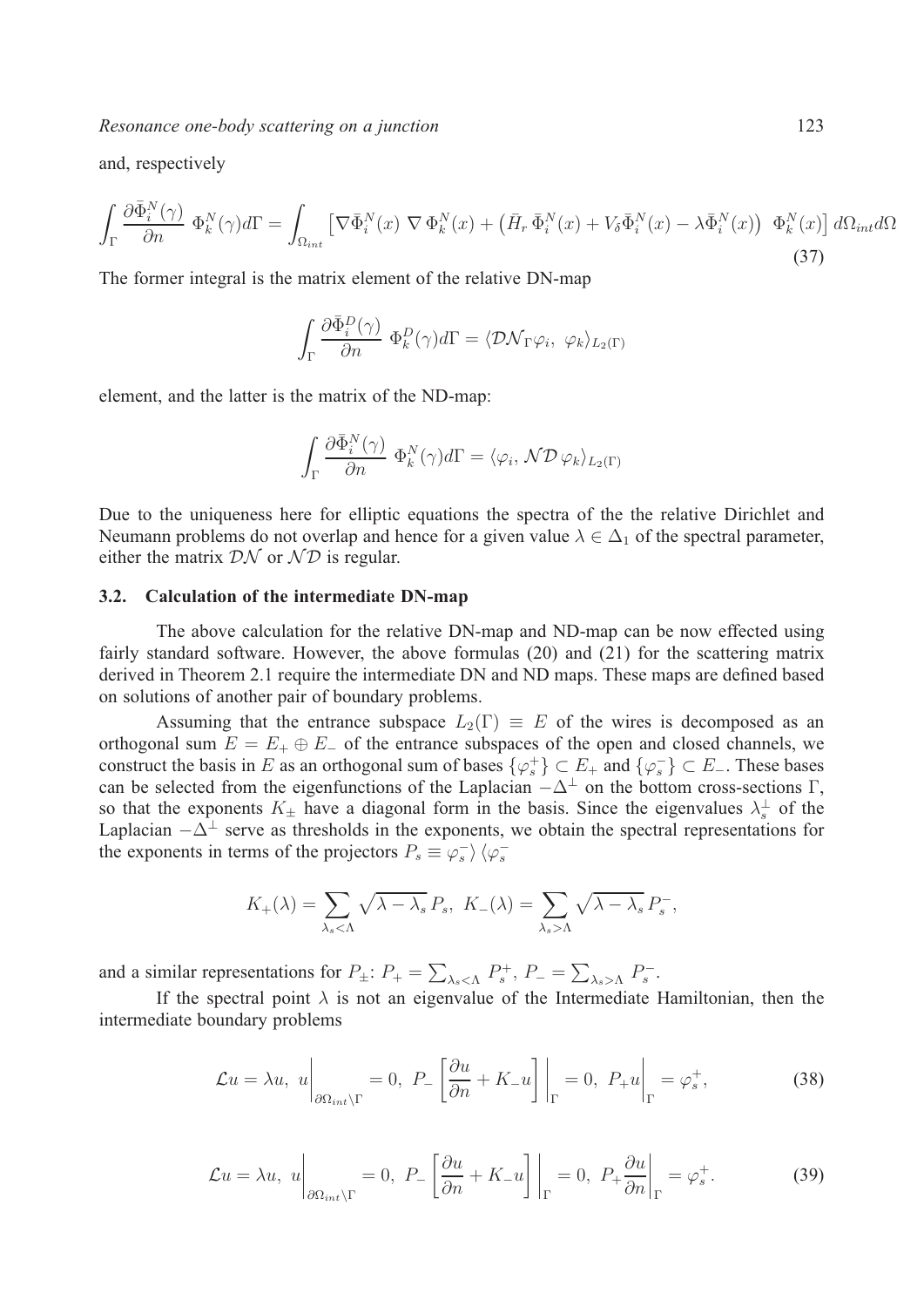*Resonance one-body scattering on a junction* 123

and, respectively

$$
\int_{\Gamma} \frac{\partial \bar{\Phi}_i^N(\gamma)}{\partial n} \, \Phi_k^N(\gamma) d\Gamma = \int_{\Omega_{int}} \left[ \nabla \bar{\Phi}_i^N(x) \, \nabla \Phi_k^N(x) + \left( \bar{H}_r \, \bar{\Phi}_i^N(x) + V_\delta \bar{\Phi}_i^N(x) - \lambda \bar{\Phi}_i^N(x) \right) \, \Phi_k^N(x) \right] d\Omega_{int} d\Omega
$$
\n(37)

The former integral is the matrix element of the relative DN-map

$$
\int_{\Gamma} \frac{\partial \bar{\Phi}_i^D(\gamma)}{\partial n} \ \Phi_k^D(\gamma) d\Gamma = \langle \mathcal{D} \mathcal{N}_{\Gamma} \varphi_i, \ \varphi_k \rangle_{L_2(\Gamma)}
$$

element, and the latter is the matrix of the ND-map:

$$
\int_{\Gamma} \frac{\partial \bar{\Phi}_{i}^{N}(\gamma)}{\partial n} \ \Phi_{k}^{N}(\gamma) d\Gamma = \langle \varphi_{i}, \mathcal{N} \mathcal{D} \ \varphi_{k} \rangle_{L_{2}(\Gamma)}
$$

Due to the uniqueness here for elliptic equations the spectra of the the relative Dirichlet and Neumann problems do not overlap and hence for a given value  $\lambda \in \Delta_1$  of the spectral parameter, either the matrix  $\mathcal{D}\mathcal{N}$  or  $\mathcal{N}\mathcal{D}$  is regular.

### **3.2. Calculation of the intermediate DN-map**

The above calculation for the relative DN-map and ND-map can be now effected using fairly standard software. However, the above formulas (20) and (21) for the scattering matrix derived in Theorem 2.1 require the intermediate DN and ND maps. These maps are defined based on solutions of another pair of boundary problems.

Assuming that the entrance subspace  $L_2(\Gamma) \equiv E$  of the wires is decomposed as an orthogonal sum  $E = E_+ \oplus E_-$  of the entrance subspaces of the open and closed channels, we construct the basis in E as an orthogonal sum of bases  $\{\varphi_s^+\}\subset E_+$  and  $\{\varphi_s^-\}\subset E_-$ . These bases can be selected from the eigenfunctions of the Laplacian  $-\Delta^{\perp}$  on the bottom cross-sections Γ, so that the exponents  $K_{\pm}$  have a diagonal form in the basis. Since the eigenvalues  $\lambda_s^{\perp}$  of the Laplacian  $-\Delta^{\perp}$  serve as thresholds in the exponents, we obtain the spectral representations for the exponents in terms of the projectors  $P_s \equiv \varphi_s^- \rangle \langle \varphi_s^-$ 

$$
K_{+}(\lambda) = \sum_{\lambda_{s} < \Lambda} \sqrt{\lambda - \lambda_{s}} P_{s}, \ K_{-}(\lambda) = \sum_{\lambda_{s} > \Lambda} \sqrt{\lambda - \lambda_{s}} P_{s}^{-},
$$

and a similar representations for  $P_{\pm}$ :  $P_{+} = \sum_{\lambda_s < \Lambda} P_s^+$ ,  $P_{-} = \sum_{\lambda_s > \Lambda} P_s^-$ .

If the spectral point  $\lambda$  is not an eigenvalue of the Intermediate Hamiltonian, then the intermediate boundary problems

$$
\mathcal{L}u = \lambda u, \ u\bigg|_{\partial\Omega_{int}\backslash\Gamma} = 0, \ P_- \left[\frac{\partial u}{\partial n} + K_- u\right]\bigg|_{\Gamma} = 0, \ P_+u\bigg|_{\Gamma} = \varphi_s^+, \tag{38}
$$

$$
\mathcal{L}u = \lambda u, \ u\bigg|_{\partial\Omega_{int}\backslash\Gamma} = 0, \ P_{-}\left[\frac{\partial u}{\partial n} + K_{-}u\right]\bigg|_{\Gamma} = 0, \ P_{+}\frac{\partial u}{\partial n}\bigg|_{\Gamma} = \varphi_{s}^{+}.
$$
 (39)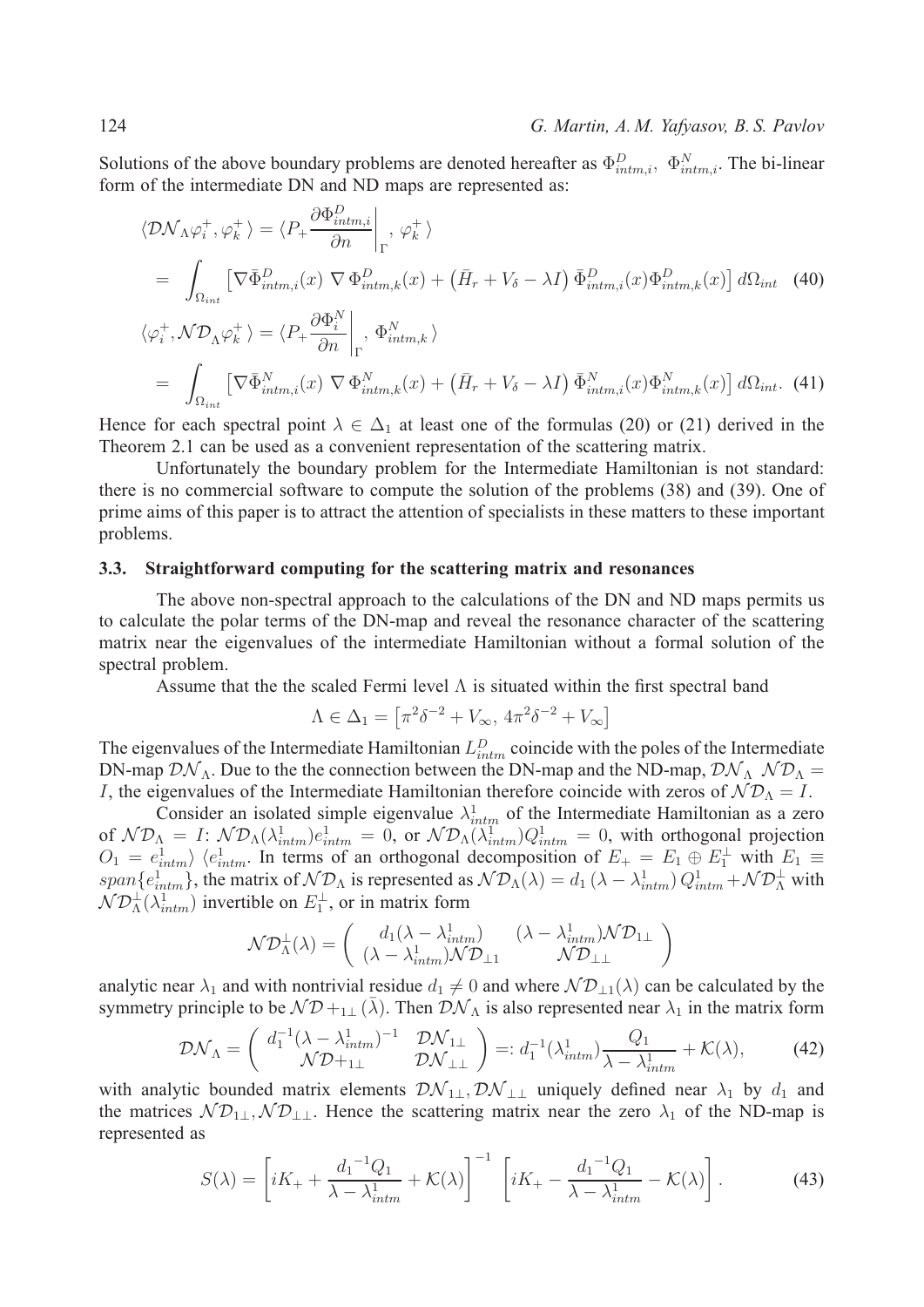Solutions of the above boundary problems are denoted hereafter as  $\Phi_{intm,i}^D$ ,  $\Phi_{intm,i}^N$ . The bi-linear form of the intermediate DN and ND maps are represented as:

$$
\langle \mathcal{D}\mathcal{N}_{\Lambda}\varphi_{i}^{+},\varphi_{k}^{+}\rangle = \langle P_{+}\frac{\partial \Phi_{intm,i}^{D}}{\partial n}\Big|_{\Gamma},\varphi_{k}^{+}\rangle
$$
  
\n
$$
= \int_{\Omega_{int}} \left[\nabla \bar{\Phi}_{intm,i}^{D}(x) \nabla \Phi_{intm,k}^{D}(x) + (\bar{H}_{r} + V_{\delta} - \lambda I) \bar{\Phi}_{intm,i}^{D}(x) \Phi_{intm,k}^{D}(x)\right] d\Omega_{int} \quad (40)
$$
  
\n
$$
\langle \varphi_{i}^{+}, \mathcal{N}\mathcal{D}_{\Lambda}\varphi_{k}^{+}\rangle = \langle P_{+}\frac{\partial \Phi_{i}^{N}}{\partial n}\Big|_{\Gamma}, \Phi_{intm,k}^{N}\rangle
$$
  
\n
$$
= \int_{\Omega_{int}} \left[\nabla \bar{\Phi}_{intm,i}^{N}(x) \nabla \Phi_{intm,k}^{N}(x) + (\bar{H}_{r} + V_{\delta} - \lambda I) \bar{\Phi}_{intm,i}^{N}(x) \Phi_{intm,k}^{N}(x)\right] d\Omega_{int}.
$$
 (41)

Hence for each spectral point  $\lambda \in \Delta_1$  at least one of the formulas (20) or (21) derived in the Theorem 2.1 can be used as a convenient representation of the scattering matrix.

Unfortunately the boundary problem for the Intermediate Hamiltonian is not standard: there is no commercial software to compute the solution of the problems (38) and (39). One of prime aims of this paper is to attract the attention of specialists in these matters to these important problems.

## **3.3. Straightforward computing for the scattering matrix and resonances**

The above non-spectral approach to the calculations of the DN and ND maps permits us to calculate the polar terms of the DN-map and reveal the resonance character of the scattering matrix near the eigenvalues of the intermediate Hamiltonian without a formal solution of the spectral problem.

Assume that the the scaled Fermi level  $\Lambda$  is situated within the first spectral band

$$
\Lambda \in \Delta_1 = \left[ \pi^2 \delta^{-2} + V_{\infty}, \, 4\pi^2 \delta^{-2} + V_{\infty} \right]
$$

The eigenvalues of the Intermediate Hamiltonian  $L_{intm}^D$  coincide with the poles of the Intermediate DN-map  $\mathcal{DN}_\Lambda$ . Due to the the connection between the DN-map and the ND-map,  $\mathcal{DN}_\Lambda \mathcal{ND}_\Lambda =$ *I*, the eigenvalues of the Intermediate Hamiltonian therefore coincide with zeros of  $N\mathcal{D}_{\Lambda} = I$ .

Consider an isolated simple eigenvalue  $\lambda_{intm}^1$  of the Intermediate Hamiltonian as a zero of  $N\mathcal{D}_{\Lambda} = I: \mathcal{ND}_{\Lambda}(\lambda_{intm}^1)e_{intm}^1 = 0$ , or  $\mathcal{ND}_{\Lambda}(\lambda_{intm}^1)Q_{intm}^1 = 0$ , with orthogonal projection  $O_1 = e_{intm}^1$   $\langle e_{intm}^1$ . In terms of an orthogonal decomposition of  $E_+ = E_1 \oplus E_1^{\perp}$  with  $E_1 \equiv$ span $\{e_{intm}^1\}$ , the matrix of  $\mathcal{ND}_\Lambda$  is represented as  $\mathcal{ND}_\Lambda(\lambda) = d_1(\lambda - \lambda_{intm}^1) Q_{intm}^1 + \mathcal{ND}_\Lambda^{\perp}$  with  $\mathcal{ND}_\Lambda^\perp(\lambda_{intm}^1)$  invertible on  $E_1^\perp$ , or in matrix form

$$
\mathcal{N}\mathcal{D}_{\Lambda}^{\perp}(\lambda) = \begin{pmatrix} d_1(\lambda - \lambda_{intm}^1) & (\lambda - \lambda_{intm}^1)\mathcal{N}\mathcal{D}_{1\perp} \\ (\lambda - \lambda_{intm}^1)\mathcal{N}\mathcal{D}_{\perp 1} & \mathcal{N}\mathcal{D}_{\perp \perp} \end{pmatrix}
$$

analytic near  $\lambda_1$  and with nontrivial residue  $d_1 \neq 0$  and where  $N\mathcal{D}_{\perp 1}(\lambda)$  can be calculated by the symmetry principle to be  $N\mathcal{D}_{\pm 1\perp}(\bar{\lambda})$ . Then  $\mathcal{D}\mathcal{N}_{\Lambda}$  is also represented near  $\lambda_1$  in the matrix form

$$
\mathcal{D}\mathcal{N}_{\Lambda} = \begin{pmatrix} d_1^{-1}(\lambda - \lambda_{intm}^1)^{-1} & \mathcal{D}\mathcal{N}_{1\perp} \\ \mathcal{N}\mathcal{D} +_{1\perp} & \mathcal{D}\mathcal{N}_{\perp\perp} \end{pmatrix} =: d_1^{-1}(\lambda_{intm}^1) \frac{Q_1}{\lambda - \lambda_{intm}^1} + \mathcal{K}(\lambda), \tag{42}
$$

with analytic bounded matrix elements  $\mathcal{D}\mathcal{N}_{1\perp}, \mathcal{D}\mathcal{N}_{\perp\perp}$  uniquely defined near  $\lambda_1$  by  $d_1$  and the matrices  $N\mathcal{D}_{1\perp}, N\mathcal{D}_{\perp\perp}$ . Hence the scattering matrix near the zero  $\lambda_1$  of the ND-map is represented as

$$
S(\lambda) = \left[iK_+ + \frac{d_1^{-1}Q_1}{\lambda - \lambda_{intm}^1} + \mathcal{K}(\lambda)\right]^{-1} \left[iK_+ - \frac{d_1^{-1}Q_1}{\lambda - \lambda_{intm}^1} - \mathcal{K}(\lambda)\right].
$$
 (43)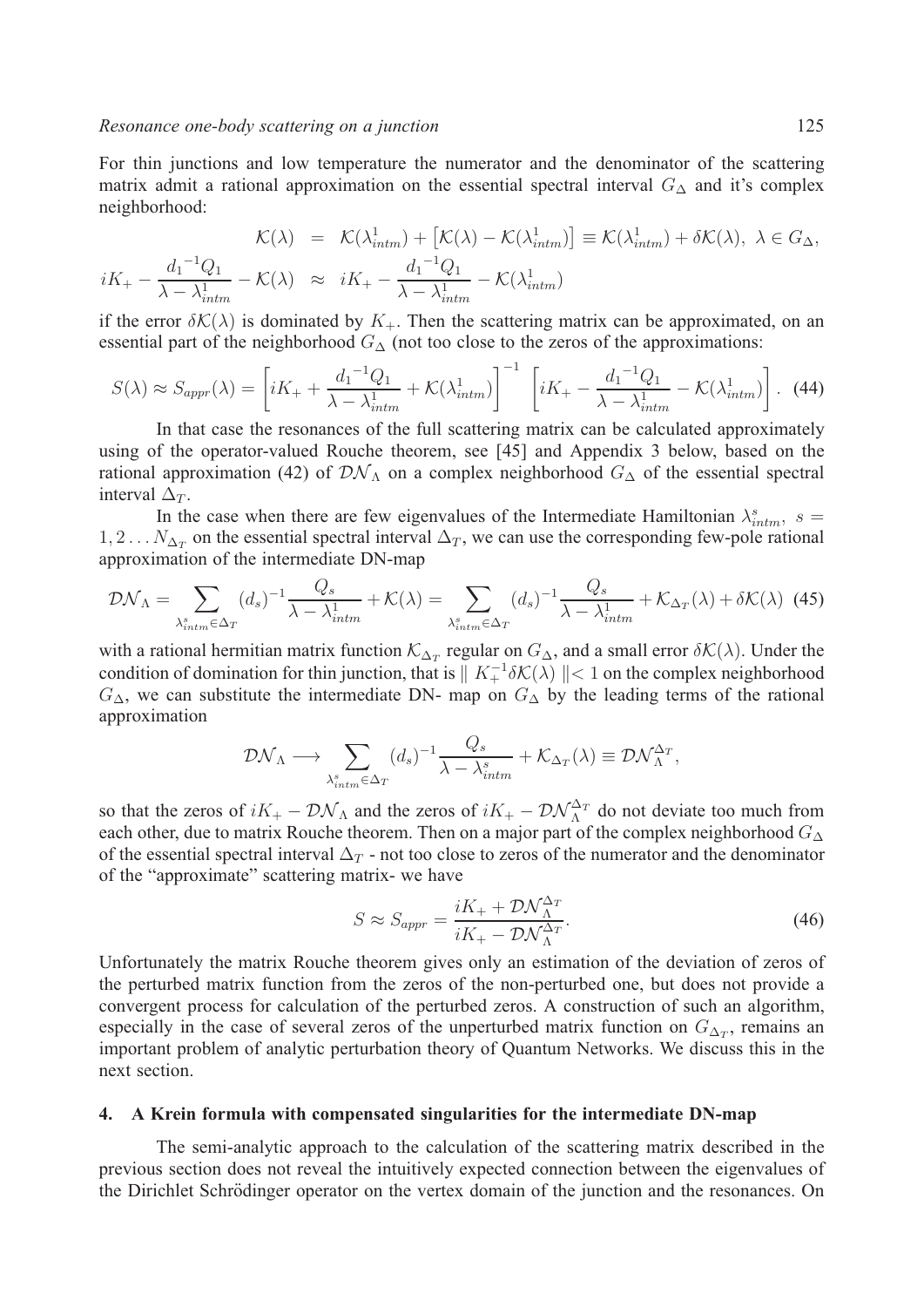For thin junctions and low temperature the numerator and the denominator of the scattering matrix admit a rational approximation on the essential spectral interval  $G_{\Delta}$  and it's complex neighborhood:

$$
\mathcal{K}(\lambda) = \mathcal{K}(\lambda_{intm}^1) + \left[\mathcal{K}(\lambda) - \mathcal{K}(\lambda_{intm}^1)\right] \equiv \mathcal{K}(\lambda_{intm}^1) + \delta\mathcal{K}(\lambda), \ \lambda \in G_{\Delta},
$$
  

$$
iK_{+} - \frac{d_{1}^{-1}Q_{1}}{\lambda - \lambda_{intm}^{1}} - \mathcal{K}(\lambda) \approx iK_{+} - \frac{d_{1}^{-1}Q_{1}}{\lambda - \lambda_{intm}^{1}} - \mathcal{K}(\lambda_{intm}^{1})
$$

if the error  $\delta\mathcal{K}(\lambda)$  is dominated by  $K_{+}$ . Then the scattering matrix can be approximated, on an essential part of the neighborhood  $G_{\Delta}$  (not too close to the zeros of the approximations:

$$
S(\lambda) \approx S_{appr}(\lambda) = \left[iK_+ + \frac{d_1^{-1}Q_1}{\lambda - \lambda_{intm}^1} + \mathcal{K}(\lambda_{intm}^1)\right]^{-1} \left[iK_+ - \frac{d_1^{-1}Q_1}{\lambda - \lambda_{intm}^1} - \mathcal{K}(\lambda_{intm}^1)\right]. \tag{44}
$$

In that case the resonances of the full scattering matrix can be calculated approximately using of the operator-valued Rouche theorem, see [45] and Appendix 3 below, based on the rational approximation (42) of  $\mathcal{D}\mathcal{N}_\Lambda$  on a complex neighborhood  $G_\Delta$  of the essential spectral interval  $\Delta_T$ .

In the case when there are few eigenvalues of the Intermediate Hamiltonian  $\lambda_{intm}^s$ , s =  $1, 2...N_{\Delta_T}$  on the essential spectral interval  $\Delta_T$ , we can use the corresponding few-pole rational approximation of the intermediate DN-map

$$
\mathcal{D}\mathcal{N}_{\Lambda} = \sum_{\lambda_{intm}^s \in \Delta_T} (d_s)^{-1} \frac{Q_s}{\lambda - \lambda_{intm}^1} + \mathcal{K}(\lambda) = \sum_{\lambda_{intm}^s \in \Delta_T} (d_s)^{-1} \frac{Q_s}{\lambda - \lambda_{intm}^1} + \mathcal{K}_{\Delta_T}(\lambda) + \delta \mathcal{K}(\lambda)
$$
(45)

with a rational hermitian matrix function  $\mathcal{K}_{\Delta_T}$  regular on  $G_{\Delta}$ , and a small error  $\delta\mathcal{K}(\lambda)$ . Under the condition of domination for thin junction, that is  $||K_+^{-1}\delta\mathcal{K}(\lambda)|| < 1$  on the complex neighborhood  $G_{\Delta}$ , we can substitute the intermediate DN- map on  $G_{\Delta}$  by the leading terms of the rational approximation

$$
\mathcal{D}\mathcal{N}_{\Lambda} \longrightarrow \sum_{\lambda_{intm}^s \in \Delta_T} (d_s)^{-1} \frac{Q_s}{\lambda - \lambda_{intm}^s} + \mathcal{K}_{\Delta_T}(\lambda) \equiv \mathcal{D}\mathcal{N}_{\Lambda}^{\Delta_T},
$$

so that the zeros of  $iK_+ - \mathcal{D}\mathcal{N}_\Lambda$  and the zeros of  $iK_+ - \mathcal{D}\mathcal{N}_\Lambda^{\Delta_T}$  do not deviate too much from each other, due to matrix Rouche theorem. Then on a major part of the complex neighborhood  $G_{\Delta}$ of the essential spectral interval  $\Delta_T$  - not too close to zeros of the numerator and the denominator of the "approximate" scattering matrix- we have

$$
S \approx S_{appr} = \frac{iK_+ + \mathcal{D}\mathcal{N}_{\Lambda}^{\Delta_T}}{iK_+ - \mathcal{D}\mathcal{N}_{\Lambda}^{\Delta_T}}.
$$
\n(46)

Unfortunately the matrix Rouche theorem gives only an estimation of the deviation of zeros of the perturbed matrix function from the zeros of the non-perturbed one, but does not provide a convergent process for calculation of the perturbed zeros. A construction of such an algorithm, especially in the case of several zeros of the unperturbed matrix function on  $G_{\Delta_T}$ , remains an important problem of analytic perturbation theory of Quantum Networks. We discuss this in the next section.

## **4. A Krein formula with compensated singularities for the intermediate DN-map**

The semi-analytic approach to the calculation of the scattering matrix described in the previous section does not reveal the intuitively expected connection between the eigenvalues of the Dirichlet Schrödinger operator on the vertex domain of the junction and the resonances. On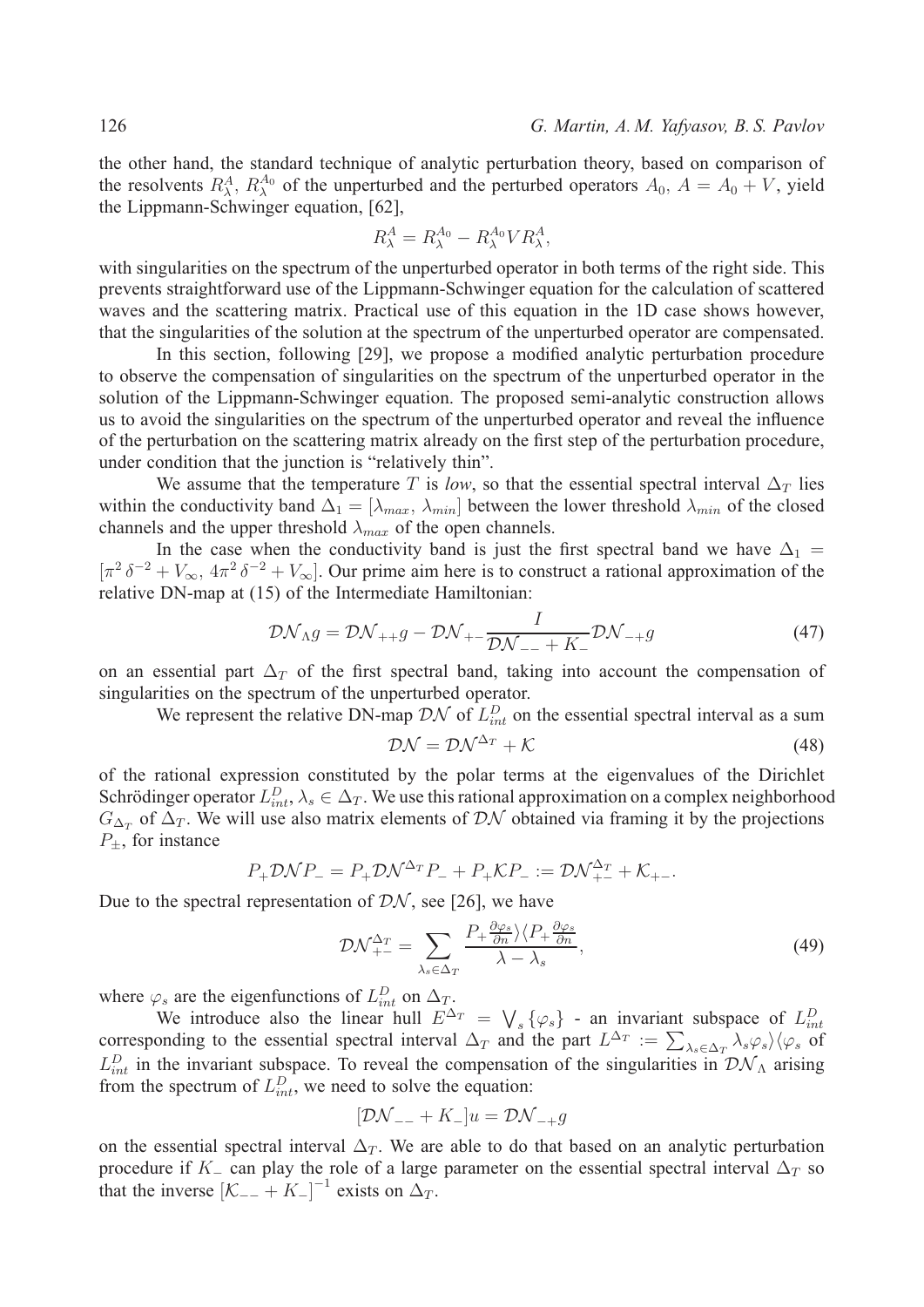the other hand, the standard technique of analytic perturbation theory, based on comparison of the resolvents  $R_{\lambda}^{A}$ ,  $R_{\lambda}^{A_0}$  of the unperturbed and the perturbed operators  $A_0$ ,  $A = A_0 + V$ , yield the Lippmann-Schwinger equation, [62],

$$
R^A_\lambda = R^{A_0}_\lambda - R^{A_0}_\lambda V R^A_\lambda,
$$

with singularities on the spectrum of the unperturbed operator in both terms of the right side. This prevents straightforward use of the Lippmann-Schwinger equation for the calculation of scattered waves and the scattering matrix. Practical use of this equation in the 1D case shows however, that the singularities of the solution at the spectrum of the unperturbed operator are compensated.

In this section, following [29], we propose a modified analytic perturbation procedure to observe the compensation of singularities on the spectrum of the unperturbed operator in the solution of the Lippmann-Schwinger equation. The proposed semi-analytic construction allows us to avoid the singularities on the spectrum of the unperturbed operator and reveal the influence of the perturbation on the scattering matrix already on the first step of the perturbation procedure, under condition that the junction is "relatively thin".

We assume that the temperature T is *low*, so that the essential spectral interval  $\Delta_T$  lies within the conductivity band  $\Delta_1 = [\lambda_{max}, \lambda_{min}]$  between the lower threshold  $\lambda_{min}$  of the closed channels and the upper threshold  $\lambda_{max}$  of the open channels.

In the case when the conductivity band is just the first spectral band we have  $\Delta_1$  =  $[\pi^2 \delta^{-2} + V_{\infty}, 4\pi^2 \delta^{-2} + V_{\infty}]$ . Our prime aim here is to construct a rational approximation of the relative DN-map at (15) of the Intermediate Hamiltonian:

$$
\mathcal{D}\mathcal{N}_{\Lambda}g = \mathcal{D}\mathcal{N}_{++}g - \mathcal{D}\mathcal{N}_{+-}\frac{I}{\mathcal{D}\mathcal{N}_{--} + K_{-}}\mathcal{D}\mathcal{N}_{-+}g \tag{47}
$$

on an essential part  $\Delta_T$  of the first spectral band, taking into account the compensation of singularities on the spectrum of the unperturbed operator.

We represent the relative DN-map  $\mathcal{D}\mathcal{N}$  of  $L_{int}^D$  on the essential spectral interval as a sum

$$
\mathcal{D}\mathcal{N} = \mathcal{D}\mathcal{N}^{\Delta_T} + \mathcal{K} \tag{48}
$$

of the rational expression constituted by the polar terms at the eigenvalues of the Dirichlet Schrödinger operator  $L_{int}^D$ ,  $\lambda_s \in \Delta_T$ . We use this rational approximation on a complex neighborhood  $G_{\Delta_T}$  of  $\Delta_T$ . We will use also matrix elements of DN obtained via framing it by the projections  $P_{\pm}$ , for instance

$$
P_{+} \mathcal{D} \mathcal{N} P_{-} = P_{+} \mathcal{D} \mathcal{N}^{\Delta_{T}} P_{-} + P_{+} \mathcal{K} P_{-} := \mathcal{D} \mathcal{N}^{\Delta_{T}}_{+-} + \mathcal{K}_{+-}.
$$

Due to the spectral representation of  $\mathcal{D}\mathcal{N}$ , see [26], we have

$$
\mathcal{D}\mathcal{N}_{+-}^{\Delta_T} = \sum_{\lambda_s \in \Delta_T} \frac{P_+ \frac{\partial \varphi_s}{\partial n} \rangle \langle P_+ \frac{\partial \varphi_s}{\partial n}}{\lambda - \lambda_s},\tag{49}
$$

where  $\varphi_s$  are the eigenfunctions of  $L_{int}^D$  on  $\Delta_T$ .

We introduce also the linear hull  $E^{\Delta_T} = \bigvee_s {\varphi_s}$  - an invariant subspace of  $L_{int}^D$ corresponding to the essential spectral interval  $\Delta_T$  and the part  $L^{\Delta_T} := \sum_{\lambda_s \in \Delta_T} \lambda_s \varphi_s \rangle \langle \varphi_s$  of  $L_{int}^{D}$  in the invariant subspace. To reveal the compensation of the singularities in  $\mathcal{D} \mathcal{N}_{\Lambda}$  arising from the spectrum of  $L_{int}^D$ , we need to solve the equation:

$$
[\mathcal{D}\mathcal{N}_{--} + K_{-}]u = \mathcal{D}\mathcal{N}_{-+}g
$$

on the essential spectral interval  $\Delta_T$ . We are able to do that based on an analytic perturbation procedure if  $K_{-}$  can play the role of a large parameter on the essential spectral interval  $\Delta_T$  so that the inverse  $[K_{--} + K_{-}]^{-1}$  exists on  $\Delta_T$ .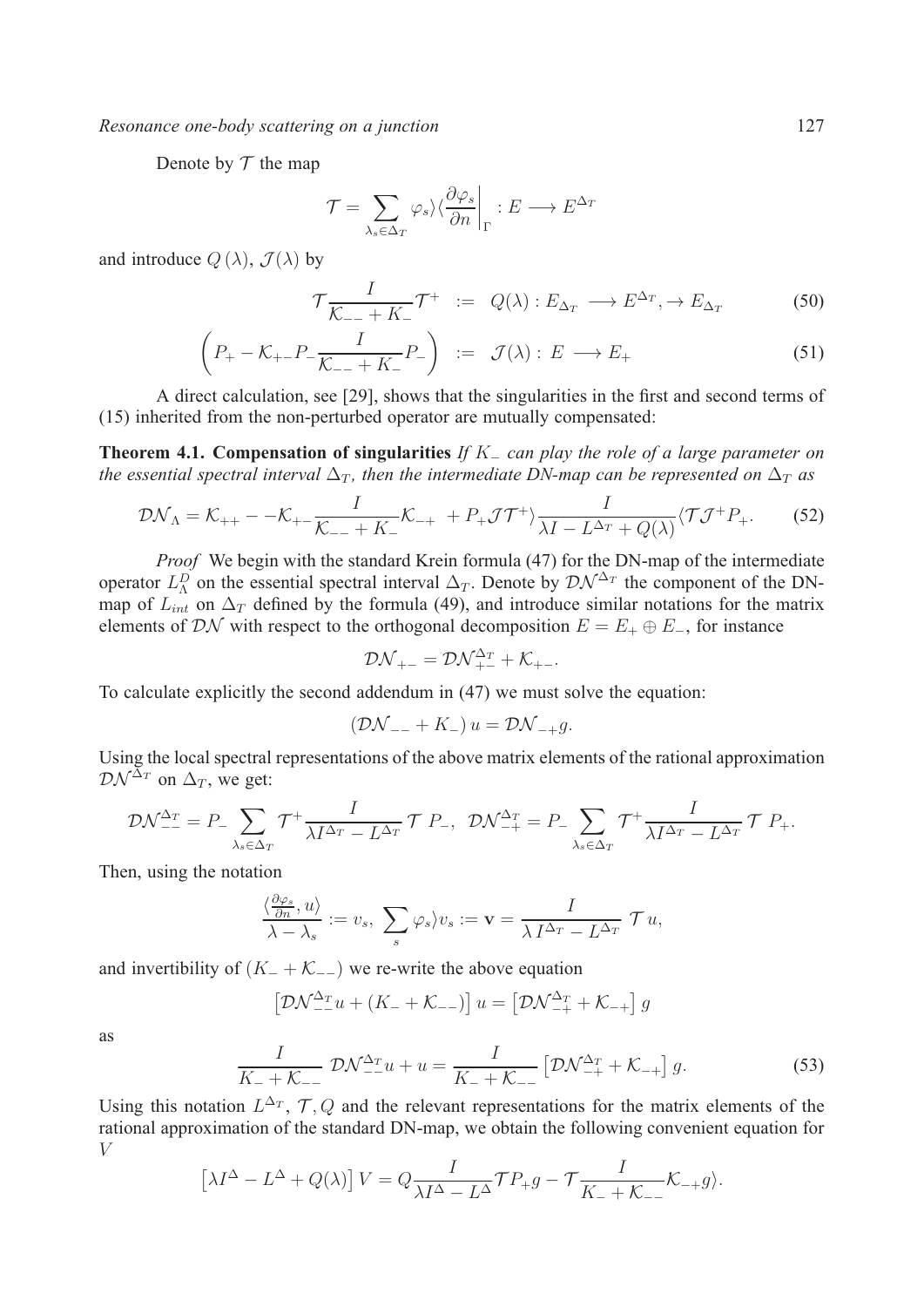*Resonance one-body scattering on a junction* 127

Denote by  $T$  the map

$$
\mathcal{T} = \sum_{\lambda_s \in \Delta_T} \varphi_s \rangle \langle \frac{\partial \varphi_s}{\partial n} \bigg|_{\Gamma} : E \longrightarrow E^{\Delta_T}
$$

and introduce  $Q(\lambda)$ ,  $\mathcal{J}(\lambda)$  by

$$
\mathcal{T}\frac{I}{\mathcal{K}_{--} + K_{-}}\mathcal{T}^{+} := Q(\lambda) : E_{\Delta_T} \longrightarrow E^{\Delta_T}, \to E_{\Delta_T}
$$
(50)

$$
\left(P_{+} - \mathcal{K}_{+-}P_{-} \frac{I}{\mathcal{K}_{--} + K_{-}}P_{-}\right) := \mathcal{J}(\lambda) : E \longrightarrow E_{+}
$$
\n(51)

A direct calculation, see [29], shows that the singularities in the first and second terms of (15) inherited from the non-perturbed operator are mutually compensated:

**Theorem 4.1. Compensation of singularities** *If*  $K_$  *can play the role of a large parameter on the essential spectral interval*  $\Delta_T$ , then the intermediate DN-map can be represented on  $\Delta_T$  as

$$
\mathcal{D}\mathcal{N}_{\Lambda} = \mathcal{K}_{++} - -\mathcal{K}_{+-}\frac{I}{\mathcal{K}_{--} + K_{-}}\mathcal{K}_{-+} + P_{+}\mathcal{J}\mathcal{T}^{+}\rangle \frac{I}{\lambda I - L^{\Delta_{T}} + Q(\lambda)}\langle \mathcal{T}\mathcal{J}^{+}P_{+}.\tag{52}
$$

*Proof* We begin with the standard Krein formula (47) for the DN-map of the intermediate operator  $L_{\Lambda}^D$  on the essential spectral interval  $\Delta_T$ . Denote by  $\mathcal{D}\mathcal{N}^{\Delta_T}$  the component of the DNmap of  $\overline{L}_{int}$  on  $\Delta_T$  defined by the formula (49), and introduce similar notations for the matrix elements of  $\mathcal{D}\mathcal{N}$  with respect to the orthogonal decomposition  $E = E_+ \oplus E_-$ , for instance

$$
D\mathcal{N}_{+-} = D\mathcal{N}_{+-}^{\Delta_T} + \mathcal{K}_{+-}.
$$

To calculate explicitly the second addendum in (47) we must solve the equation:

$$
(\mathcal{D}\mathcal{N}_{--} + K_-)\,u = \mathcal{D}\mathcal{N}_{-+}g.
$$

Using the local spectral representations of the above matrix elements of the rational approximation  $\mathcal{D}\mathcal{N}^{\tilde{\Delta}_T}$  on  $\Delta_T$ , we get:

$$
\mathcal{D}\mathcal{N}_{--}^{\Delta_T} = P_- \sum_{\lambda_s \in \Delta_T} \mathcal{T}^+ \frac{I}{\lambda I^{\Delta_T} - L^{\Delta_T}} \mathcal{T} \ P_-, \ \ \mathcal{D}\mathcal{N}_{-+}^{\Delta_T} = P_- \sum_{\lambda_s \in \Delta_T} \mathcal{T}^+ \frac{I}{\lambda I^{\Delta_T} - L^{\Delta_T}} \mathcal{T} \ P_+.
$$

Then, using the notation

$$
\frac{\langle \frac{\partial \varphi_s}{\partial n}, u \rangle}{\lambda - \lambda_s} := v_s, \sum_s \varphi_s \rangle v_s := \mathbf{v} = \frac{I}{\lambda I^{\Delta_T} - L^{\Delta_T}} \mathcal{T} u,
$$

and invertibility of  $(K_- + K_{--})$  we re-write the above equation

$$
\left[\mathcal{D}\mathcal{N}_{--}^{\Delta_T}u + (K_- + \mathcal{K}_{--})\right]u = \left[\mathcal{D}\mathcal{N}_{-+}^{\Delta_T} + \mathcal{K}_{-+}\right]g
$$

as

$$
\frac{I}{K_{-} + K_{--}} \mathcal{D} \mathcal{N}_{--}^{\Delta_T} u + u = \frac{I}{K_{-} + K_{--}} \left[ \mathcal{D} \mathcal{N}_{-+}^{\Delta_T} + \mathcal{K}_{-+} \right] g.
$$
 (53)

Using this notation  $L^{\Delta_T}$ ,  $\mathcal{T}, Q$  and the relevant representations for the matrix elements of the rational approximation of the standard DN-map, we obtain the following convenient equation for  $V$ 

$$
\left[\lambda I^{\Delta} - L^{\Delta} + Q(\lambda)\right] V = Q \frac{I}{\lambda I^{\Delta} - L^{\Delta}} \mathcal{T} P_{+} g - \mathcal{T} \frac{I}{K_{-} + K_{-}} K_{-+} g \rangle.
$$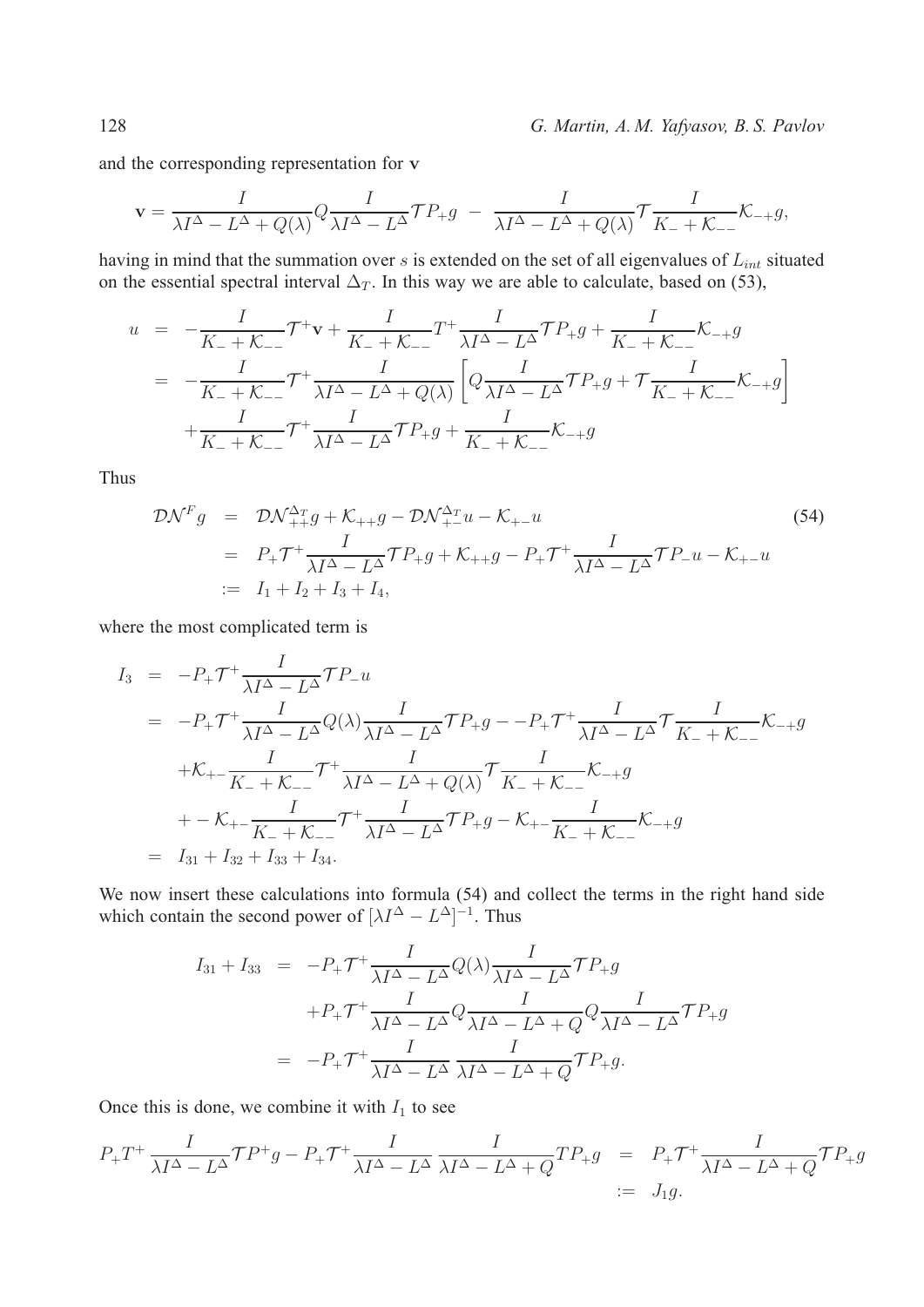128 *G. Martin, A. M. Yafyasov, B. S. Pavlov*

and the corresponding representation for **v**

$$
\mathbf{v} = \frac{I}{\lambda I^{\Delta} - L^{\Delta} + Q(\lambda)} Q \frac{I}{\lambda I^{\Delta} - L^{\Delta}} \mathcal{T} P_{+} g - \frac{I}{\lambda I^{\Delta} - L^{\Delta} + Q(\lambda)} \mathcal{T} \frac{I}{K_{-} + K_{-}} K_{-+} g,
$$

having in mind that the summation over  $s$  is extended on the set of all eigenvalues of  $L_{int}$  situated on the essential spectral interval  $\Delta_T$ . In this way we are able to calculate, based on (53),

$$
u = -\frac{I}{K_{-} + K_{--}} \mathcal{T}^{+} \mathbf{v} + \frac{I}{K_{-} + K_{--}} T^{+} \frac{I}{\lambda I^{\Delta} - L^{\Delta}} \mathcal{T} P_{+} g + \frac{I}{K_{-} + K_{--}} K_{-+} g
$$
  

$$
= -\frac{I}{K_{-} + K_{--}} \mathcal{T}^{+} \frac{I}{\lambda I^{\Delta} - L^{\Delta} + Q(\lambda)} \left[ Q \frac{I}{\lambda I^{\Delta} - L^{\Delta}} \mathcal{T} P_{+} g + \mathcal{T} \frac{I}{K_{-} + K_{--}} K_{-+} g \right]
$$
  

$$
+ \frac{I}{K_{-} + K_{--}} \mathcal{T}^{+} \frac{I}{\lambda I^{\Delta} - L^{\Delta}} \mathcal{T} P_{+} g + \frac{I}{K_{-} + K_{--}} K_{-+} g
$$

Thus

$$
\mathcal{D}\mathcal{N}^{F}g = \mathcal{D}\mathcal{N}^{\Delta_{T}}_{++}g + \mathcal{K}_{++}g - \mathcal{D}\mathcal{N}^{\Delta_{T}}_{+-}u - \mathcal{K}_{+-}u
$$
\n
$$
= P_{+}\mathcal{T}^{+}\frac{I}{\lambda I^{\Delta} - L^{\Delta}}\mathcal{T}P_{+}g + \mathcal{K}_{++}g - P_{+}\mathcal{T}^{+}\frac{I}{\lambda I^{\Delta} - L^{\Delta}}\mathcal{T}P_{-}u - \mathcal{K}_{+-}u
$$
\n
$$
:= I_{1} + I_{2} + I_{3} + I_{4},
$$
\n(54)

where the most complicated term is

$$
I_3 = -P_+ \mathcal{T}^+ \frac{I}{\lambda I^{\Delta} - L^{\Delta}} \mathcal{T} P_{-} u
$$
  
\n
$$
= -P_+ \mathcal{T}^+ \frac{I}{\lambda I^{\Delta} - L^{\Delta}} Q(\lambda) \frac{I}{\lambda I^{\Delta} - L^{\Delta}} \mathcal{T} P_+ g - -P_+ \mathcal{T}^+ \frac{I}{\lambda I^{\Delta} - L^{\Delta}} \mathcal{T} \frac{I}{K_- + K_{--}} K_{-} g
$$
  
\n
$$
+K_{+-} \frac{I}{K_- + K_{--}} \mathcal{T}^+ \frac{I}{\lambda I^{\Delta} - L^{\Delta} + Q(\lambda)} \mathcal{T} \frac{I}{K_- + K_{--}} K_{-} g
$$
  
\n
$$
+ -K_{+-} \frac{I}{K_- + K_{--}} \mathcal{T}^+ \frac{I}{\lambda I^{\Delta} - L^{\Delta}} \mathcal{T} P_+ g - K_{+-} \frac{I}{K_- + K_{--}} K_{-} g
$$
  
\n
$$
= I_{31} + I_{32} + I_{33} + I_{34}.
$$

We now insert these calculations into formula (54) and collect the terms in the right hand side which contain the second power of  $[\lambda I^{\Delta} - L^{\Delta}]^{-1}$ . Thus

$$
I_{31} + I_{33} = -P_{+}\mathcal{T}^{+}\frac{I}{\lambda I^{\Delta} - L^{\Delta}}Q(\lambda)\frac{I}{\lambda I^{\Delta} - L^{\Delta}}\mathcal{T}P_{+}g
$$
  
+ $P_{+}\mathcal{T}^{+}\frac{I}{\lambda I^{\Delta} - L^{\Delta}}Q\frac{I}{\lambda I^{\Delta} - L^{\Delta} + Q}\mathcal{T}P_{+}g$   
=  $-P_{+}\mathcal{T}^{+}\frac{I}{\lambda I^{\Delta} - L^{\Delta}}\frac{I}{\lambda I^{\Delta} - L^{\Delta} + Q}\mathcal{T}P_{+}g.$ 

Once this is done, we combine it with  $I_1$  to see

$$
P_{+}T^{+}\frac{I}{\lambda I^{\Delta}-L^{\Delta}}\mathcal{T}P^{+}g - P_{+}\mathcal{T}^{+}\frac{I}{\lambda I^{\Delta}-L^{\Delta}}\frac{I}{\lambda I^{\Delta}-L^{\Delta}+Q}TP_{+}g = P_{+}\mathcal{T}^{+}\frac{I}{\lambda I^{\Delta}-L^{\Delta}+Q}\mathcal{T}P_{+}g
$$
  
:=  $J_{1}g$ .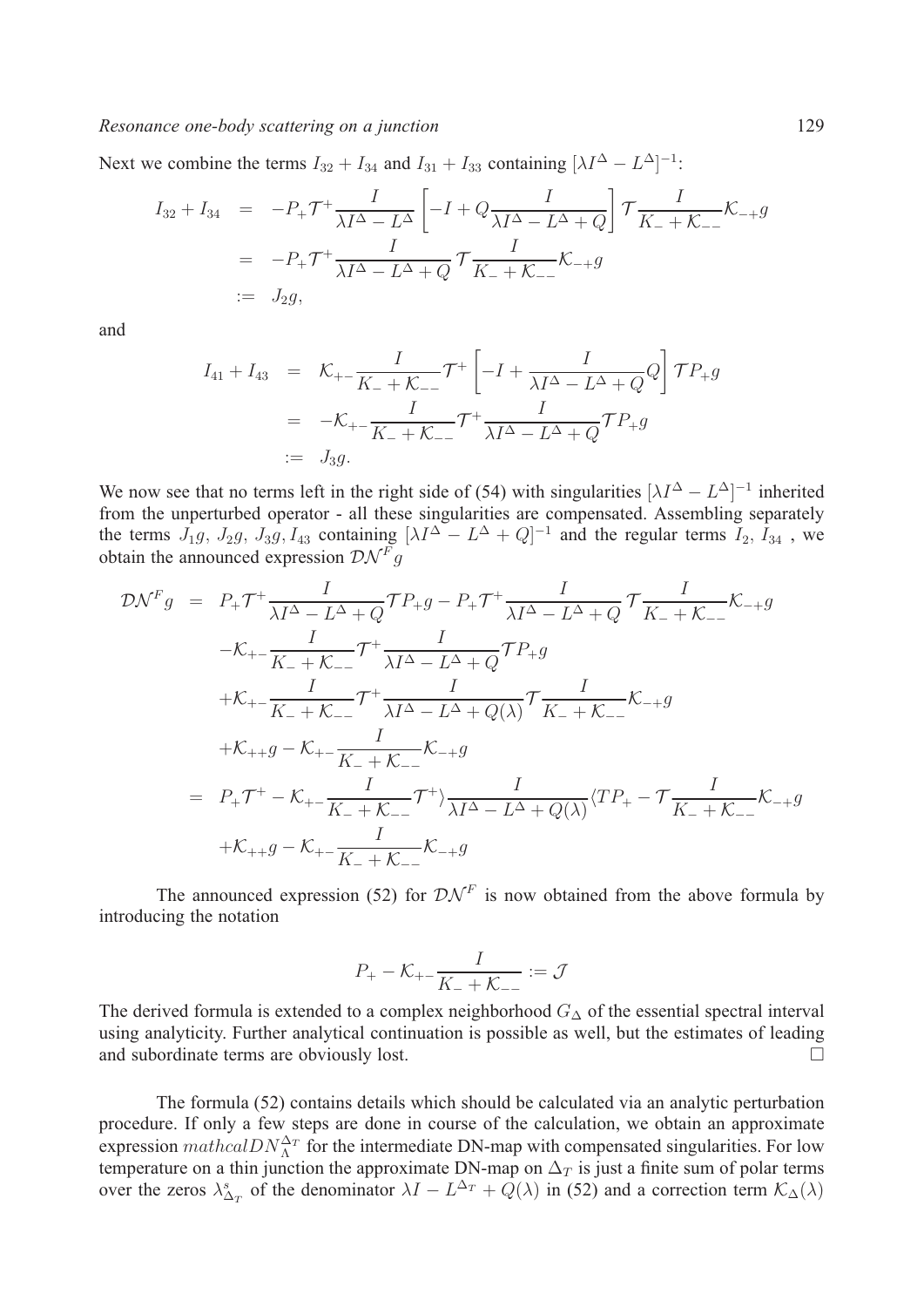## *Resonance one-body scattering on a junction* 129

Next we combine the terms  $I_{32} + I_{34}$  and  $I_{31} + I_{33}$  containing  $[\lambda I^{\Delta} - L^{\Delta}]^{-1}$ :

$$
I_{32} + I_{34} = -P_{+}\mathcal{T}^{+}\frac{I}{\lambda I^{\Delta} - L^{\Delta}} \left[ -I + Q \frac{I}{\lambda I^{\Delta} - L^{\Delta} + Q} \right] \mathcal{T} \frac{I}{K_{-} + K_{--}} K_{-+}g
$$
  
= -P\_{+}\mathcal{T}^{+}\frac{I}{\lambda I^{\Delta} - L^{\Delta} + Q} \mathcal{T} \frac{I}{K\_{-} + K\_{--}} K\_{-+}g  
:= J\_{2}g,

and

$$
I_{41} + I_{43} = \mathcal{K}_{+-} \frac{I}{K_{-} + \mathcal{K}_{--}} \mathcal{T}^{+} \left[ -I + \frac{I}{\lambda I^{\Delta} - L^{\Delta} + Q} Q \right] \mathcal{T} P_{+} g
$$
  
= -\mathcal{K}\_{+-} \frac{I}{K\_{-} + \mathcal{K}\_{--}} \mathcal{T}^{+} \frac{I}{\lambda I^{\Delta} - L^{\Delta} + Q} \mathcal{T} P\_{+} g  
:= J\_{3} g.

We now see that no terms left in the right side of (54) with singularities  $[\lambda I^{\Delta} - L^{\Delta}]^{-1}$  inherited from the unperturbed operator - all these singularities are compensated. Assembling separately the terms  $J_1g$ ,  $J_2g$ ,  $J_3g$ ,  $I_{43}$  containing  $[\lambda I^{\Delta} - L^{\Delta} + Q]^{-1}$  and the regular terms  $I_2$ ,  $I_{34}$ , we obtain the announced expression  $\mathcal{D}\mathcal{N}^F g$ 

$$
\mathcal{D}\mathcal{N}^{F}g = P_{+}\mathcal{T}^{+}\frac{I}{\lambda I^{\Delta} - L^{\Delta} + Q}\mathcal{T}P_{+}g - P_{+}\mathcal{T}^{+}\frac{I}{\lambda I^{\Delta} - L^{\Delta} + Q}\mathcal{T}\frac{I}{K_{-} + K_{--}}\mathcal{K}_{-+}g
$$
  
\n
$$
-\mathcal{K}_{+-}\frac{I}{K_{-} + K_{--}}\mathcal{T}^{+}\frac{I}{\lambda I^{\Delta} - L^{\Delta} + Q}\mathcal{T}P_{+}g
$$
  
\n
$$
+\mathcal{K}_{+-}\frac{I}{K_{-} + K_{--}}\mathcal{T}^{+}\frac{I}{\lambda I^{\Delta} - L^{\Delta} + Q(\lambda)}\mathcal{T}\frac{I}{K_{-} + K_{--}}\mathcal{K}_{-+}g
$$
  
\n
$$
+\mathcal{K}_{++}g - \mathcal{K}_{+-}\frac{I}{K_{-} + K_{--}}\mathcal{K}^{+}g
$$
  
\n
$$
= P_{+}\mathcal{T}^{+} - \mathcal{K}_{+-}\frac{I}{K_{-} + K_{--}}\mathcal{T}^{+}\frac{I}{\lambda I^{\Delta} - L^{\Delta} + Q(\lambda)}\langle TP_{+} - T\frac{I}{K_{-} + K_{--}}\mathcal{K}_{-+}g
$$
  
\n
$$
+\mathcal{K}_{++}g - \mathcal{K}_{+-}\frac{I}{K_{-} + K_{--}}\mathcal{K}_{-+}g
$$

The announced expression (52) for  $\mathcal{D}\mathcal{N}^F$  is now obtained from the above formula by introducing the notation

$$
P_+ - \mathcal{K}_{+-} \frac{I}{K_- + \mathcal{K}_{--}} := \mathcal{J}
$$

The derived formula is extended to a complex neighborhood  $G_{\Delta}$  of the essential spectral interval using analyticity. Further analytical continuation is possible as well, but the estimates of leading and subordinate terms are obviously lost. □

The formula (52) contains details which should be calculated via an analytic perturbation procedure. If only a few steps are done in course of the calculation, we obtain an approximate expression  $mathcal{D}N_{\Lambda}^{\Delta_T}$  for the intermediate DN-map with compensated singularities. For low temperature on a thin junction the approximate DN-map on  $\Delta_T$  is just a finite sum of polar terms over the zeros  $\lambda_{\Delta_T}^s$  of the denominator  $\lambda I - L^{\Delta_T} + Q(\lambda)$  in (52) and a correction term  $\mathcal{K}_{\Delta}(\lambda)$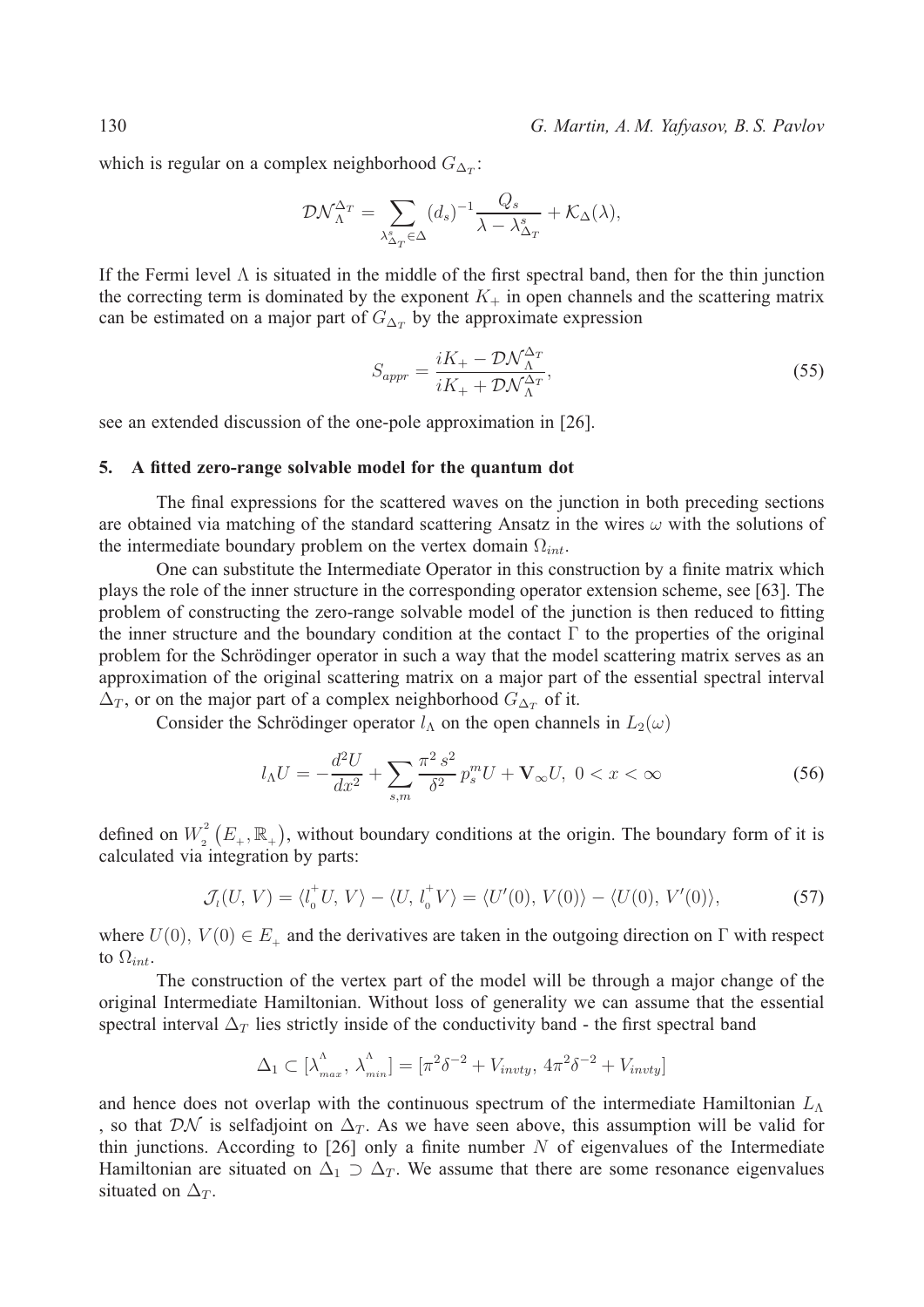130 *G. Martin, A. M. Yafyasov, B. S. Pavlov*

which is regular on a complex neighborhood  $G_{\Delta_T}$ :

$$
\mathcal{D}\mathcal{N}_{\Lambda}^{\Delta_T} = \sum_{\lambda_{\Delta_T}^s \in \Delta} (d_s)^{-1} \frac{Q_s}{\lambda - \lambda_{\Delta_T}^s} + \mathcal{K}_{\Delta}(\lambda),
$$

If the Fermi level  $\Lambda$  is situated in the middle of the first spectral band, then for the thin junction the correcting term is dominated by the exponent  $K_{+}$  in open channels and the scattering matrix can be estimated on a major part of  $G_{\Delta_T}$  by the approximate expression

$$
S_{appr} = \frac{iK_+ - \mathcal{D}\mathcal{N}_{\Lambda}^{\Delta_T}}{iK_+ + \mathcal{D}\mathcal{N}_{\Lambda}^{\Delta_T}},\tag{55}
$$

see an extended discussion of the one-pole approximation in [26].

### **5. A fitted zero-range solvable model for the quantum dot**

The final expressions for the scattered waves on the junction in both preceding sections are obtained via matching of the standard scattering Ansatz in the wires  $\omega$  with the solutions of the intermediate boundary problem on the vertex domain  $\Omega_{int}$ .

One can substitute the Intermediate Operator in this construction by a finite matrix which plays the role of the inner structure in the corresponding operator extension scheme, see [63]. The problem of constructing the zero-range solvable model of the junction is then reduced to fitting the inner structure and the boundary condition at the contact  $\Gamma$  to the properties of the original problem for the Schrödinger operator in such a way that the model scattering matrix serves as an approximation of the original scattering matrix on a major part of the essential spectral interval  $\Delta_T$ , or on the major part of a complex neighborhood  $G_{\Delta_T}$  of it.

Consider the Schrödinger operator  $l_A$  on the open channels in  $L_2(\omega)$ 

$$
l_{\Lambda}U = -\frac{d^2U}{dx^2} + \sum_{s,m} \frac{\pi^2 s^2}{\delta^2} p_s^m U + \mathbf{V}_{\infty} U, \ 0 < x < \infty \tag{56}
$$

defined on  $W_2^2(E_+,\mathbb{R}_+)$ , without boundary conditions at the origin. The boundary form of it is calculated via integration by parts:

$$
\mathcal{J}_i(U, V) = \langle l_0^{\dagger} U, V \rangle - \langle U, l_0^{\dagger} V \rangle = \langle U'(0), V(0) \rangle - \langle U(0), V'(0) \rangle, \tag{57}
$$

where  $U(0)$ ,  $V(0) \in E_+$  and the derivatives are taken in the outgoing direction on  $\Gamma$  with respect to  $\Omega_{int}$ .

The construction of the vertex part of the model will be through a major change of the original Intermediate Hamiltonian. Without loss of generality we can assume that the essential spectral interval  $\Delta_T$  lies strictly inside of the conductivity band - the first spectral band

$$
\Delta_1 \subset [\lambda_{max}^{\Lambda}, \lambda_{min}^{\Lambda}] = [\pi^2 \delta^{-2} + V_{invty}, 4\pi^2 \delta^{-2} + V_{invty}]
$$

and hence does not overlap with the continuous spectrum of the intermediate Hamiltonian  $L_{\Lambda}$ , so that  $\mathcal{D}\mathcal{N}$  is selfadjoint on  $\Delta_T$ . As we have seen above, this assumption will be valid for thin junctions. According to [26] only a finite number  $N$  of eigenvalues of the Intermediate Hamiltonian are situated on  $\Delta_1 \supset \Delta_T$ . We assume that there are some resonance eigenvalues situated on  $\Delta_T$ .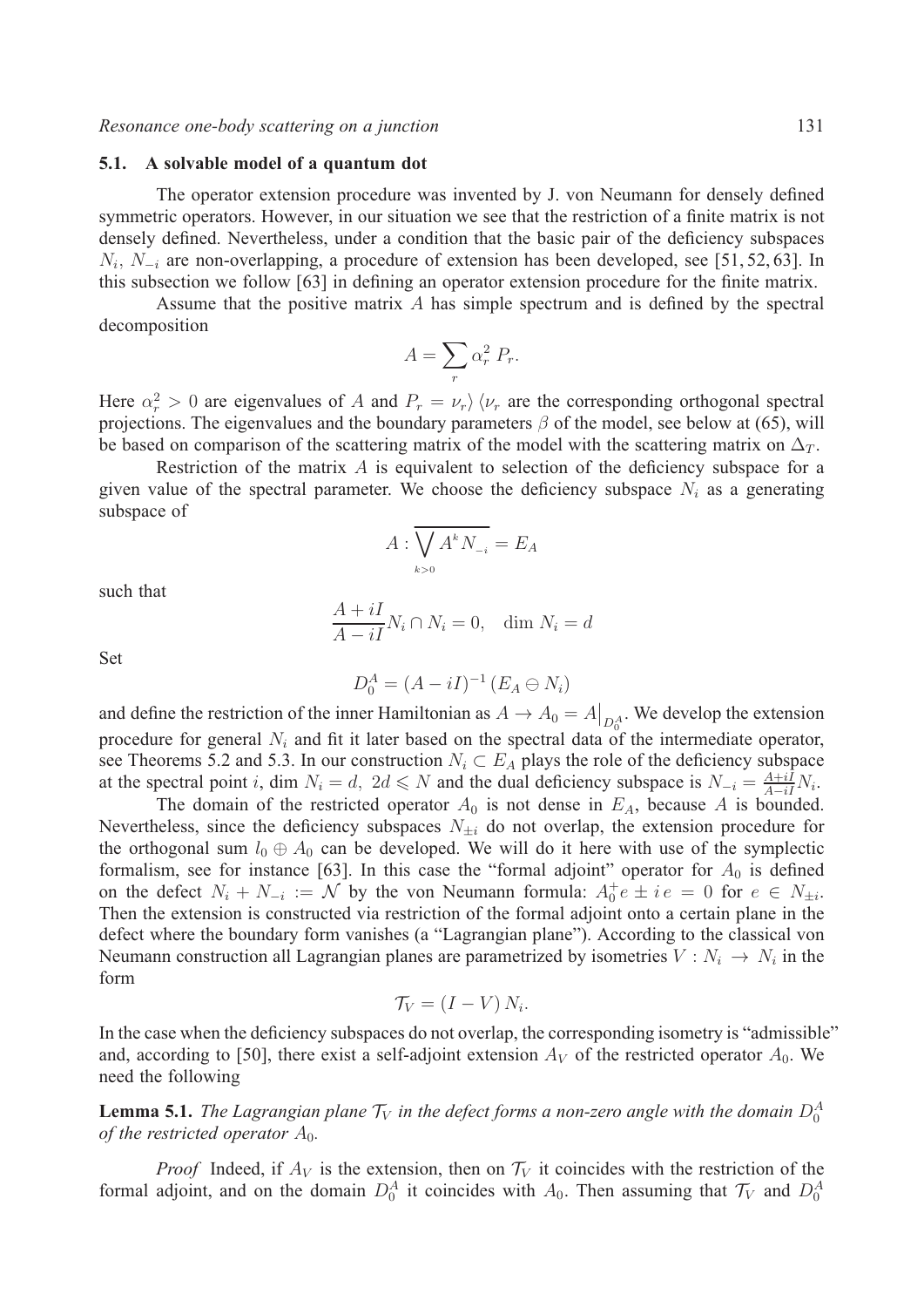#### **5.1. A solvable model of a quantum dot**

The operator extension procedure was invented by J. von Neumann for densely defined symmetric operators. However, in our situation we see that the restriction of a finite matrix is not densely defined. Nevertheless, under a condition that the basic pair of the deficiency subspaces  $N_i$ ,  $N_{-i}$  are non-overlapping, a procedure of extension has been developed, see [51, 52, 63]. In this subsection we follow [63] in defining an operator extension procedure for the finite matrix.

Assume that the positive matrix  $\vec{A}$  has simple spectrum and is defined by the spectral decomposition

$$
A = \sum_r \alpha_r^2 P_r.
$$

Here  $\alpha_r^2 > 0$  are eigenvalues of A and  $P_r = \nu_r \rangle \langle \nu_r$  are the corresponding orthogonal spectral projections. The eigenvalues and the boundary parameters  $\beta$  of the model, see below at (65), will be based on comparison of the scattering matrix of the model with the scattering matrix on  $\Delta_T$ .

Restriction of the matrix  $A$  is equivalent to selection of the deficiency subspace for a given value of the spectral parameter. We choose the deficiency subspace  $N_i$  as a generating subspace of

$$
A:\overline{\bigvee_{k>0}A^kN_{-i}}=E_A
$$

such that

$$
\frac{A+iI}{A-iI}N_i \cap N_i = 0, \quad \dim N_i = d
$$

Set

$$
D_0^A = (A - iI)^{-1} (E_A \ominus N_i)
$$

and define the restriction of the inner Hamiltonian as  $A \to A_0 = A|_{D_0^A}$ . We develop the extension procedure for general  $N_i$  and fit it later based on the spectral data of the intermediate operator, see Theorems 5.2 and 5.3. In our construction  $N_i \subset E_A$  plays the role of the deficiency subspace at the spectral point i, dim  $N_i = d$ ,  $2d \le N$  and the dual deficiency subspace is  $N_{-i} = \frac{A+iI}{A-iI} N_i$ .

The domain of the restricted operator  $A_0$  is not dense in  $E_A$ , because A is bounded. Nevertheless, since the deficiency subspaces  $N_{\pm i}$  do not overlap, the extension procedure for the orthogonal sum  $l_0 \oplus A_0$  can be developed. We will do it here with use of the symplectic formalism, see for instance [63]. In this case the "formal adjoint" operator for  $A_0$  is defined on the defect  $N_i + N_{-i} := \mathcal{N}$  by the von Neumann formula:  $A_0^+e \pm ie = 0$  for  $e \in N_{\pm i}$ . Then the extension is constructed via restriction of the formal adjoint onto a certain plane in the defect where the boundary form vanishes (a "Lagrangian plane"). According to the classical von Neumann construction all Lagrangian planes are parametrized by isometries  $V : N_i \to N_i$  in the form

$$
\mathcal{T}_V = (I - V) N_i.
$$

In the case when the deficiency subspaces do not overlap, the corresponding isometry is "admissible" and, according to [50], there exist a self-adjoint extension  $A_V$  of the restricted operator  $A_0$ . We need the following

**Lemma 5.1.** The Lagrangian plane  $\mathcal{T}_V$  in the defect forms a non-zero angle with the domain  $D_0^A$ *of the restricted operator*  $A_0$ *.* 

*Proof* Indeed, if  $A_V$  is the extension, then on  $\mathcal{T}_V$  it coincides with the restriction of the formal adjoint, and on the domain  $D_0^A$  it coincides with  $A_0$ . Then assuming that  $\mathcal{T}_V$  and  $D_0^A$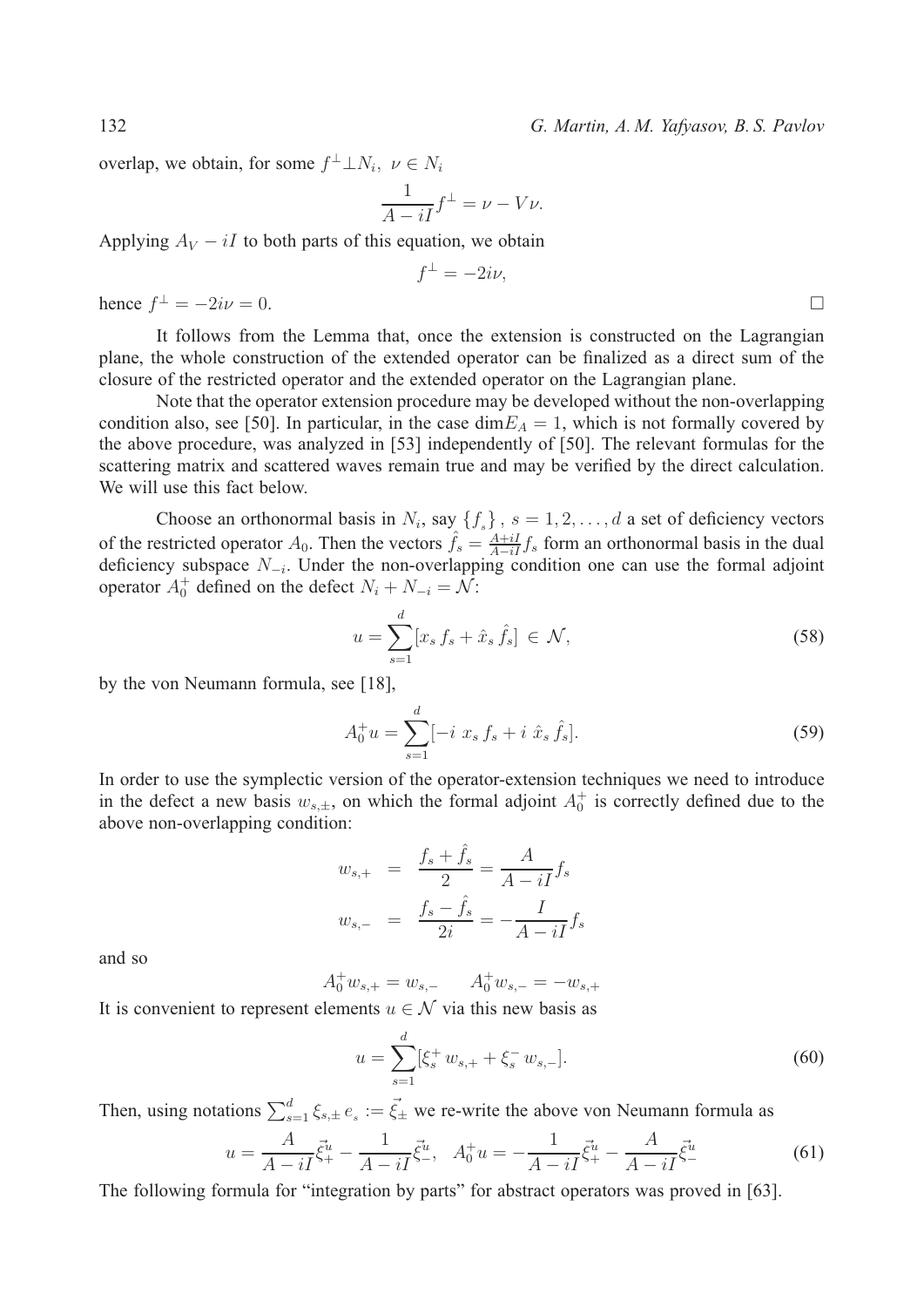132 *G. Martin, A. M. Yafyasov, B. S. Pavlov*

overlap, we obtain, for some  $f^{\perp} \perp N_i$ ,  $\nu \in N_i$ 

$$
\frac{1}{A - iI} f^{\perp} = \nu - V\nu.
$$

 $\int$ 

Applying  $A_V - iI$  to both parts of this equation, we obtain

$$
^{\perp }=-2i\nu ,
$$

hence  $f^{\perp} = -2i\nu = 0$ .

It follows from the Lemma that, once the extension is constructed on the Lagrangian plane, the whole construction of the extended operator can be finalized as a direct sum of the closure of the restricted operator and the extended operator on the Lagrangian plane.

Note that the operator extension procedure may be developed without the non-overlapping condition also, see [50]. In particular, in the case dim  $E_A = 1$ , which is not formally covered by the above procedure, was analyzed in [53] independently of [50]. The relevant formulas for the scattering matrix and scattered waves remain true and may be verified by the direct calculation. We will use this fact below.

Choose an orthonormal basis in  $N_i$ , say  $\{f_s\}$ ,  $s = 1, 2, \ldots, d$  a set of deficiency vectors of the restricted operator  $A_0$ . Then the vectors  $\hat{f}_s = \frac{A+iI}{A-iI} f_s$  form an orthonormal basis in the dual deficiency subspace  $N_{-i}$ . Under the non-overlapping condition one can use the formal adjoint operator  $A_0^+$  defined on the defect  $N_i + N_{-i} = \mathcal{N}$ :

$$
u = \sum_{s=1}^{d} [x_s f_s + \hat{x}_s \hat{f}_s] \in \mathcal{N},\tag{58}
$$

by the von Neumann formula, see [18],

$$
A_0^+ u = \sum_{s=1}^d [-i \; x_s \; f_s + i \; \hat{x}_s \; \hat{f}_s]. \tag{59}
$$

In order to use the symplectic version of the operator-extension techniques we need to introduce in the defect a new basis  $w_{s,\pm}$ , on which the formal adjoint  $A_0^+$  is correctly defined due to the above non-overlapping condition:

$$
w_{s,+} = \frac{f_s + \hat{f}_s}{2} = \frac{A}{A - iI} f_s
$$
  

$$
w_{s,-} = \frac{f_s - \hat{f}_s}{2i} = -\frac{I}{A - iI} f_s
$$

and so

$$
A_0^+ w_{s,+} = w_{s,-} \qquad A_0^+ w_{s,-} = -w_{s,+}
$$

It is convenient to represent elements  $u \in \mathcal{N}$  via this new basis as

$$
u = \sum_{s=1}^{d} [\xi_s^+ w_{s,+} + \xi_s^- w_{s,-}].
$$
\n(60)

Then, using notations  $\sum_{s=1}^{d} \xi_{s,\pm} e_s := \vec{\xi}_{\pm}$  we re-write the above von Neumann formula as

$$
u = \frac{A}{A - iI} \vec{\xi}^{\mu} - \frac{1}{A - iI} \vec{\xi}^{\mu}, \quad A_0^+ u = -\frac{1}{A - iI} \vec{\xi}^{\mu} - \frac{A}{A - iI} \vec{\xi}^{\mu} - \tag{61}
$$

The following formula for "integration by parts" for abstract operators was proved in [63].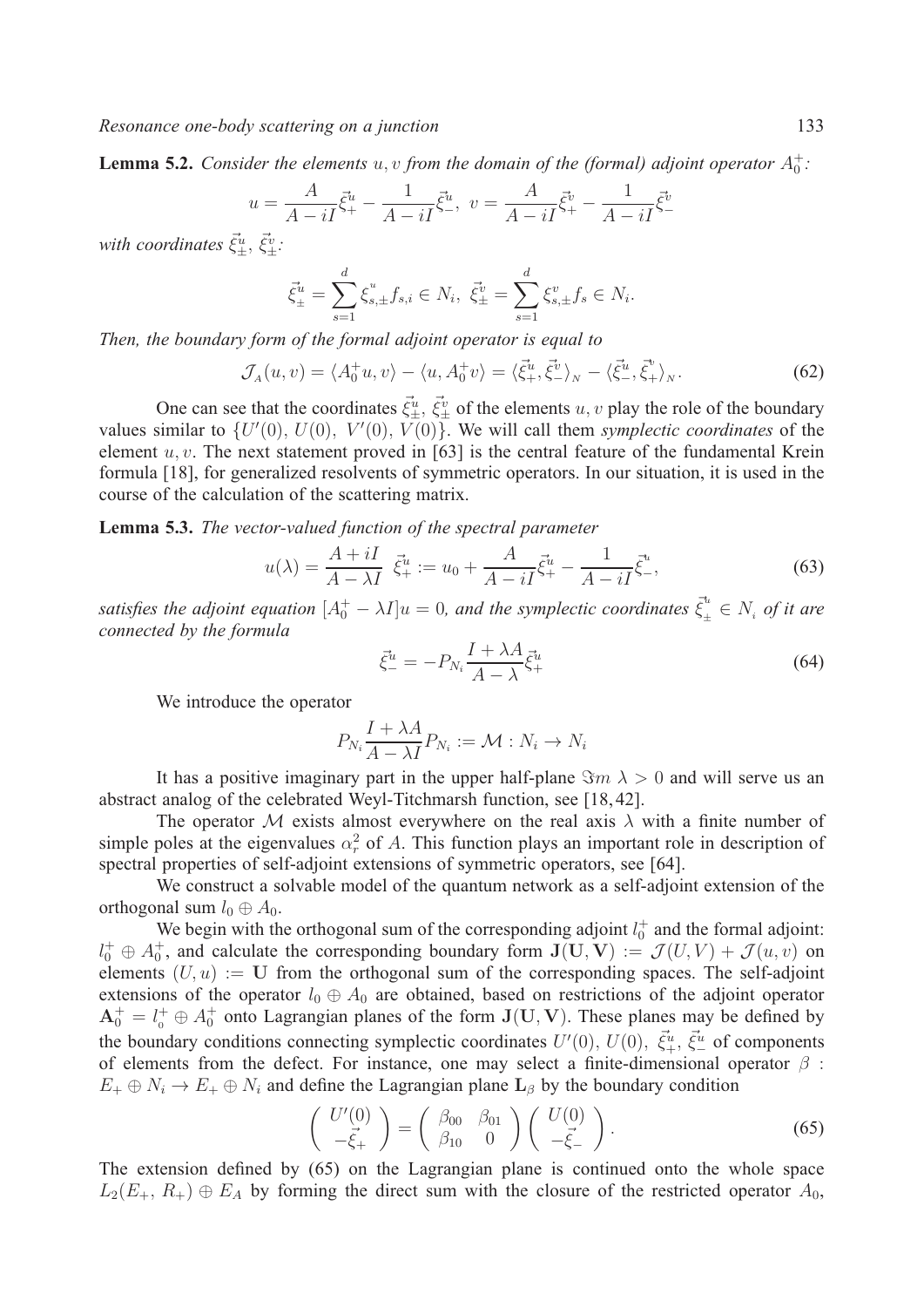**Lemma 5.2.** *Consider the elements*  $u, v$  *from the domain of the (formal) adjoint operator*  $A_0^+$ :

$$
u = \frac{A}{A - iI} \vec{\xi}^{\mu}_{+} - \frac{1}{A - iI} \vec{\xi}^{\mu}_{-}, \ v = \frac{A}{A - iI} \vec{\xi}^{\nu}_{+} - \frac{1}{A - iI} \vec{\xi}^{\nu}_{-}
$$

with coordinates  $\vec{\xi}_{\pm}^u$ ,  $\vec{\xi}_{\pm}^v$ :

$$
\vec{\xi}^u_{\pm} = \sum_{s=1}^d \xi^u_{s,\pm} f_{s,i} \in N_i, \ \vec{\xi}^v_{\pm} = \sum_{s=1}^d \xi^v_{s,\pm} f_s \in N_i.
$$

*Then, the boundary form of the formal adjoint operator is equal to*

$$
\mathcal{J}_A(u,v) = \langle A_0^+ u, v \rangle - \langle u, A_0^+ v \rangle = \langle \vec{\xi}_+^u, \vec{\xi}_-^v \rangle_N - \langle \vec{\xi}_-^u, \vec{\xi}_+^v \rangle_N. \tag{62}
$$

One can see that the coordinates  $\vec{\xi}_u^u$ ,  $\vec{\xi}_v^v$  of the elements  $u, v$  play the role of the boundary values similar to  $\{U'(0), U(0), V'(0), V(0)\}$ . We will call them *symplectic coordinates* of the element  $u, v$ . The next statement proved in [63] is the central feature of the fundamental Krein formula [18], for generalized resolvents of symmetric operators. In our situation, it is used in the course of the calculation of the scattering matrix.

**Lemma 5.3.** *The vector-valued function of the spectral parameter*

$$
u(\lambda) = \frac{A + iI}{A - \lambda I} \vec{\xi}^u_+ := u_0 + \frac{A}{A - iI} \vec{\xi}^u_+ - \frac{1}{A - iI} \vec{\xi}^u_-,
$$
 (63)

*satisfies the adjoint equation*  $[A_0^+ - \lambda I]u = 0$ , and the symplectic coordinates  $\bar{\xi}^u_{\pm} \in N_i$  of it are *connected by the formula*

$$
\vec{\xi}^u_- = -P_{N_i} \frac{I + \lambda A}{A - \lambda} \vec{\xi}^u_+
$$
\n(64)

We introduce the operator

$$
P_{N_i} \frac{I + \lambda A}{A - \lambda I} P_{N_i} := \mathcal{M} : N_i \to N_i
$$

It has a positive imaginary part in the upper half-plane  $\Im m \lambda > 0$  and will serve us an abstract analog of the celebrated Weyl-Titchmarsh function, see [18, 42].

The operator M exists almost everywhere on the real axis  $\lambda$  with a finite number of simple poles at the eigenvalues  $\alpha_r^2$  of A. This function plays an important role in description of spectral properties of self-adjoint extensions of symmetric operators, see [64].

We construct a solvable model of the quantum network as a self-adjoint extension of the orthogonal sum  $l_0 \oplus A_0$ .

We begin with the orthogonal sum of the corresponding adjoint  $l_0^+$  and the formal adjoint:  $U_0^+ \oplus A_0^+$ , and calculate the corresponding boundary form  $J(U, V) := \mathcal{J}(U, V) + \mathcal{J}(u, v)$  on elements  $(U, u) := U$  from the orthogonal sum of the corresponding spaces. The self-adjoint extensions of the operator  $l_0 \oplus A_0$  are obtained, based on restrictions of the adjoint operator  $A_0^+ = l_0^+ \oplus A_0^+$  onto Lagrangian planes of the form  $J(U, V)$ . These planes may be defined by the boundary conditions connecting symplectic coordinates  $U'(0)$ ,  $U(0)$ ,  $\vec{\xi}_{+}^u$ ,  $\vec{\xi}_{-}^u$  of components of elements from the defect. For instance, one may select a finite-dimensional operator  $\beta$ :  $E_+ \oplus N_i \rightarrow E_+ \oplus N_i$  and define the Lagrangian plane  $\mathbf{L}_{\beta}$  by the boundary condition

$$
\begin{pmatrix} U'(0) \\ -\vec{\xi}_+ \end{pmatrix} = \begin{pmatrix} \beta_{00} & \beta_{01} \\ \beta_{10} & 0 \end{pmatrix} \begin{pmatrix} U(0) \\ -\vec{\xi}_- \end{pmatrix}.
$$
 (65)

The extension defined by (65) on the Lagrangian plane is continued onto the whole space  $L_2(E_+, R_+) \oplus E_A$  by forming the direct sum with the closure of the restricted operator  $A_0$ ,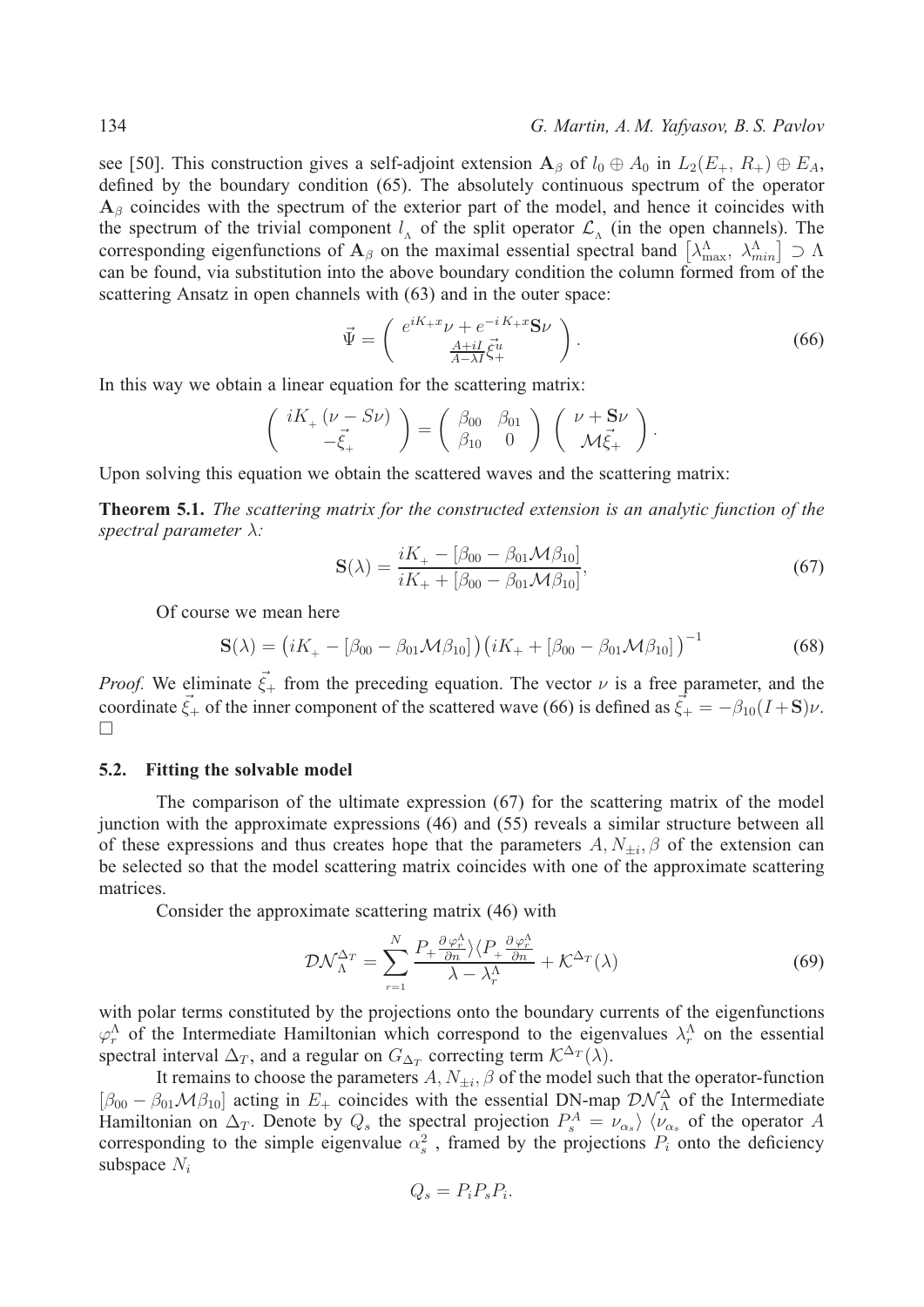see [50]. This construction gives a self-adjoint extension  $A_\beta$  of  $l_0 \oplus A_0$  in  $L_2(E_+, R_+) \oplus E_A$ , defined by the boundary condition (65). The absolutely continuous spectrum of the operator  $A_\beta$  coincides with the spectrum of the exterior part of the model, and hence it coincides with the spectrum of the trivial component  $l_A$  of the split operator  $\mathcal{L}_{\Lambda}$  (in the open channels). The corresponding eigenfunctions of  $A_\beta$  on the maximal essential spectral band  $\left[\lambda_{\max}^{\Lambda}, \lambda_{\min}^{\Lambda}\right] \supset \Lambda$ can be found, via substitution into the above boundary condition the column formed from of the scattering Ansatz in open channels with (63) and in the outer space:

$$
\vec{\Psi} = \begin{pmatrix} e^{iK_+x}\nu + e^{-iK_+x}\mathbf{S}\nu \\ \frac{A+iI}{A-\lambda I}\vec{\xi}^u_+ \end{pmatrix} . \tag{66}
$$

In this way we obtain a linear equation for the scattering matrix:

$$
\begin{pmatrix} iK_+ \left(\nu - S\nu\right) \\ -\vec{\xi}_+ \end{pmatrix} = \begin{pmatrix} \beta_{00} & \beta_{01} \\ \beta_{10} & 0 \end{pmatrix} \begin{pmatrix} \nu + S\nu \\ \mathcal{M}\vec{\xi}_+ \end{pmatrix}.
$$

Upon solving this equation we obtain the scattered waves and the scattering matrix:

**Theorem 5.1.** *The scattering matrix for the constructed extension is an analytic function of the spectral parameter*  $\lambda$ *:* 

$$
\mathbf{S}(\lambda) = \frac{iK_{+} - [\beta_{00} - \beta_{01} \mathcal{M} \beta_{10}]}{iK_{+} + [\beta_{00} - \beta_{01} \mathcal{M} \beta_{10}]},\tag{67}
$$

Of course we mean here

$$
\mathbf{S}(\lambda) = (iK_{+} - [\beta_{00} - \beta_{01} \mathcal{M} \beta_{10}]) (iK_{+} + [\beta_{00} - \beta_{01} \mathcal{M} \beta_{10}])^{-1}
$$
(68)

*Proof.* We eliminate  $\vec{\xi}_+$  from the preceding equation. The vector  $\nu$  is a free parameter, and the coordinate  $\vec{\xi}_+$  of the inner component of the scattered wave (66) is defined as  $\vec{\xi}_+ = -\beta_{10}(I + S)\nu$ . □

#### **5.2. Fitting the solvable model**

The comparison of the ultimate expression (67) for the scattering matrix of the model junction with the approximate expressions (46) and (55) reveals a similar structure between all of these expressions and thus creates hope that the parameters  $A, N_{\pm i}, \beta$  of the extension can be selected so that the model scattering matrix coincides with one of the approximate scattering matrices.

Consider the approximate scattering matrix (46) with

$$
\mathcal{D}\mathcal{N}_{\Lambda}^{\Delta_{T}} = \sum_{r=1}^{N} \frac{P_{+} \frac{\partial \varphi_{r}^{\Lambda}}{\partial n} \rangle \langle P_{+} \frac{\partial \varphi_{r}^{\Lambda}}{\partial n} + \mathcal{K}^{\Delta_{T}}(\lambda) \tag{69}
$$

with polar terms constituted by the projections onto the boundary currents of the eigenfunctions  $\varphi_r^{\Lambda}$  of the Intermediate Hamiltonian which correspond to the eigenvalues  $\lambda_r^{\Lambda}$  on the essential spectral interval  $\Delta_T$ , and a regular on  $G_{\Delta_T}$  correcting term  $\mathcal{K}^{\Delta_T}(\lambda)$ .

It remains to choose the parameters  $A, N_{\pm i}, \beta$  of the model such that the operator-function  $[\beta_{00} - \beta_{01} \mathcal{M} \beta_{10}]$  acting in  $E_+$  coincides with the essential DN-map  $\mathcal{D} \mathcal{N}^{\Delta}_{\Lambda}$  of the Intermediate Hamiltonian on  $\Delta_T$ . Denote by  $Q_s$  the spectral projection  $P_s^A = \nu_{\alpha_s}$   $\langle \nu_{\alpha_s}$  of the operator A corresponding to the simple eigenvalue  $\alpha_s^2$ , framed by the projections  $P_i$  onto the deficiency subspace  $N_i$ 

$$
Q_s = P_i P_s P_i.
$$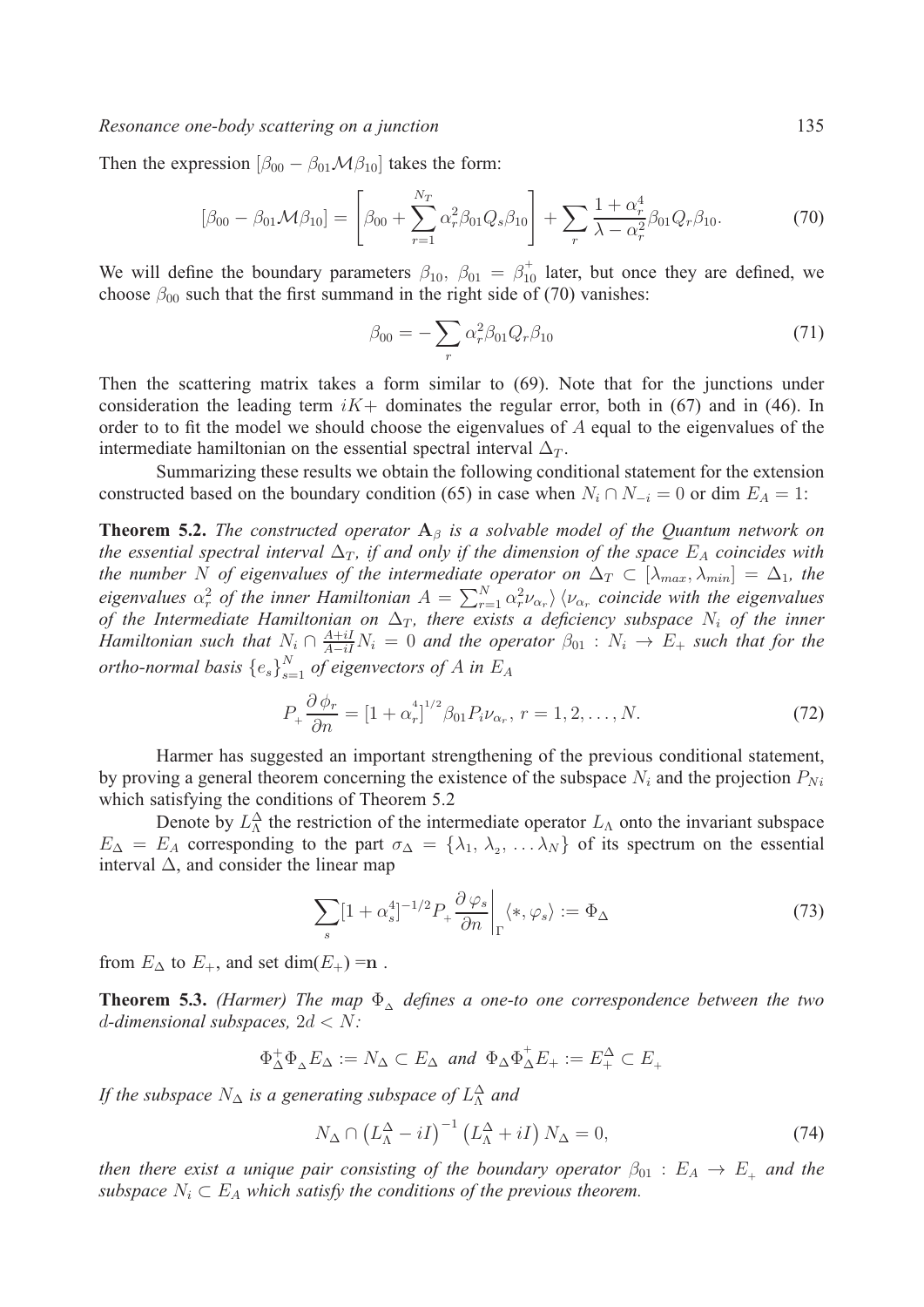#### *Resonance one-body scattering on a junction* 135

Then the expression  $[\beta_{00} - \beta_{01} \mathcal{M} \beta_{10}]$  takes the form:

$$
[\beta_{00} - \beta_{01} \mathcal{M} \beta_{10}] = \left[ \beta_{00} + \sum_{r=1}^{N_T} \alpha_r^2 \beta_{01} Q_s \beta_{10} \right] + \sum_r \frac{1 + \alpha_r^4}{\lambda - \alpha_r^2} \beta_{01} Q_r \beta_{10}.
$$
 (70)

We will define the boundary parameters  $\beta_{10}$ ,  $\beta_{01} = \beta_{10}^+$  later, but once they are defined, we choose  $\beta_{00}$  such that the first summand in the right side of (70) vanishes:

$$
\beta_{00} = -\sum_{r} \alpha_r^2 \beta_{01} Q_r \beta_{10} \tag{71}
$$

Then the scattering matrix takes a form similar to (69). Note that for the junctions under consideration the leading term  $iK$  dominates the regular error, both in (67) and in (46). In order to to fit the model we should choose the eigenvalues of  $A$  equal to the eigenvalues of the intermediate hamiltonian on the essential spectral interval  $\Delta_T$ .

Summarizing these results we obtain the following conditional statement for the extension constructed based on the boundary condition (65) in case when  $N_i \cap N_{-i} = 0$  or dim  $E_A = 1$ :

**Theorem 5.2.** *The constructed operator*  $A_\beta$  *is a solvable model of the Quantum network on the essential spectral interval*  $\Delta_T$ , *if and only if the dimension of the space*  $E_A$  coincides with *the number* N of eigenvalues of the intermediate operator on  $\Delta_T \subset [\lambda_{max}, \lambda_{min}] = \Delta_1$ , the eigenvalues  $\alpha_r^2$  of the inner Hamiltonian  $A = \sum_{r=1}^N \alpha_r^2 \nu_{\alpha_r}$   $\langle \nu_{\alpha_r}$  coincide with the eigenvalues *of the Intermediate Hamiltonian on*  $\Delta_T$ , there exists a deficiency subspace  $N_i$  of the inner *Hamiltonian such that*  $N_i \cap \frac{A+iI}{A-iI}N_i = 0$  and the operator  $\beta_{01} : N_i \to E_+$  such that for the *ortho-normal basis*  ${e_s}\big|_{s=1}^N$  *of eigenvectors of A in*  $E_A$ 

$$
P_{+} \frac{\partial \phi_{r}}{\partial n} = [1 + \alpha_{r}^{4}]^{1/2} \beta_{01} P_{i} \nu_{\alpha_{r}}, r = 1, 2, ..., N.
$$
 (72)

Harmer has suggested an important strengthening of the previous conditional statement, by proving a general theorem concerning the existence of the subspace  $N_i$  and the projection  $P_{Ni}$ which satisfying the conditions of Theorem 5.2

Denote by  $L^{\Delta}$  the restriction of the intermediate operator  $L_{\Lambda}$  onto the invariant subspace  $E_{\Delta} = E_A$  corresponding to the part  $\sigma_{\Delta} = {\lambda_1, \lambda_2, \ldots \lambda_N}$  of its spectrum on the essential interval  $\Delta$ , and consider the linear map

$$
\sum_{s} [1 + \alpha_s^4]^{-1/2} P_+ \frac{\partial \varphi_s}{\partial n} \bigg|_{\Gamma} \langle *, \varphi_s \rangle := \Phi_{\Delta} \tag{73}
$$

from  $E_{\Delta}$  to  $E_{+}$ , and set dim( $E_{+}$ ) =n.

**Theorem 5.3.** *(Harmer)* The map  $\Phi_{\Delta}$  *defines a one-to one correspondence between the two d*-dimensional subspaces,  $2d < N$ :

$$
\Phi_{\Delta}^+ \Phi_{\Delta} E_{\Delta} := N_{\Delta} \subset E_{\Delta} \text{ and } \Phi_{\Delta} \Phi_{\Delta}^+ E_{+} := E_{+}^{\Delta} \subset E_{+}
$$

*If the subspace*  $N_{\Delta}$  *is a generating subspace of*  $L_{\Lambda}^{\Delta}$  *and* 

$$
N_{\Delta} \cap \left(L_{\Lambda}^{\Delta} - iI\right)^{-1} \left(L_{\Lambda}^{\Delta} + iI\right) N_{\Delta} = 0, \tag{74}
$$

*then there exist a unique pair consisting of the boundary operator*  $\beta_{01} : E_A \rightarrow E_+$  *and the subspace*  $N_i \subset E_A$  *which satisfy the conditions of the previous theorem.*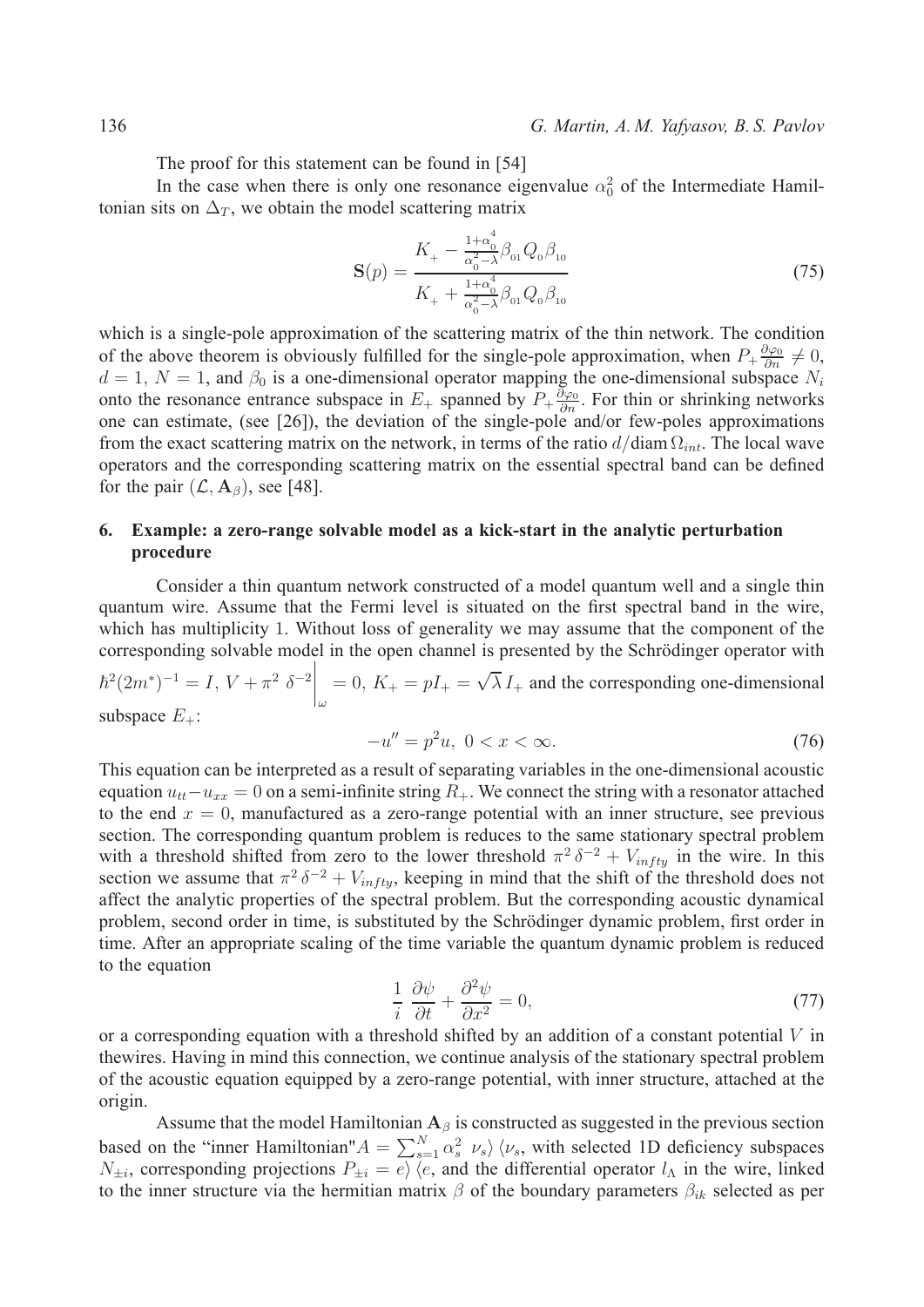The proof for this statement can be found in [54]

In the case when there is only one resonance eigenvalue  $\alpha_0^2$  of the Intermediate Hamiltonian sits on  $\Delta_T$ , we obtain the model scattering matrix

$$
\mathbf{S}(p) = \frac{K_{+} - \frac{1+\alpha_0^4}{\alpha_0^2 - \lambda} \beta_{01} Q_0 \beta_{10}}{K_{+} + \frac{1+\alpha_0^4}{\alpha_0^2 - \lambda} \beta_{01} Q_0 \beta_{10}}
$$
(75)

which is a single-pole approximation of the scattering matrix of the thin network. The condition of the above theorem is obviously fulfilled for the single-pole approximation, when  $P_+\frac{\partial\varphi_0}{\partial n}\neq 0$ ,  $d = 1, N = 1$ , and  $\beta_0$  is a one-dimensional operator mapping the one-dimensional subspace  $N_i$ onto the resonance entrance subspace in  $E_+$  spanned by  $P_+ \frac{\partial \varphi_0}{\partial n}$ . For thin or shrinking networks one can estimate, (see [26]), the deviation of the single-pole and/or few-poles approximations from the exact scattering matrix on the network, in terms of the ratio  $d/diam \Omega_{int}$ . The local wave operators and the corresponding scattering matrix on the essential spectral band can be defined for the pair  $(\mathcal{L}, \mathbf{A}_{\beta})$ , see [48].

## **6. Example: a zero-range solvable model as a kick-start in the analytic perturbation procedure**

Consider a thin quantum network constructed of a model quantum well and a single thin quantum wire. Assume that the Fermi level is situated on the first spectral band in the wire, which has multiplicity 1. Without loss of generality we may assume that the component of the corresponding solvable model in the open channel is presented by the Schrödinger operator with

 $\hbar^2 (2m^*)^{-1} = I, V + \pi^2 \delta^{-2} \Bigg|_{\omega}$  $= 0, K_{+} = pI_{+} = \sqrt{\lambda} I_{+}$  and the corresponding one-dimensional subspace  $E_{+}$ :

$$
-u'' = p^2 u, \ 0 < x < \infty. \tag{76}
$$

This equation can be interpreted as a result of separating variables in the one-dimensional acoustic equation  $u_{tt} - u_{xx} = 0$  on a semi-infinite string  $R_{+}$ . We connect the string with a resonator attached to the end  $x = 0$ , manufactured as a zero-range potential with an inner structure, see previous section. The corresponding quantum problem is reduces to the same stationary spectral problem with a threshold shifted from zero to the lower threshold  $\pi^2 \delta^{-2} + V_{infty}$  in the wire. In this section we assume that  $\pi^2 \delta^{-2} + V_{infty}$ , keeping in mind that the shift of the threshold does not affect the analytic properties of the spectral problem. But the corresponding acoustic dynamical problem, second order in time, is substituted by the Schrödinger dynamic problem, first order in time. After an appropriate scaling of the time variable the quantum dynamic problem is reduced to the equation

$$
\frac{1}{i}\frac{\partial\psi}{\partial t} + \frac{\partial^2\psi}{\partial x^2} = 0,\tag{77}
$$

or a corresponding equation with a threshold shifted by an addition of a constant potential  $V$  in thewires. Having in mind this connection, we continue analysis of the stationary spectral problem of the acoustic equation equipped by a zero-range potential, with inner structure, attached at the origin.

Assume that the model Hamiltonian  $A_\beta$  is constructed as suggested in the previous section based on the "inner Hamiltonian"  $A = \sum_{s=1}^{N} \alpha_s^2 \nu_s \rangle \langle \nu_s$ , with selected 1D deficiency subspaces  $N_{\pm i}$ , corresponding projections  $P_{\pm i} = e \rangle \langle e$ , and the differential operator  $l_{\Lambda}$  in the wire, linked to the inner structure via the hermitian matrix  $\beta$  of the boundary parameters  $\beta_{ik}$  selected as per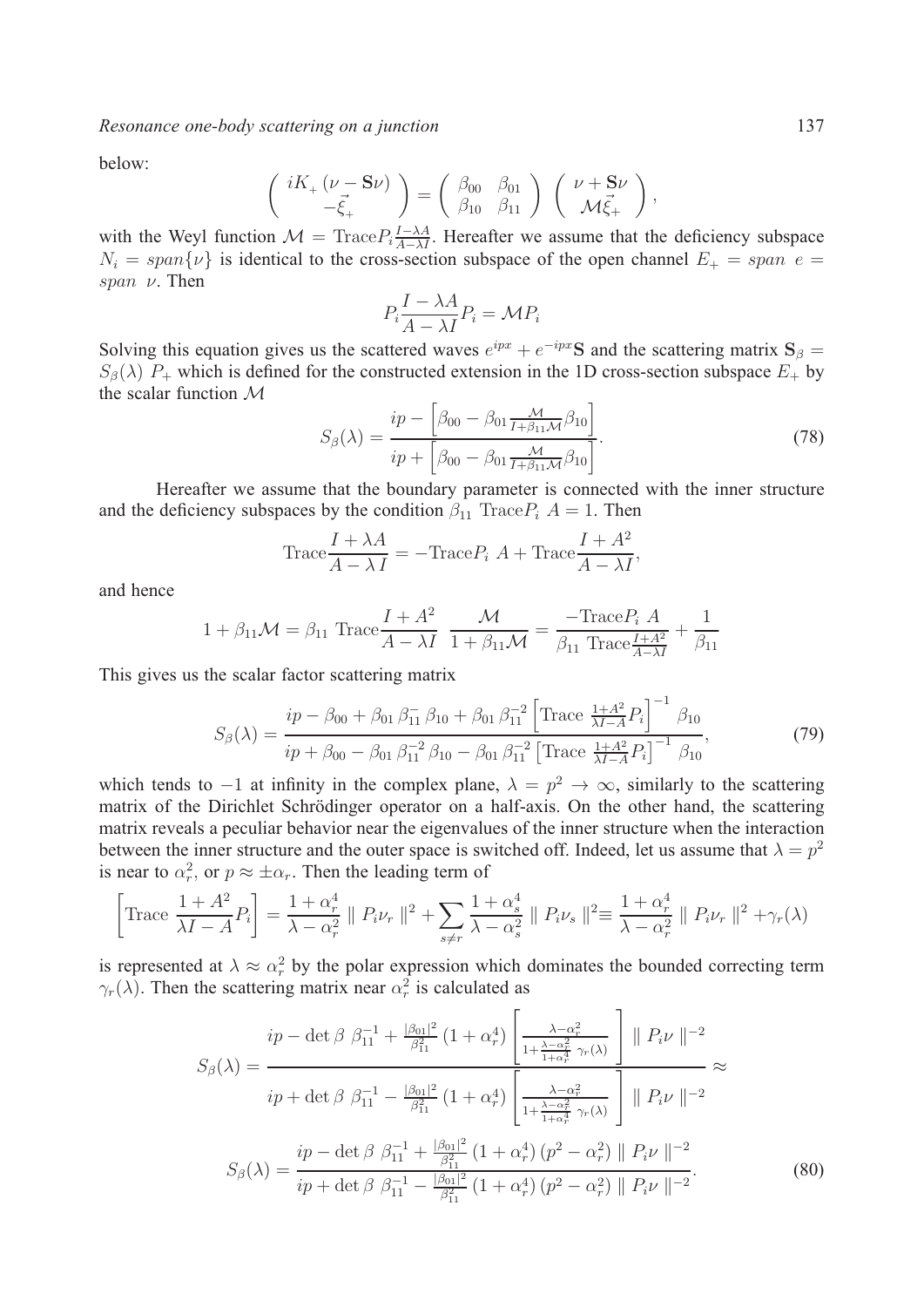*Resonance one-body scattering on a junction* 137

below:

$$
\begin{pmatrix} iK_+ (\nu - \mathbf{S}\nu) \\ -\vec{\xi}_+ \end{pmatrix} = \begin{pmatrix} \beta_{00} & \beta_{01} \\ \beta_{10} & \beta_{11} \end{pmatrix} \begin{pmatrix} \nu + \mathbf{S}\nu \\ \mathcal{M}\vec{\xi}_+ \end{pmatrix},
$$

with the Weyl function  $\mathcal{M} = \text{Trace} P_i \frac{I - \lambda A}{A - \lambda I}$ . Hereafter we assume that the deficiency subspace  $N_i = span\{\nu\}$  is identical to the cross-section subspace of the open channel  $E_+ = span e =$ span  $\nu$ . Then

$$
P_i \frac{I - \lambda A}{A - \lambda I} P_i = \mathcal{M} P_i
$$

Solving this equation gives us the scattered waves  $e^{ipx} + e^{-ipx}$ S and the scattering matrix  $S_\beta$  =  $S_{\beta}(\lambda)$   $P_+$  which is defined for the constructed extension in the 1D cross-section subspace  $E_+$  by the scalar function  $M$ 

$$
S_{\beta}(\lambda) = \frac{ip - \left[\beta_{00} - \beta_{01} \frac{\mathcal{M}}{I + \beta_{11} \mathcal{M}} \beta_{10}\right]}{ip + \left[\beta_{00} - \beta_{01} \frac{\mathcal{M}}{I + \beta_{11} \mathcal{M}} \beta_{10}\right]}.
$$
(78)

Hereafter we assume that the boundary parameter is connected with the inner structure and the deficiency subspaces by the condition  $\beta_{11}$  Trace  $P_i$   $A = 1$ . Then

Trace 
$$
\frac{I + \lambda A}{A - \lambda I}
$$
 = -Trace $P_i$  A + Trace $\frac{I + A^2}{A - \lambda I}$ ,

and hence

$$
1 + \beta_{11} \mathcal{M} = \beta_{11} \operatorname{Trace} \frac{I + A^2}{A - \lambda I} \frac{\mathcal{M}}{1 + \beta_{11} \mathcal{M}} = \frac{-\operatorname{Trace} P_i A}{\beta_{11} \operatorname{Trace} \frac{I + A^2}{A - \lambda I}} + \frac{1}{\beta_{11}}
$$

This gives us the scalar factor scattering matrix

$$
S_{\beta}(\lambda) = \frac{ip - \beta_{00} + \beta_{01} \beta_{11}^{-} \beta_{10} + \beta_{01} \beta_{11}^{-2} \left[ \text{Trace } \frac{1 + A^2}{\lambda I - A} P_i \right]^{-1} \beta_{10}}{ip + \beta_{00} - \beta_{01} \beta_{11}^{-2} \beta_{10} - \beta_{01} \beta_{11}^{-2} \left[ \text{Trace } \frac{1 + A^2}{\lambda I - A} P_i \right]^{-1} \beta_{10}},\tag{79}
$$

which tends to −1 at infinity in the complex plane,  $\lambda = p^2 \to \infty$ , similarly to the scattering matrix of the Dirichlet Schrödinger operator on a half-axis. On the other hand, the scattering matrix reveals a peculiar behavior near the eigenvalues of the inner structure when the interaction between the inner structure and the outer space is switched off. Indeed, let us assume that  $\lambda = p^2$ is near to  $\alpha_r^2$ , or  $p \approx \pm \alpha_r$ . Then the leading term of

$$
\left[\text{Trace } \frac{1+A^2}{\lambda I - A} P_i\right] = \frac{1+\alpha_r^4}{\lambda - \alpha_r^2} \parallel P_i \nu_r \parallel^2 + \sum_{s \neq r} \frac{1+\alpha_s^4}{\lambda - \alpha_s^2} \parallel P_i \nu_s \parallel^2 \equiv \frac{1+\alpha_r^4}{\lambda - \alpha_r^2} \parallel P_i \nu_r \parallel^2 + \gamma_r(\lambda)
$$

is represented at  $\lambda \approx \alpha_r^2$  by the polar expression which dominates the bounded correcting term  $\gamma_r(\lambda)$ . Then the scattering matrix near  $\alpha_r^2$  is calculated as

$$
Sp(\lambda) = \frac{ip - \det \beta \beta_{11}^{-1} + \frac{|\beta_{01}|^2}{\beta_{11}^2} (1 + \alpha_r^4) \left[ \frac{\lambda - \alpha_r^2}{1 + \frac{\lambda - \alpha_r^2}{1 + \alpha_r^4} \gamma_r(\lambda)} \right] \| P_i \nu \|^{-2}}{ip + \det \beta \beta_{11}^{-1} - \frac{|\beta_{01}|^2}{\beta_{11}^2} (1 + \alpha_r^4) \left[ \frac{\lambda - \alpha_r^2}{1 + \frac{\lambda - \alpha_r^2}{1 + \alpha_r^4} \gamma_r(\lambda)} \right] \| P_i \nu \|^{-2}}
$$
  

$$
S_\beta(\lambda) = \frac{ip - \det \beta \beta_{11}^{-1} + \frac{|\beta_{01}|^2}{\beta_{11}^2} (1 + \alpha_r^4) (p^2 - \alpha_r^2) \| P_i \nu \|^{-2}}{ip + \det \beta \beta_{11}^{-1} - \frac{|\beta_{01}|^2}{\beta_{11}^2} (1 + \alpha_r^4) (p^2 - \alpha_r^2) \| P_i \nu \|^{-2}}.
$$
 (80)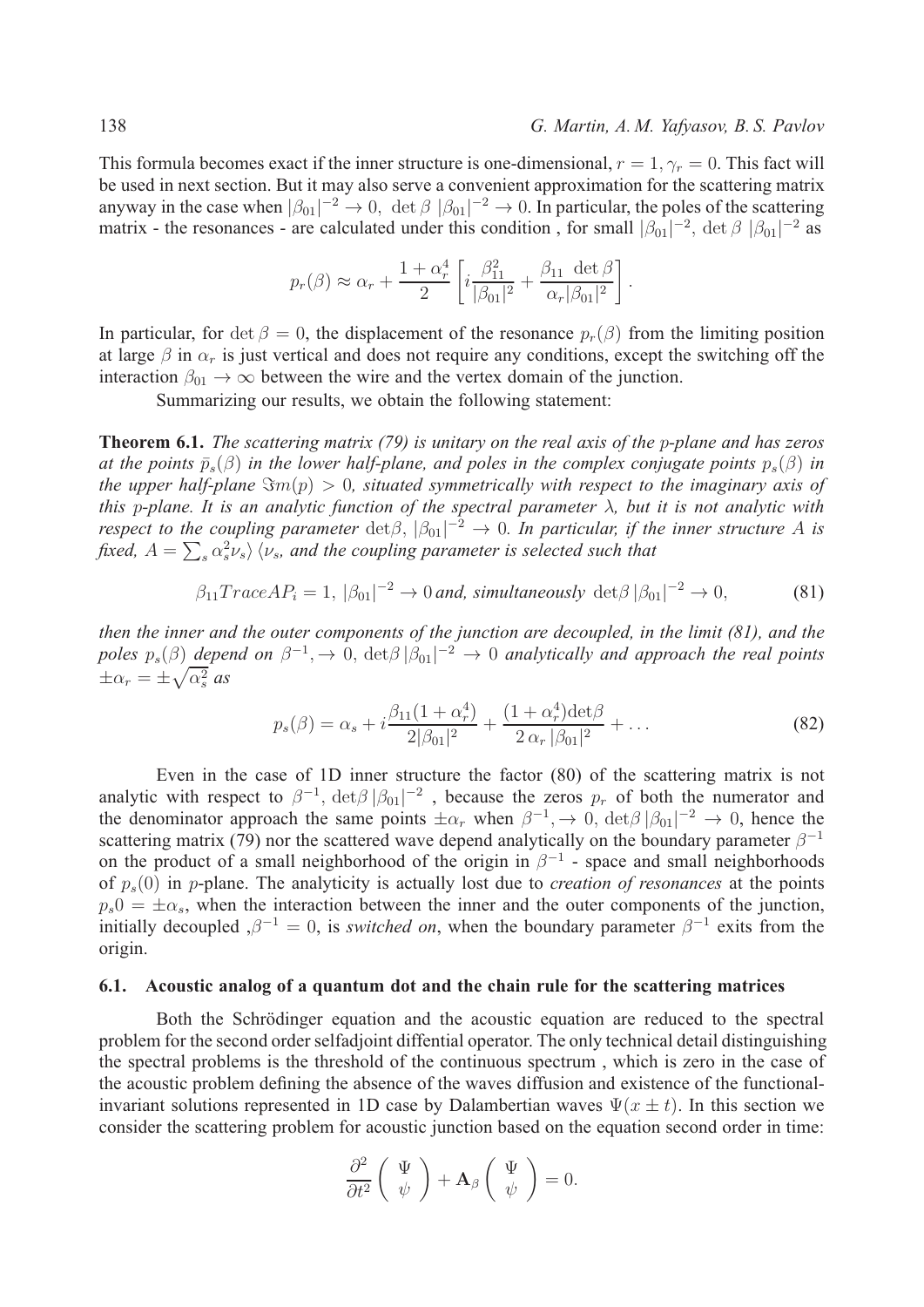This formula becomes exact if the inner structure is one-dimensional,  $r = 1$ ,  $\gamma_r = 0$ . This fact will be used in next section. But it may also serve a convenient approximation for the scattering matrix anyway in the case when  $|\beta_{01}|^{-2} \to 0$ ,  $\det \beta$   $|\beta_{01}|^{-2} \to 0$ . In particular, the poles of the scattering matrix - the resonances - are calculated under this condition, for small  $|\beta_{01}|^{-2}$ ,  $\det \beta$   $|\beta_{01}|^{-2}$  as

$$
p_r(\beta) \approx \alpha_r + \frac{1 + \alpha_r^4}{2} \left[ i \frac{\beta_{11}^2}{|\beta_{01}|^2} + \frac{\beta_{11} \det \beta}{\alpha_r |\beta_{01}|^2} \right].
$$

In particular, for det  $\beta = 0$ , the displacement of the resonance  $p_r(\beta)$  from the limiting position at large  $\beta$  in  $\alpha_r$  is just vertical and does not require any conditions, except the switching off the interaction  $\beta_{01} \rightarrow \infty$  between the wire and the vertex domain of the junction.

Summarizing our results, we obtain the following statement:

**Theorem 6.1.** *The scattering matrix (79) is unitary on the real axis of the p-plane and has zeros at the points*  $\bar{p}_s(\beta)$  *in the lower half-plane, and poles in the complex conjugate points*  $p_s(\beta)$  *in the upper half-plane*  $\Im m(p) > 0$ , situated symmetrically with respect to the imaginary axis of *this* p-plane. It is an analytic function of the spectral parameter  $\lambda$ , but it is not analytic with *respect to the coupling parameter*  $\det \beta$ ,  $|\beta_{01}|^{-2} \rightarrow 0$ . In particular, if the inner structure A is fixed,  $A=\sum_s \alpha_s^2 \nu_s \rangle \, \langle \nu_s$ , and the coupling parameter is selected such that

$$
\beta_{11} TraceAP_i = 1, |\beta_{01}|^{-2} \to 0 \text{ and, simultaneously } \det \beta |\beta_{01}|^{-2} \to 0,
$$
 (81)

*then the inner and the outer components of the junction are decoupled, in the limit (81), and the* poles  $p_s(\beta)$  depend on  $\beta^{-1}$ ,  $\to 0$ ,  $\det\beta$   $|\beta_{01}|^{-2}$   $\to 0$  analytically and approach the real points  $\pm \alpha_r = \pm \sqrt{\alpha_s^2}$  as

$$
p_s(\beta) = \alpha_s + i \frac{\beta_{11}(1 + \alpha_r^4)}{2|\beta_{01}|^2} + \frac{(1 + \alpha_r^4) \text{det}\beta}{2 \alpha_r |\beta_{01}|^2} + \dots
$$
 (82)

Even in the case of 1D inner structure the factor (80) of the scattering matrix is not analytic with respect to  $\beta^{-1}$ ,  $\det \beta |\beta_{01}|^{-2}$ , because the zeros  $p_r$  of both the numerator and the denominator approach the same points  $\pm \alpha_r$  when  $\beta^{-1}$ ,  $\rightarrow 0$ ,  $\det \beta |\beta_{01}|^{-2} \rightarrow 0$ , hence the scattering matrix (79) nor the scattered wave depend analytically on the boundary parameter  $\beta^{-1}$ on the product of a small neighborhood of the origin in  $\beta^{-1}$  - space and small neighborhoods of  $p_s(0)$  in p-plane. The analyticity is actually lost due to *creation of resonances* at the points  $p_s = \pm \alpha_s$ , when the interaction between the inner and the outer components of the junction, initially decoupled  $, \beta^{-1} = 0$ , is *switched on*, when the boundary parameter  $\beta^{-1}$  exits from the origin.

#### **6.1. Acoustic analog of a quantum dot and the chain rule for the scattering matrices**

Both the Schrödinger equation and the acoustic equation are reduced to the spectral problem for the second order selfadjoint diffential operator. The only technical detail distinguishing the spectral problems is the threshold of the continuous spectrum , which is zero in the case of the acoustic problem defining the absence of the waves diffusion and existence of the functionalinvariant solutions represented in 1D case by Dalambertian waves  $\Psi(x \pm t)$ . In this section we consider the scattering problem for acoustic junction based on the equation second order in time:

$$
\frac{\partial^2}{\partial t^2} \left( \begin{array}{c} \Psi \\ \psi \end{array} \right) + \mathbf{A}_{\beta} \left( \begin{array}{c} \Psi \\ \psi \end{array} \right) = 0.
$$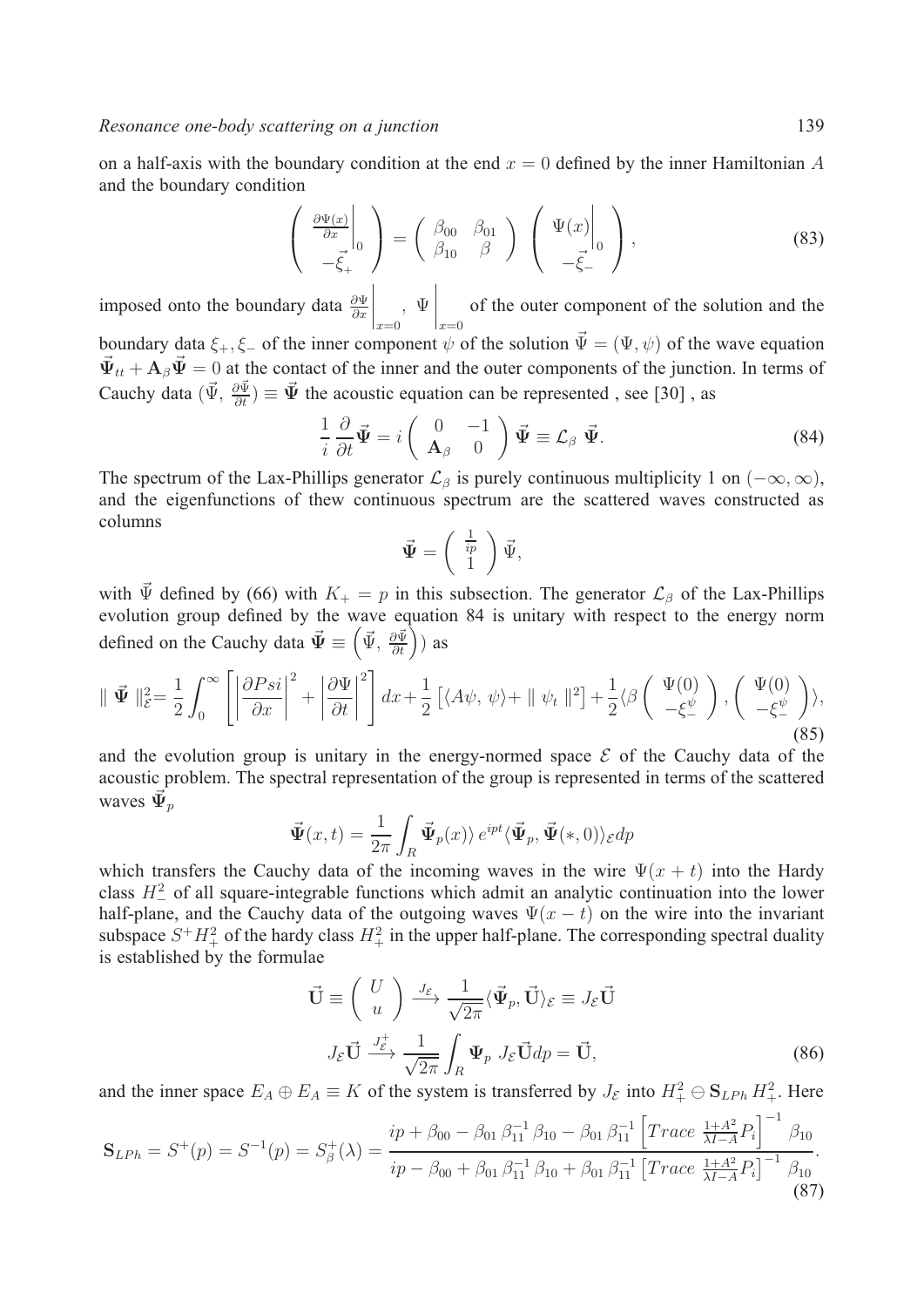on a half-axis with the boundary condition at the end  $x = 0$  defined by the inner Hamiltonian A and the boundary condition

$$
\begin{pmatrix} \frac{\partial \Psi(x)}{\partial x} \Big|_{0} \\ -\overline{\xi}_{+} \end{pmatrix} = \begin{pmatrix} \beta_{00} & \beta_{01} \\ \beta_{10} & \beta \end{pmatrix} \begin{pmatrix} \Psi(x) \Big|_{0} \\ -\overline{\xi}_{-} \end{pmatrix}, \qquad (83)
$$

imposed onto the boundary data  $\frac{\partial \Psi}{\partial x}$  $\Big|_{x=0}$ , Ψ  $\Big|_{x=0}$ of the outer component of the solution and the boundary data  $\xi_+$ ,  $\xi_-$  of the inner component  $\psi$  of the solution  $\vec{\Psi} = (\Psi, \psi)$  of the wave equation  $\vec{\Psi}_{tt} + \mathbf{A}_{\beta} \vec{\Psi} = 0$  at the contact of the inner and the outer components of the junction. In terms of Cauchy data  $(\vec{\Psi}, \frac{\partial \vec{\Psi}}{\partial t}) \equiv \vec{\Psi}$  the acoustic equation can be represented, see [30], as

$$
\frac{1}{i}\frac{\partial}{\partial t}\vec{\Psi} = i\begin{pmatrix} 0 & -1 \\ \mathbf{A}_{\beta} & 0 \end{pmatrix}\vec{\Psi} \equiv \mathcal{L}_{\beta}\vec{\Psi}.
$$
 (84)

The spectrum of the Lax-Phillips generator  $\mathcal{L}_{\beta}$  is purely continuous multiplicity 1 on  $(-\infty, \infty)$ , and the eigenfunctions of thew continuous spectrum are the scattered waves constructed as columns

$$
\vec{\Psi} = \left(\begin{array}{c} \frac{1}{ip} \\ 1 \end{array}\right) \vec{\Psi},
$$

with  $\vec{\Psi}$  defined by (66) with  $K_{+} = p$  in this subsection. The generator  $\mathcal{L}_{\beta}$  of the Lax-Phillips evolution group defined by the wave equation 84 is unitary with respect to the energy norm defined on the Cauchy data  $\vec{\Psi} \equiv \left( \vec{\Psi}, \frac{\partial \vec{\Psi}}{\partial t} \right)$  as

$$
\parallel \vec{\Psi} \parallel_{\mathcal{E}}^2 = \frac{1}{2} \int_0^\infty \left[ \left| \frac{\partial Psi}{\partial x} \right|^2 + \left| \frac{\partial \Psi}{\partial t} \right|^2 \right] dx + \frac{1}{2} \left[ \langle A\psi, \psi \rangle + \parallel \psi_t \parallel^2 \right] + \frac{1}{2} \langle \beta \left( \begin{array}{c} \Psi(0) \\ -\xi_-^\psi \end{array} \right), \left( \begin{array}{c} \Psi(0) \\ -\xi_-^\psi \end{array} \right) \rangle, \tag{85}
$$

and the evolution group is unitary in the energy-normed space  $\mathcal E$  of the Cauchy data of the acoustic problem. The spectral representation of the group is represented in terms of the scattered waves  $\vec{\Psi}_p$ 

$$
\vec{\Psi}(x,t) = \frac{1}{2\pi} \int_R \vec{\Psi}_p(x) \rangle e^{ipt} \langle \vec{\Psi}_p, \vec{\Psi}(*,0) \rangle_{\mathcal{E}} dp
$$

which transfers the Cauchy data of the incoming waves in the wire  $\Psi(x + t)$  into the Hardy class  $H^2$  of all square-integrable functions which admit an analytic continuation into the lower half-plane, and the Cauchy data of the outgoing waves  $\Psi(x - t)$  on the wire into the invariant subspace  $S^+H_+^2$  of the hardy class  $H_+^2$  in the upper half-plane. The corresponding spectral duality is established by the formulae

$$
\vec{\mathbf{U}} \equiv \begin{pmatrix} U \\ u \end{pmatrix} \xrightarrow{J_{\mathcal{E}}} \frac{1}{\sqrt{2\pi}} \langle \vec{\Psi}_p, \vec{\mathbf{U}} \rangle_{\mathcal{E}} \equiv J_{\mathcal{E}} \vec{\mathbf{U}}
$$
\n
$$
J_{\mathcal{E}} \vec{\mathbf{U}} \xrightarrow{J_{\mathcal{E}}^+} \frac{1}{\sqrt{2\pi}} \int_R \Psi_p \ J_{\mathcal{E}} \vec{\mathbf{U}} dp = \vec{\mathbf{U}}, \tag{86}
$$

and the inner space  $E_A \oplus E_A \equiv K$  of the system is transferred by  $J_{\mathcal{E}}$  into  $H^2_+ \ominus S_{LPh} H^2_+$ . Here

$$
\mathbf{S}_{LPh} = S^{+}(p) = S^{-1}(p) = S_{\beta}^{+}(\lambda) = \frac{ip + \beta_{00} - \beta_{01}\beta_{11}^{-1}\beta_{10} - \beta_{01}\beta_{11}^{-1}\left[Trace\frac{1+A^{2}}{\lambda I-A}P_{i}\right]^{-1}\beta_{10}}{ip - \beta_{00} + \beta_{01}\beta_{11}^{-1}\beta_{10} + \beta_{01}\beta_{11}^{-1}\left[Trace\frac{1+A^{2}}{\lambda I-A}P_{i}\right]^{-1}\beta_{10}}.
$$
\n(87)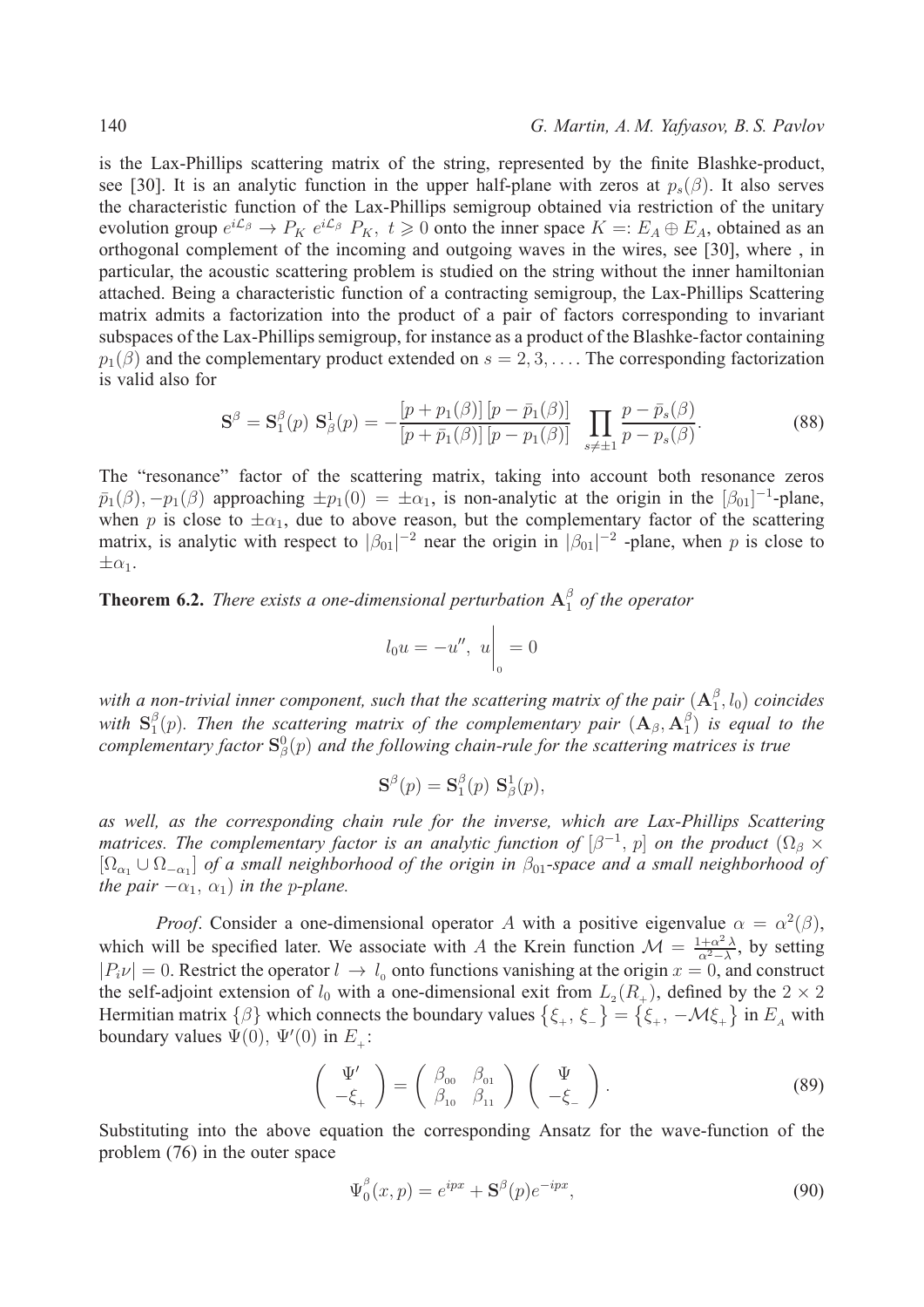### 140 *G. Martin, A. M. Yafyasov, B. S. Pavlov*

is the Lax-Phillips scattering matrix of the string, represented by the finite Blashke-product, see [30]. It is an analytic function in the upper half-plane with zeros at  $p_s(\beta)$ . It also serves the characteristic function of the Lax-Phillips semigroup obtained via restriction of the unitary evolution group  $e^{i\mathcal{L}_{\beta}} \to P_K e^{i\mathcal{L}_{\beta}} P_K$ ,  $t \ge 0$  onto the inner space  $K =: E_A \oplus E_A$ , obtained as an orthogonal complement of the incoming and outgoing waves in the wires, see [30], where , in particular, the acoustic scattering problem is studied on the string without the inner hamiltonian attached. Being a characteristic function of a contracting semigroup, the Lax-Phillips Scattering matrix admits a factorization into the product of a pair of factors corresponding to invariant subspaces of the Lax-Phillips semigroup, for instance as a product of the Blashke-factor containing  $p_1(\beta)$  and the complementary product extended on  $s = 2, 3, \ldots$ . The corresponding factorization is valid also for

$$
\mathbf{S}^{\beta} = \mathbf{S}_{1}^{\beta}(p) \; \mathbf{S}_{\beta}^{1}(p) = -\frac{[p + p_{1}(\beta)] [p - \bar{p}_{1}(\beta)]}{[p + \bar{p}_{1}(\beta)] [p - p_{1}(\beta)]} \; \prod_{s \neq \pm 1} \frac{p - \bar{p}_{s}(\beta)}{p - p_{s}(\beta)}.
$$
 (88)

The "resonance" factor of the scattering matrix, taking into account both resonance zeros  $\bar{p}_1(\beta), -p_1(\beta)$  approaching  $\pm p_1(0) = \pm \alpha_1$ , is non-analytic at the origin in the  $[\beta_{01}]^{-1}$ -plane, when p is close to  $\pm \alpha_1$ , due to above reason, but the complementary factor of the scattering matrix, is analytic with respect to  $|\beta_{01}|^{-2}$  near the origin in  $|\beta_{01}|^{-2}$  -plane, when p is close to  $\pm \alpha_1$ .

**Theorem 6.2.** *There exists a one-dimensional perturbation*  $A_1^{\beta}$  *of the operator* 

$$
l_0u = -u'', \ u\bigg|_0 = 0
$$

with a non-trivial inner component, such that the scattering matrix of the pair  $(A_1^{\beta}, l_0)$  coincides *with*  $S_1^{\beta}(p)$ *. Then the scattering matrix of the complementary pair*  $(A_\beta, A_1^\beta)$  *is equal to the* complementary factor  $S^0_\beta(p)$  and the following chain-rule for the scattering matrices is true

$$
\mathbf{S}^{\beta}(p) = \mathbf{S}_1^{\beta}(p) \mathbf{S}_{\beta}^1(p),
$$

*as well, as the corresponding chain rule for the inverse, which are Lax-Phillips Scattering matrices. The complementary factor is an analytic function of*  $[\beta^{-1}, p]$  *on the product*  $(\Omega_{\beta} \times$ [ $Ω<sub>α₁</sub> ∪ Ω<sub>-α₁</sub>$ ] *of a small neighborhood of the origin in*  $β<sub>01</sub>$ -space and a small neighborhood of *the pair*  $-\alpha_1$ ,  $\alpha_1$ *) in the p-plane.* 

*Proof.* Consider a one-dimensional operator A with a positive eigenvalue  $\alpha = \alpha^2(\beta)$ , which will be specified later. We associate with A the Krein function  $\mathcal{M} = \frac{1+\alpha^2 \lambda}{\alpha^2 - \lambda}$ , by setting  $|P_i v| = 0$ . Restrict the operator  $l \to l_0$  onto functions vanishing at the origin  $x = 0$ , and construct the self-adjoint extension of  $l_0$  with a one-dimensional exit from  $L_2(R_+)$ , defined by the  $2 \times 2$ Hermitian matrix  $\{\beta\}$  which connects the boundary values  $\{\xi_+,\xi_-\} = \{\xi_+,-\mathcal{M}\xi_+\}$  in  $E_A$  with boundary values  $\Psi(0)$ ,  $\Psi'(0)$  in  $E_+$ :

$$
\begin{pmatrix} \Psi' \\ -\xi_+ \end{pmatrix} = \begin{pmatrix} \beta_{00} & \beta_{01} \\ \beta_{10} & \beta_{11} \end{pmatrix} \begin{pmatrix} \Psi \\ -\xi_- \end{pmatrix}.
$$
 (89)

Substituting into the above equation the corresponding Ansatz for the wave-function of the problem (76) in the outer space

$$
\Psi_0^{\beta}(x,p) = e^{ipx} + \mathbf{S}^{\beta}(p)e^{-ipx},\tag{90}
$$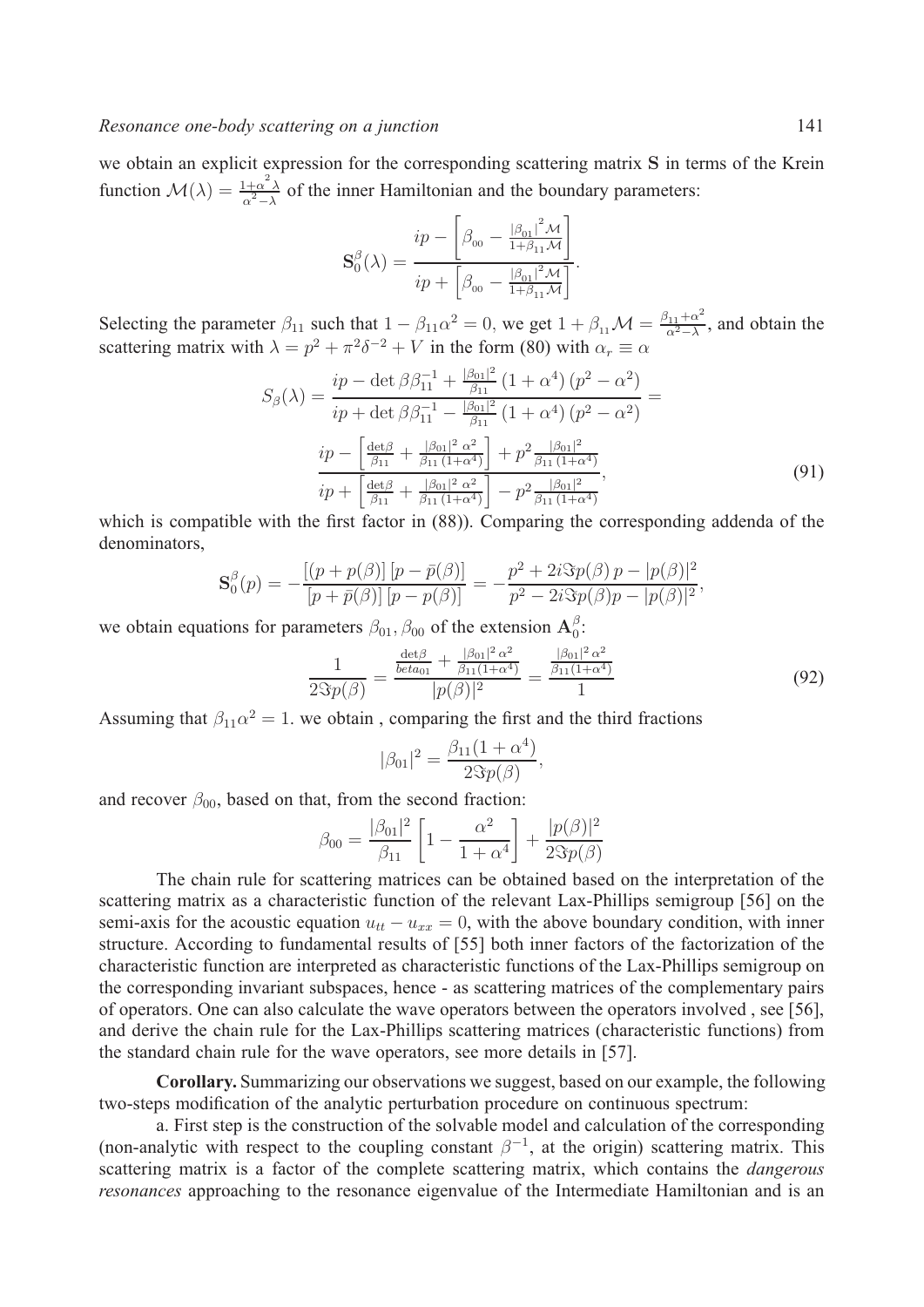we obtain an explicit expression for the corresponding scattering matrix **S** in terms of the Krein function  $\mathcal{M}(\lambda) = \frac{1+\alpha^2 \lambda}{\alpha^2 - \lambda}$  of the inner Hamiltonian and the boundary parameters:

$$
\mathbf{S}_{0}^{\beta}(\lambda) = \frac{ip - \left[\beta_{00} - \frac{|\beta_{01}|^{2} \mathcal{M}}{1 + \beta_{11} \mathcal{M}}\right]}{ip + \left[\beta_{00} - \frac{|\beta_{01}|^{2} \mathcal{M}}{1 + \beta_{11} \mathcal{M}}\right]}.
$$

Selecting the parameter  $\beta_{11}$  such that  $1 - \beta_{11}\alpha^2 = 0$ , we get  $1 + \beta_{11}\mathcal{M} = \frac{\beta_{11} + \alpha^2}{\alpha^2 - \lambda}$ , and obtain the scattering matrix with  $\lambda = p^2 + \pi^2 \delta^{-2} + V$  in the form (80) with  $\alpha_r \equiv \alpha$ 

$$
S_{\beta}(\lambda) = \frac{ip - \det \beta \beta_{11}^{-1} + \frac{|\beta_{01}|^2}{\beta_{11}} (1 + \alpha^4) (p^2 - \alpha^2)}{ip + \det \beta \beta_{11}^{-1} - \frac{|\beta_{01}|^2}{\beta_{11}} (1 + \alpha^4) (p^2 - \alpha^2)} =
$$
  

$$
\frac{ip - \left[\frac{\det \beta}{\beta_{11}} + \frac{|\beta_{01}|^2 \alpha^2}{\beta_{11} (1 + \alpha^4)}\right] + p^2 \frac{|\beta_{01}|^2}{\beta_{11} (1 + \alpha^4)}}{ip + \left[\frac{\det \beta}{\beta_{11}} + \frac{|\beta_{01}|^2 \alpha^2}{\beta_{11} (1 + \alpha^4)}\right] - p^2 \frac{|\beta_{01}|^2}{\beta_{11} (1 + \alpha^4)}}.
$$
(91)

which is compatible with the first factor in (88)). Comparing the corresponding addenda of the denominators,

$$
\mathbf{S}_0^{\beta}(p) = -\frac{[(p+p(\beta)] [p-\bar{p}(\beta)]}{[p+\bar{p}(\beta)] [p-p(\beta)]} = -\frac{p^2 + 2i \Im p(\beta) p - |p(\beta)|^2}{p^2 - 2i \Im p(\beta) p - |p(\beta)|^2},
$$

we obtain equations for parameters  $\beta_{01}, \beta_{00}$  of the extension  $\mathbf{A}_0^{\beta}$ :

$$
\frac{1}{2\Im p(\beta)} = \frac{\frac{\det \beta}{b \cdot \tan(1 + \alpha^4)} + \frac{|\beta_{01}|^2 \alpha^2}{\beta_{11}(1 + \alpha^4)}}{|p(\beta)|^2} = \frac{\frac{|\beta_{01}|^2 \alpha^2}{\beta_{11}(1 + \alpha^4)}}{1}
$$
(92)

Assuming that  $\beta_{11}\alpha^2 = 1$ . we obtain, comparing the first and the third fractions

$$
|\beta_{01}|^2 = \frac{\beta_{11}(1+\alpha^4)}{2\Im p(\beta)},
$$

and recover  $\beta_{00}$ , based on that, from the second fraction:

$$
\beta_{00} = \frac{|\beta_{01}|^2}{\beta_{11}} \left[ 1 - \frac{\alpha^2}{1 + \alpha^4} \right] + \frac{|p(\beta)|^2}{2\Im p(\beta)}
$$

The chain rule for scattering matrices can be obtained based on the interpretation of the scattering matrix as a characteristic function of the relevant Lax-Phillips semigroup [56] on the semi-axis for the acoustic equation  $u_{tt} - u_{xx} = 0$ , with the above boundary condition, with inner structure. According to fundamental results of [55] both inner factors of the factorization of the characteristic function are interpreted as characteristic functions of the Lax-Phillips semigroup on the corresponding invariant subspaces, hence - as scattering matrices of the complementary pairs of operators. One can also calculate the wave operators between the operators involved , see [56], and derive the chain rule for the Lax-Phillips scattering matrices (characteristic functions) from the standard chain rule for the wave operators, see more details in [57].

**Corollary.** Summarizing our observations we suggest, based on our example, the following two-steps modification of the analytic perturbation procedure on continuous spectrum:

a. First step is the construction of the solvable model and calculation of the corresponding (non-analytic with respect to the coupling constant  $\beta^{-1}$ , at the origin) scattering matrix. This scattering matrix is a factor of the complete scattering matrix, which contains the *dangerous resonances* approaching to the resonance eigenvalue of the Intermediate Hamiltonian and is an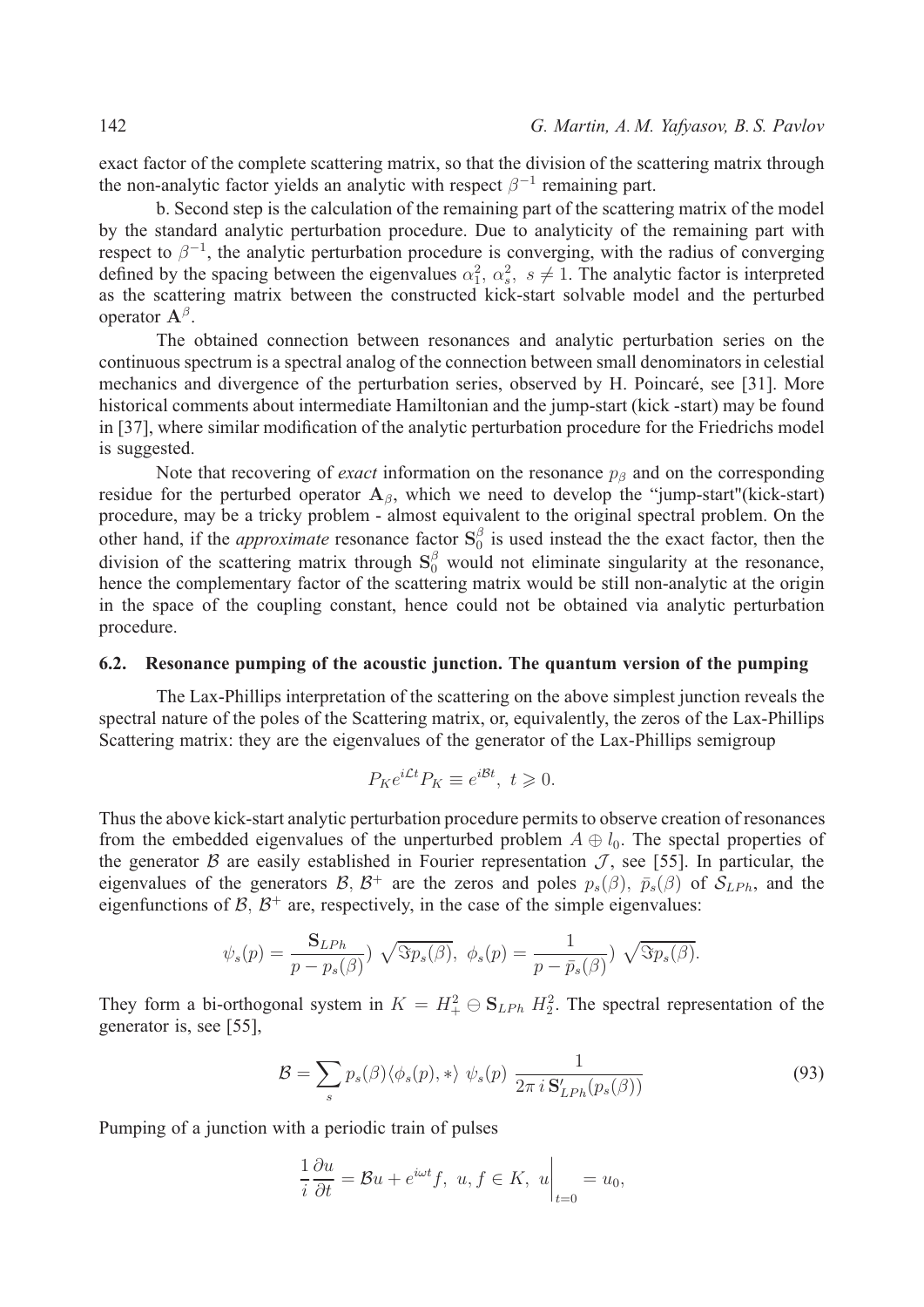exact factor of the complete scattering matrix, so that the division of the scattering matrix through the non-analytic factor yields an analytic with respect  $\beta^{-1}$  remaining part.

b. Second step is the calculation of the remaining part of the scattering matrix of the model by the standard analytic perturbation procedure. Due to analyticity of the remaining part with respect to  $\beta^{-1}$ , the analytic perturbation procedure is converging, with the radius of converging defined by the spacing between the eigenvalues  $\alpha_1^2, \alpha_s^2, s \neq 1$ . The analytic factor is interpreted as the scattering matrix between the constructed kick-start solvable model and the perturbed operator  $A^{\beta}$ .

The obtained connection between resonances and analytic perturbation series on the continuous spectrum is a spectral analog of the connection between small denominators in celestial mechanics and divergence of the perturbation series, observed by H. Poincaré, see [31]. More historical comments about intermediate Hamiltonian and the jump-start (kick -start) may be found in [37], where similar modification of the analytic perturbation procedure for the Friedrichs model is suggested.

Note that recovering of *exact* information on the resonance  $p<sub>\beta</sub>$  and on the corresponding residue for the perturbed operator  $A_{\beta}$ , which we need to develop the "jump-start"(kick-start) procedure, may be a tricky problem - almost equivalent to the original spectral problem. On the other hand, if the *approximate* resonance factor  $S_0^{\beta}$  is used instead the the exact factor, then the division of the scattering matrix through  $S_0^{\beta}$  would not eliminate singularity at the resonance, hence the complementary factor of the scattering matrix would be still non-analytic at the origin in the space of the coupling constant, hence could not be obtained via analytic perturbation procedure.

## **6.2. Resonance pumping of the acoustic junction. The quantum version of the pumping**

The Lax-Phillips interpretation of the scattering on the above simplest junction reveals the spectral nature of the poles of the Scattering matrix, or, equivalently, the zeros of the Lax-Phillips Scattering matrix: they are the eigenvalues of the generator of the Lax-Phillips semigroup

$$
P_K e^{i\mathcal{L}t} P_K \equiv e^{i\mathcal{B}t}, \ t \geq 0.
$$

Thus the above kick-start analytic perturbation procedure permits to observe creation of resonances from the embedded eigenvalues of the unperturbed problem  $A \oplus l_0$ . The spectal properties of the generator  $\beta$  are easily established in Fourier representation  $\mathcal{J}$ , see [55]. In particular, the eigenvalues of the generators  $\mathcal{B}, \mathcal{B}^+$  are the zeros and poles  $p_s(\beta), \bar{p}_s(\beta)$  of  $\mathcal{S}_{LPh}$ , and the eigenfunctions of  $\beta$ ,  $\beta$ <sup>+</sup> are, respectively, in the case of the simple eigenvalues:

$$
\psi_s(p) = \frac{\mathbf{S}_{LPh}}{p - p_s(\beta)} \sqrt{\Im p_s(\beta)}, \ \phi_s(p) = \frac{1}{p - \bar{p}_s(\beta)} \sqrt{\Im p_s(\beta)}.
$$

They form a bi-orthogonal system in  $K = H_+^2 \oplus \mathbf{S}_{LPh} H_2^2$ . The spectral representation of the generator is, see [55],

$$
\mathcal{B} = \sum_{s} p_s(\beta) \langle \phi_s(p), * \rangle \psi_s(p) \frac{1}{2\pi i \mathbf{S}_{LPh}'(p_s(\beta))}
$$
(93)

Pumping of a junction with a periodic train of pulses

$$
\frac{1}{i}\frac{\partial u}{\partial t} = \mathcal{B}u + e^{i\omega t}f, \ u, f \in K, \ u\bigg|_{t=0} = u_0,
$$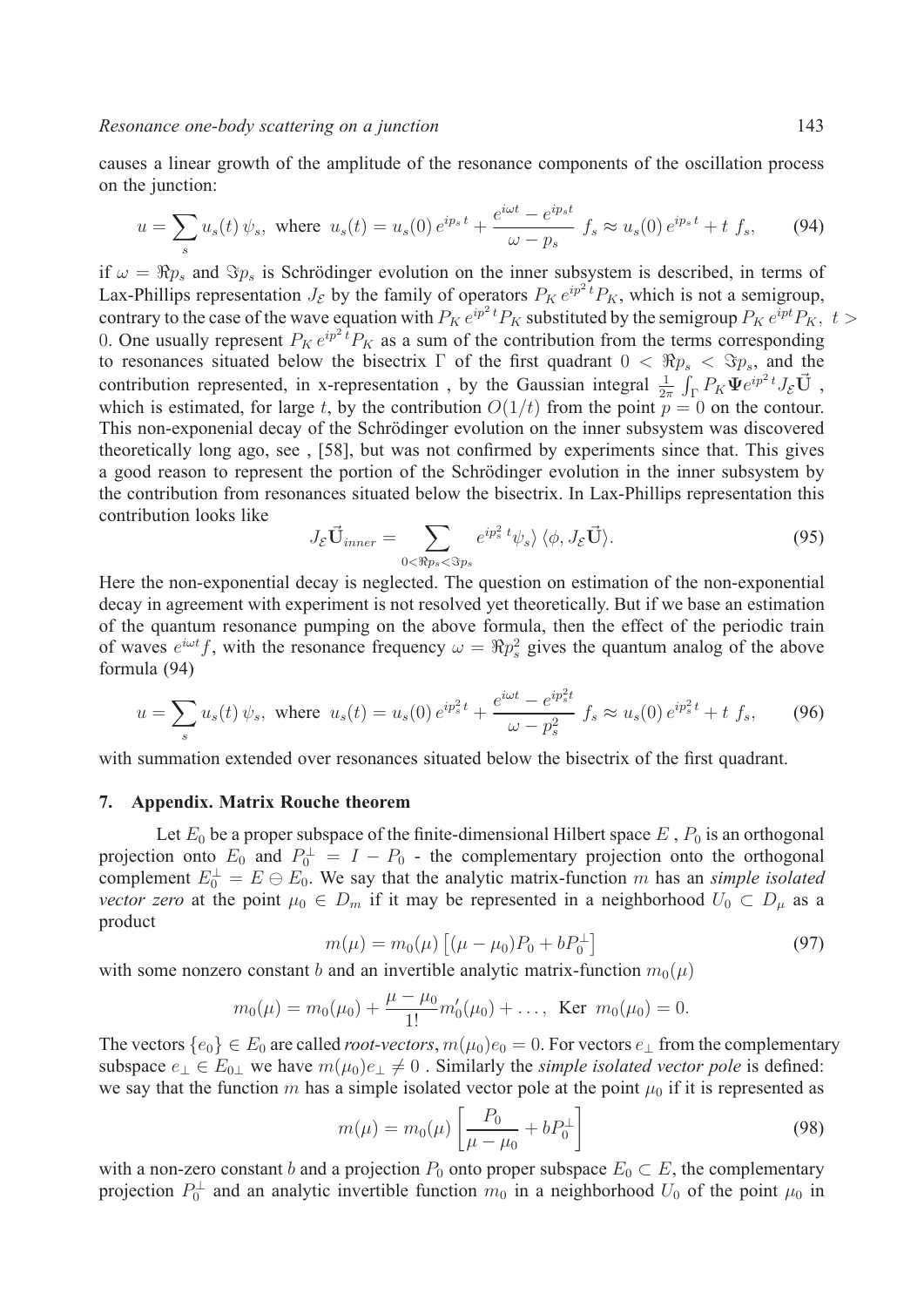causes a linear growth of the amplitude of the resonance components of the oscillation process on the junction:

$$
u = \sum_{s} u_s(t) \psi_s, \text{ where } u_s(t) = u_s(0) e^{ip_s t} + \frac{e^{i\omega t} - e^{ip_s t}}{\omega - p_s} f_s \approx u_s(0) e^{ip_s t} + t f_s, \tag{94}
$$

if  $\omega = \Re p_s$  and  $\Im p_s$  is Schrödinger evolution on the inner subsystem is described, in terms of Lax-Phillips representation  $J_{\mathcal{E}}$  by the family of operators  $P_K e^{ip^2t} P_K$ , which is not a semigroup, contrary to the case of the wave equation with  $P_K e^{ip^2 t} P_K$  substituted by the semigroup  $P_K e^{ipt} P_K$ ,  $t >$ 0. One usually represent  $P_K e^{ip^2t} P_K$  as a sum of the contribution from the terms corresponding to resonances situated below the bisectrix  $\Gamma$  of the first quadrant  $0 < \Re p_s < \Im p_s$ , and the contribution represented, in x-representation, by the Gaussian integral  $\frac{1}{2\pi} \int_{\Gamma} P_K \Psi e^{ip^2 t} J_{\mathcal{E}} \vec{U}$ , which is estimated, for large t, by the contribution  $O(1/t)$  from the point  $p = 0$  on the contour. This non-exponenial decay of the Schrödinger evolution on the inner subsystem was discovered theoretically long ago, see , [58], but was not confirmed by experiments since that. This gives a good reason to represent the portion of the Schrödinger evolution in the inner subsystem by the contribution from resonances situated below the bisectrix. In Lax-Phillips representation this contribution looks like

$$
J_{\mathcal{E}}\vec{\mathbf{U}}_{inner} = \sum_{0 < \Re p_s < \Im p_s} e^{ip_s^2 t} \psi_s \rangle \langle \phi, J_{\mathcal{E}}\vec{\mathbf{U}} \rangle. \tag{95}
$$

Here the non-exponential decay is neglected. The question on estimation of the non-exponential decay in agreement with experiment is not resolved yet theoretically. But if we base an estimation of the quantum resonance pumping on the above formula, then the effect of the periodic train of waves  $e^{i\omega t}f$ , with the resonance frequency  $\omega = \Re p_s^2$  gives the quantum analog of the above formula (94)

$$
u = \sum_{s} u_{s}(t) \psi_{s}, \text{ where } u_{s}(t) = u_{s}(0) e^{ip_{s}^{2}t} + \frac{e^{i\omega t} - e^{ip_{s}^{2}t}}{\omega - p_{s}^{2}} f_{s} \approx u_{s}(0) e^{ip_{s}^{2}t} + t f_{s}, \qquad (96)
$$

with summation extended over resonances situated below the bisectrix of the first quadrant.

### **7. Appendix. Matrix Rouche theorem**

Let  $E_0$  be a proper subspace of the finite-dimensional Hilbert space  $E$ ,  $P_0$  is an orthogonal projection onto  $E_0$  and  $P_0^{\perp} = I - P_0$  - the complementary projection onto the orthogonal complement  $E_0^{\perp} = E \ominus E_0$ . We say that the analytic matrix-function m has an *simple isolated vector zero* at the point  $\mu_0 \in D_m$  if it may be represented in a neighborhood  $U_0 \subset D_\mu$  as a product

$$
m(\mu) = m_0(\mu) \left[ (\mu - \mu_0) P_0 + b P_0^{\perp} \right] \tag{97}
$$

with some nonzero constant *b* and an invertible analytic matrix-function  $m_0(\mu)$ 

$$
m_0(\mu) = m_0(\mu_0) + \frac{\mu - \mu_0}{1!}m'_0(\mu_0) + \dots
$$
, Ker  $m_0(\mu_0) = 0$ .

The vectors  $\{e_0\} \in E_0$  are called *root-vectors*,  $m(\mu_0)e_0 = 0$ . For vectors  $e_{\perp}$  from the complementary subspace  $e_{\perp} \in E_{0\perp}$  we have  $m(\mu_0)e_{\perp} \neq 0$ . Similarly the *simple isolated vector pole* is defined: we say that the function  $m$  has a simple isolated vector pole at the point  $\mu_0$  if it is represented as

$$
m(\mu) = m_0(\mu) \left[ \frac{P_0}{\mu - \mu_0} + b P_0^{\perp} \right]
$$
 (98)

with a non-zero constant *b* and a projection  $P_0$  onto proper subspace  $E_0 \subset E$ , the complementary projection  $P_0^{\perp}$  and an analytic invertible function  $m_0$  in a neighborhood  $U_0$  of the point  $\mu_0$  in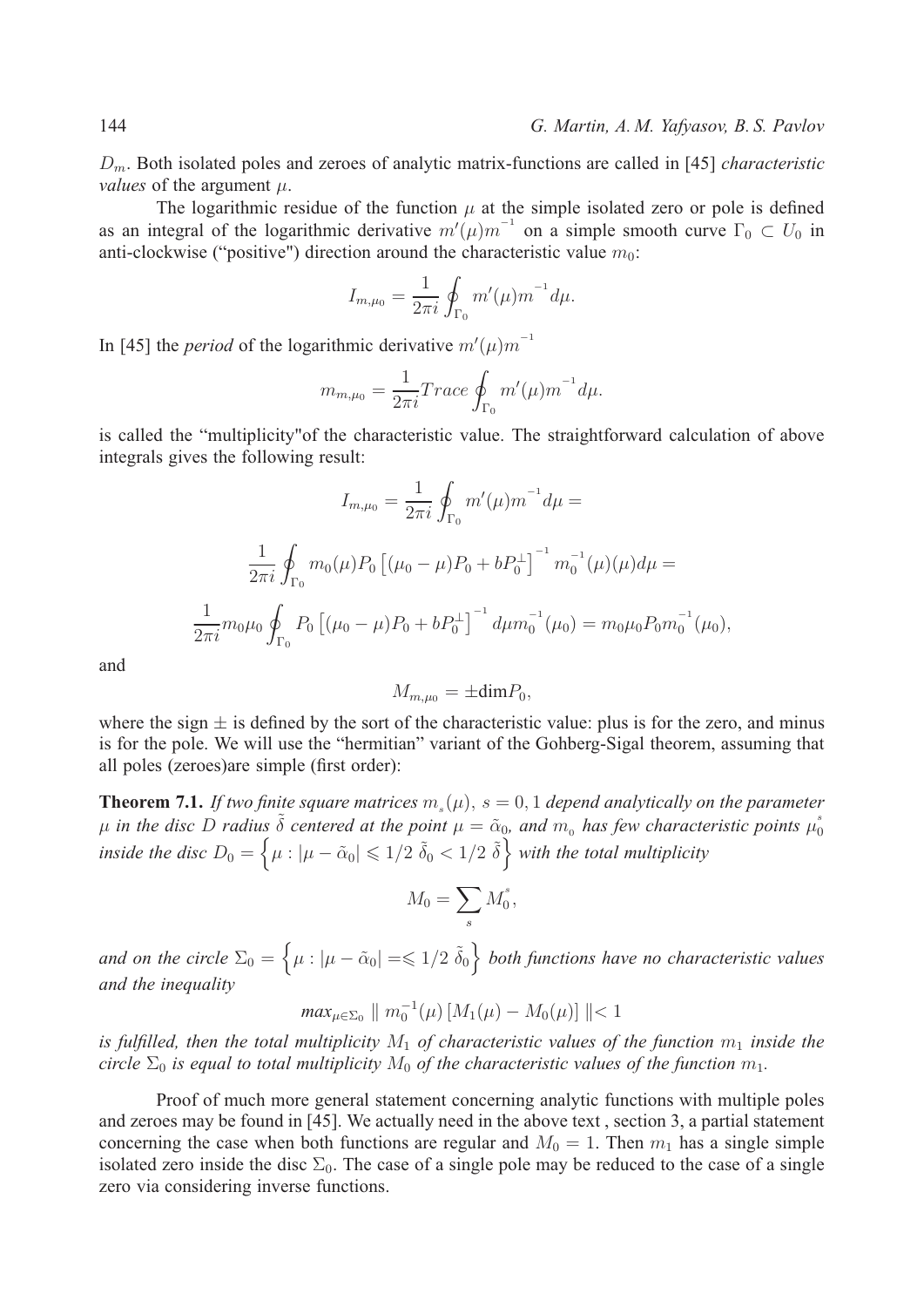. Both isolated poles and zeroes of analytic matrix-functions are called in [45] *characteristic values* of the argument  $\mu$ .

The logarithmic residue of the function  $\mu$  at the simple isolated zero or pole is defined as an integral of the logarithmic derivative  $m'(\mu) m^{-1}$  on a simple smooth curve  $\Gamma_0 \subset U_0$  in anti-clockwise ("positive") direction around the characteristic value  $m_0$ :

$$
I_{m,\mu_0} = \frac{1}{2\pi i} \oint_{\Gamma_0} m'(\mu) m^{-1} d\mu.
$$

In [45] the *period* of the logarithmic derivative  $m'(\mu)m^{-1}$ 

$$
m_{m,\mu_0} = \frac{1}{2\pi i} Trace \oint_{\Gamma_0} m'(\mu) m^{-1} d\mu.
$$

is called the "multiplicity"of the characteristic value. The straightforward calculation of above integrals gives the following result:

$$
I_{m,\mu_0} = \frac{1}{2\pi i} \oint_{\Gamma_0} m'(\mu) m^{-1} d\mu =
$$
  

$$
\frac{1}{2\pi i} \oint_{\Gamma_0} m_0(\mu) P_0 \left[ (\mu_0 - \mu) P_0 + b P_0^{\perp} \right]^{-1} m_0^{-1}(\mu) (\mu) d\mu =
$$
  

$$
\frac{1}{2\pi i} m_0 \mu_0 \oint_{\Gamma_0} P_0 \left[ (\mu_0 - \mu) P_0 + b P_0^{\perp} \right]^{-1} d\mu m_0^{-1}(\mu_0) = m_0 \mu_0 P_0 m_0^{-1}(\mu_0),
$$

and

$$
M_{m,\mu_0} = \pm \text{dim} P_0,
$$

where the sign  $\pm$  is defined by the sort of the characteristic value: plus is for the zero, and minus is for the pole. We will use the "hermitian" variant of the Gohberg-Sigal theorem, assuming that all poles (zeroes)are simple (first order):

**Theorem 7.1.** *If two finite square matrices*  $m_s(\mu)$ ,  $s = 0, 1$  *depend analytically on the parameter*  $\mu$  *in the disc D radius*  $\tilde{\delta}$  *centered at the point*  $\mu = \tilde{\alpha}_0$ *, and*  $m_o$  *has few characteristic points*  $\mu_0^{\delta}$ 0 *inside the disc*  $D_0 = \{ \mu : |\mu - \tilde{\alpha}_0| \leqslant 1/2 \, \tilde{\delta}_0 < 1/2 \, \tilde{\delta} \}$  with the total multiplicity

$$
M_0 = \sum_s M_0^s,
$$

and on the circle  $\Sigma_0 = \{ \mu : |\mu - \tilde{\alpha}_0| = \leqslant 1/2 \ \tilde{\delta}_0 \}$  both functions have no characteristic values *and the inequality*

$$
max_{\mu \in \Sigma_0} || m_0^{-1}(\mu) [M_1(\mu) - M_0(\mu)] || < 1
$$

*is fulfilled, then the total multiplicity*  $M_1$  *of characteristic values of the function*  $m_1$  *inside the circle*  $\Sigma_0$  *is equal to total multiplicity*  $M_0$  *of the characteristic values of the function*  $m_1$ *.* 

Proof of much more general statement concerning analytic functions with multiple poles and zeroes may be found in [45]. We actually need in the above text , section 3, a partial statement concerning the case when both functions are regular and  $M_0 = 1$ . Then  $m_1$  has a single simple isolated zero inside the disc  $\Sigma_0$ . The case of a single pole may be reduced to the case of a single zero via considering inverse functions.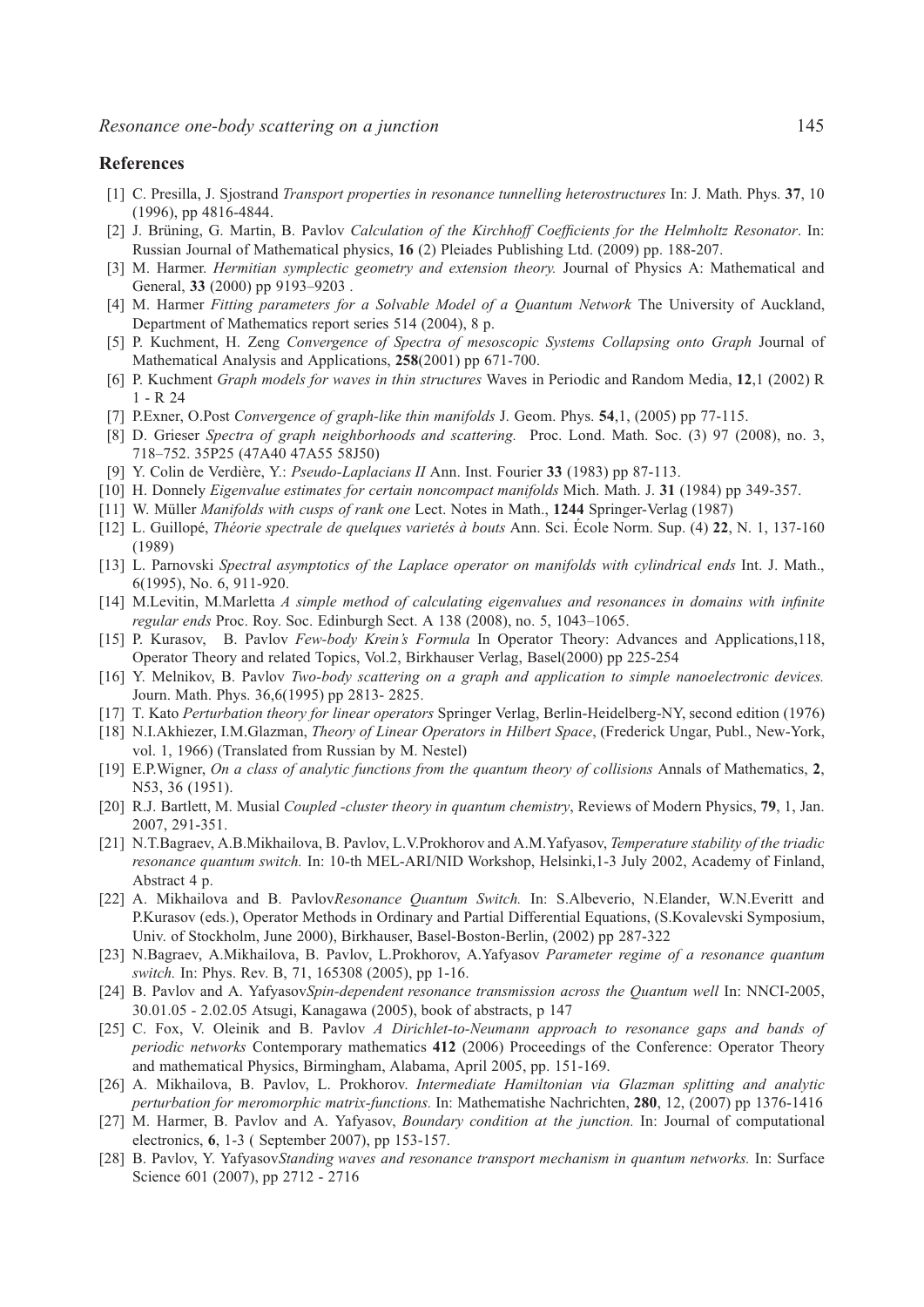#### **References**

- [1] C. Presilla, J. Sjostrand *Transport properties in resonance tunnelling heterostructures* In: J. Math. Phys. **37**, 10 (1996), pp 4816-4844.
- [2] J. Brüning, G. Martin, B. Pavlov *Calculation of the Kirchhoff Coefficients for the Helmholtz Resonator*. In: Russian Journal of Mathematical physics, **16** (2) Pleiades Publishing Ltd. (2009) pp. 188-207.
- [3] M. Harmer. *Hermitian symplectic geometry and extension theory.* Journal of Physics A: Mathematical and General, **33** (2000) pp 9193–9203 .
- [4] M. Harmer *Fitting parameters for a Solvable Model of a Quantum Network* The University of Auckland, Department of Mathematics report series 514 (2004), 8 p.
- [5] P. Kuchment, H. Zeng *Convergence of Spectra of mesoscopic Systems Collapsing onto Graph* Journal of Mathematical Analysis and Applications, **258**(2001) pp 671-700.
- [6] P. Kuchment *Graph models for waves in thin structures* Waves in Periodic and Random Media, **12**,1 (2002) R 1 - R 24
- [7] P.Exner, O.Post *Convergence of graph-like thin manifolds* J. Geom. Phys. **54**,1, (2005) pp 77-115.
- [8] D. Grieser *Spectra of graph neighborhoods and scattering.* Proc. Lond. Math. Soc. (3) 97 (2008), no. 3, 718–752. 35P25 (47A40 47A55 58J50)
- [9] Y. Colin de Verdiere, Y.: ` *Pseudo-Laplacians II* Ann. Inst. Fourier **33** (1983) pp 87-113.
- [10] H. Donnely *Eigenvalue estimates for certain noncompact manifolds* Mich. Math. J. **31** (1984) pp 349-357.
- [11] W. Müller *Manifolds with cusps of rank one* Lect. Notes in Math., 1244 Springer-Verlag (1987)
- [12] L. Guillope,´ *Th´eorie spectrale de quelques variet´es `a bouts* Ann. Sci. Ecole Norm. Sup. (4) ´ **22**, N. 1, 137-160 (1989)
- [13] L. Parnovski *Spectral asymptotics of the Laplace operator on manifolds with cylindrical ends* Int. J. Math., 6(1995), No. 6, 911-920.
- [14] M.Levitin, M.Marletta *A simple method of calculating eigenvalues and resonances in domains with infinite regular ends* Proc. Roy. Soc. Edinburgh Sect. A 138 (2008), no. 5, 1043–1065.
- [15] P. Kurasov, B. Pavlov *Few-body Krein's Formula* In Operator Theory: Advances and Applications,118, Operator Theory and related Topics, Vol.2, Birkhauser Verlag, Basel(2000) pp 225-254
- [16] Y. Melnikov, B. Pavlov *Two-body scattering on a graph and application to simple nanoelectronic devices.* Journ. Math. Phys. 36,6(1995) pp 2813- 2825.
- [17] T. Kato *Perturbation theory for linear operators* Springer Verlag, Berlin-Heidelberg-NY, second edition (1976)
- [18] N.I.Akhiezer, I.M.Glazman, *Theory of Linear Operators in Hilbert Space*, (Frederick Ungar, Publ., New-York, vol. 1, 1966) (Translated from Russian by M. Nestel)
- [19] E.P.Wigner, *On a class of analytic functions from the quantum theory of collisions* Annals of Mathematics, **2**, N53, 36 (1951).
- [20] R.J. Bartlett, M. Musial *Coupled -cluster theory in quantum chemistry*, Reviews of Modern Physics, **79**, 1, Jan. 2007, 291-351.
- [21] N.T.Bagraev, A.B.Mikhailova, B. Pavlov, L.V.Prokhorov and A.M.Yafyasov, *Temperature stability of the triadic resonance quantum switch.* In: 10-th MEL-ARI/NID Workshop, Helsinki,1-3 July 2002, Academy of Finland, Abstract 4 p.
- [22] A. Mikhailova and B. Pavlov*Resonance Quantum Switch.* In: S.Albeverio, N.Elander, W.N.Everitt and P.Kurasov (eds.), Operator Methods in Ordinary and Partial Differential Equations, (S.Kovalevski Symposium, Univ. of Stockholm, June 2000), Birkhauser, Basel-Boston-Berlin, (2002) pp 287-322
- [23] N.Bagraev, A.Mikhailova, B. Pavlov, L.Prokhorov, A.Yafyasov *Parameter regime of a resonance quantum switch.* In: Phys. Rev. B, 71, 165308 (2005), pp 1-16.
- [24] B. Pavlov and A. Yafyasov*Spin-dependent resonance transmission across the Ouantum well* In: NNCI-2005, 30.01.05 - 2.02.05 Atsugi, Kanagawa (2005), book of abstracts, p 147
- [25] C. Fox, V. Oleinik and B. Pavlov *A Dirichlet-to-Neumann approach to resonance gaps and bands of periodic networks* Contemporary mathematics **412** (2006) Proceedings of the Conference: Operator Theory and mathematical Physics, Birmingham, Alabama, April 2005, pp. 151-169.
- [26] A. Mikhailova, B. Pavlov, L. Prokhorov. *Intermediate Hamiltonian via Glazman splitting and analytic perturbation for meromorphic matrix-functions.* In: Mathematishe Nachrichten, **280**, 12, (2007) pp 1376-1416
- [27] M. Harmer, B. Pavlov and A. Yafyasov, *Boundary condition at the junction.* In: Journal of computational electronics, **6**, 1-3 ( September 2007), pp 153-157.
- [28] B. Pavlov, Y. Yafyasov*Standing waves and resonance transport mechanism in quantum networks.* In: Surface Science 601 (2007), pp 2712 - 2716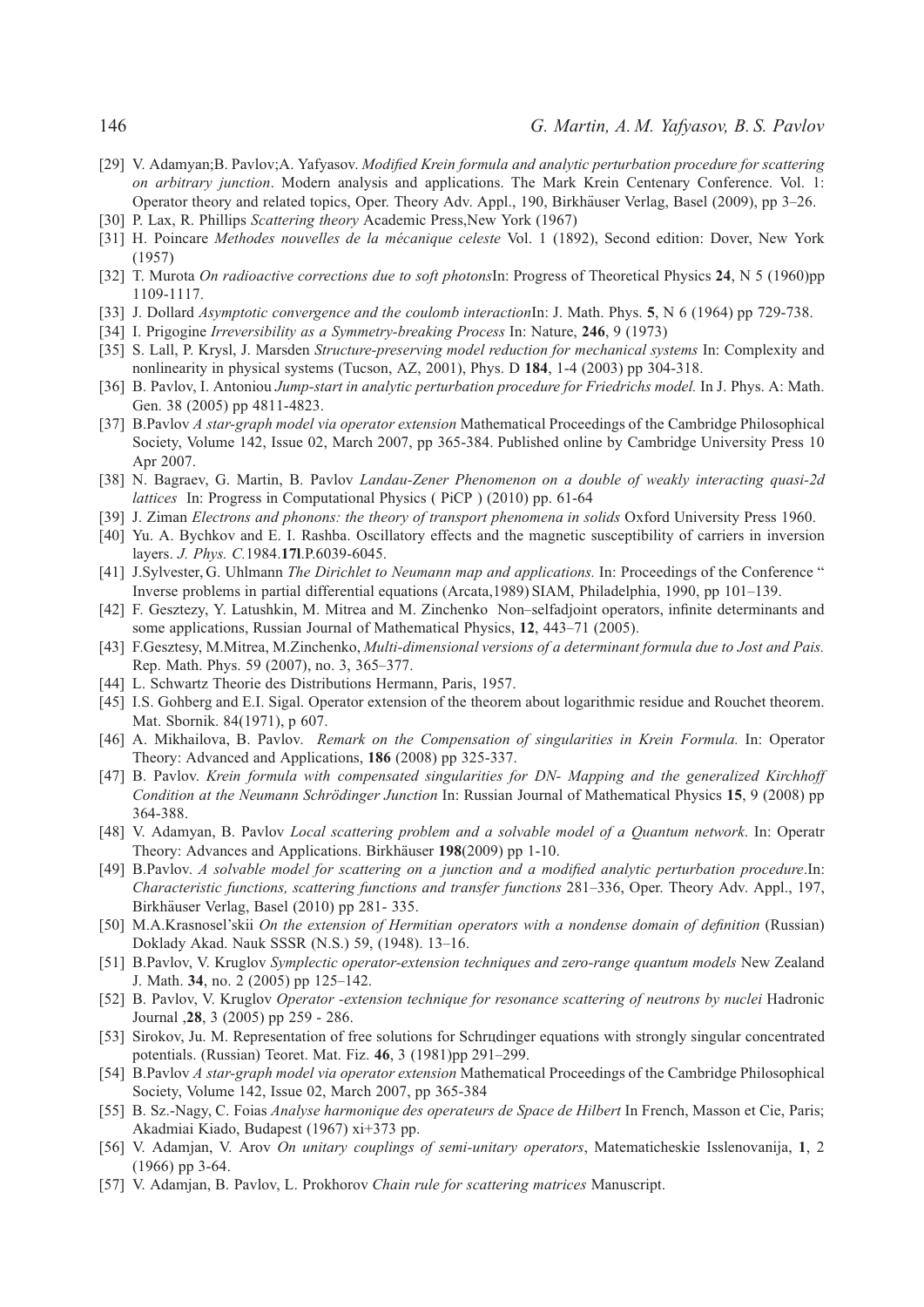- [29] V. Adamyan;B. Pavlov;A. Yafyasov. *Modified Krein formula and analytic perturbation procedure for scattering on arbitrary junction*. Modern analysis and applications. The Mark Krein Centenary Conference. Vol. 1: Operator theory and related topics, Oper. Theory Adv. Appl., 190, Birkhauser Verlag, Basel (2009), pp 3–26. ¨
- [30] P. Lax, R. Phillips *Scattering theory* Academic Press,New York (1967)
- [31] H. Poincare *Methodes nouvelles de la mécanique celeste* Vol. 1 (1892), Second edition: Dover, New York (1957)
- [32] T. Murota *On radioactive corrections due to soft photons*In: Progress of Theoretical Physics **24**, N 5 (1960)pp 1109-1117.
- [33] J. Dollard *Asymptotic convergence and the coulomb interaction*In: J. Math. Phys. **5**, N 6 (1964) pp 729-738.
- [34] I. Prigogine *Irreversibility as a Symmetry-breaking Process* In: Nature, **246**, 9 (1973)
- [35] S. Lall, P. Krysl, J. Marsden *Structure-preserving model reduction for mechanical systems* In: Complexity and nonlinearity in physical systems (Tucson, AZ, 2001), Phys. D **184**, 1-4 (2003) pp 304-318.
- [36] B. Pavlov, I. Antoniou *Jump-start in analytic perturbation procedure for Friedrichs model.* In J. Phys. A: Math. Gen. 38 (2005) pp 4811-4823.
- [37] B.Pavlov *A star-graph model via operator extension* Mathematical Proceedings of the Cambridge Philosophical Society, Volume 142, Issue 02, March 2007, pp 365-384. Published online by Cambridge University Press 10 Apr 2007.
- [38] N. Bagraev, G. Martin, B. Pavlov *Landau-Zener Phenomenon on a double of weakly interacting quasi-2d lattices* In: Progress in Computational Physics ( PiCP ) (2010) pp. 61-64
- [39] J. Ziman *Electrons and phonons: the theory of transport phenomena in solids* Oxford University Press 1960.
- [40] Yu. A. Bychkov and E. I. Rashba. Oscillatory effects and the magnetic susceptibility of carriers in inversion layers. *J. Phys. C.*1984.**17l**.P.6039-6045.
- [41] J.Sylvester, G. Uhlmann *The Dirichlet to Neumann map and applications.* In: Proceedings of the Conference " Inverse problems in partial differential equations (Arcata,1989) SIAM, Philadelphia, 1990, pp 101–139.
- [42] F. Gesztezy, Y. Latushkin, M. Mitrea and M. Zinchenko Non–selfadjoint operators, infinite determinants and some applications, Russian Journal of Mathematical Physics, **12**, 443–71 (2005).
- [43] F.Gesztesy, M.Mitrea, M.Zinchenko, *Multi-dimensional versions of a determinant formula due to Jost and Pais.* Rep. Math. Phys. 59 (2007), no. 3, 365–377.
- [44] L. Schwartz Theorie des Distributions Hermann, Paris, 1957.
- [45] I.S. Gohberg and E.I. Sigal. Operator extension of the theorem about logarithmic residue and Rouchet theorem. Mat. Sbornik. 84(1971), p 607.
- [46] A. Mikhailova, B. Pavlov. *Remark on the Compensation of singularities in Krein Formula.* In: Operator Theory: Advanced and Applications, **186** (2008) pp 325-337.
- [47] B. Pavlov. *Krein formula with compensated singularities for DN- Mapping and the generalized Kirchhoff Condition at the Neumann Schrödinger Junction* In: Russian Journal of Mathematical Physics 15, 9 (2008) pp 364-388.
- [48] V. Adamyan, B. Pavlov *Local scattering problem and a solvable model of a Quantum network*. In: Operatr Theory: Advances and Applications. Birkhäuser 198(2009) pp 1-10.
- [49] B.Pavlov. *A solvable model for scattering on a junction and a modified analytic perturbation procedure*.In: *Characteristic functions, scattering functions and transfer functions* 281–336, Oper. Theory Adv. Appl., 197, Birkhäuser Verlag, Basel (2010) pp 281-335.
- [50] M.A.Krasnosel'skii *On the extension of Hermitian operators with a nondense domain of definition* (Russian) Doklady Akad. Nauk SSSR (N.S.) 59, (1948). 13–16.
- [51] B.Pavlov, V. Kruglov *Symplectic operator-extension techniques and zero-range quantum models* New Zealand J. Math. **34**, no. 2 (2005) pp 125–142.
- [52] B. Pavlov, V. Kruglov *Operator -extension technique for resonance scattering of neutrons by nuclei* Hadronic Journal ,**28**, 3 (2005) pp 259 - 286.
- [53] Sirokov, Ju. M. Representation of free solutions for Schrцdinger equations with strongly singular concentrated potentials. (Russian) Teoret. Mat. Fiz. **46**, 3 (1981)pp 291–299.
- [54] B.Pavlov *A star-graph model via operator extension* Mathematical Proceedings of the Cambridge Philosophical Society, Volume 142, Issue 02, March 2007, pp 365-384
- [55] B. Sz.-Nagy, C. Foias *Analyse harmonique des operateurs de Space de Hilbert* In French, Masson et Cie, Paris; Akadmiai Kiado, Budapest (1967) xi+373 pp.
- [56] V. Adamjan, V. Arov *On unitary couplings of semi-unitary operators*, Matematicheskie Isslenovanija, **1**, 2 (1966) pp 3-64.
- [57] V. Adamjan, B. Pavlov, L. Prokhorov *Chain rule for scattering matrices* Manuscript.